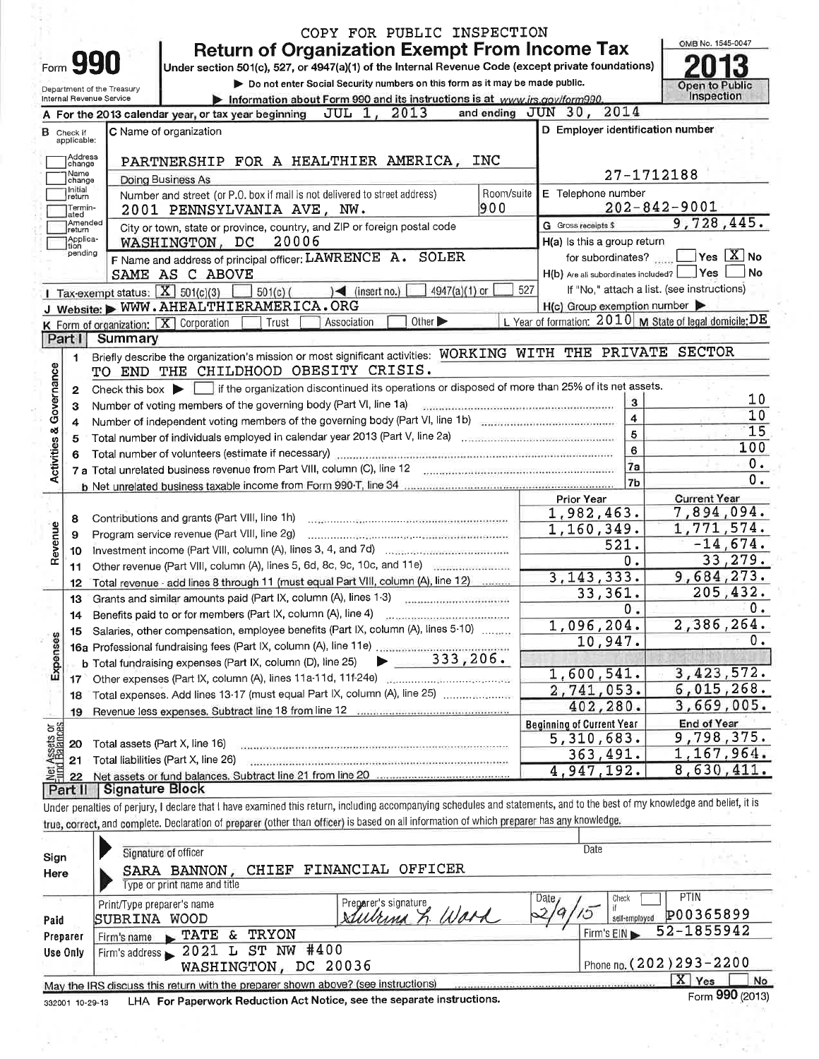| <b>Return of Organization Exempt From Income Tax</b><br>Form 990<br>Under section 501(c), 527, or 4947(a)(1) of the Internal Revenue Code (except private foundations)<br>Do not enter Social Security numbers on this form as it may be made public.<br>Open to Public<br>Department of the Treasury<br>Inspection<br>Information about Form 990 and its instructions is at www.irs.gov/form990.<br>Internal Revenue Service<br>and ending JUN 30, 2014<br>JUL 1, 2013<br>A For the 2013 calendar year, or tax year beginning<br>D Employer identification number<br>C Name of organization<br><b>B</b> Check if<br>applicable:<br>Address<br>PARTNERSHIP FOR A HEALTHIER AMERICA,<br><b>INC</b><br>change<br>27-1712188<br>Name<br><b>Doing Business As</b><br>change<br>Initial<br>E Telephone number<br>Room/suite<br>Number and street (or P.O. box if mail is not delivered to street address)<br>return<br>$202 - 842 - 9001$<br>900<br>Termin-<br>2001 PENNSYLVANIA AVE, NW.<br>ated<br>9,728,445.<br>Amended<br>G Gross receipts \$<br>City or town, state or province, country, and ZIP or foreign postal code<br>return<br>Applica-<br> tion<br>20006<br>WASHINGTON, DC<br>H(a) Is this a group return<br>pending<br>$\Box$ Yes $[\overline{\mathrm{X}}]$ No<br>F Name and address of principal officer: LAWRENCE A. SOLER<br>for subordinates?<br>Yes<br>H(b) Are all subordinates included?<br>SAME AS C ABOVE<br>If "No," attach a list. (see instructions)<br>527<br>Tax-exempt status: $X \over 1501(c)(3)$<br>4947(a)(1) or<br>$501(c)$ (<br>$\leq$ (insert no.)<br>$H(c)$ Group exemption number<br>J Website: WWW.AHEALTHIERAMERICA.ORG<br>L Year of formation: $2010$ M State of legal domicile: DE<br>Other $\blacktriangleright$<br>K Form of organization:   X Corporation<br>Association<br>Trust<br>Part I<br>Summary<br>Briefly describe the organization's mission or most significant activities: WORKING WITH THE PRIVATE SECTOR<br>1<br>Activities & Governance<br>TO END THE CHILDHOOD OBESITY CRISIS.<br>Check this box in if the organization discontinued its operations or disposed of more than 25% of its net assets.<br>2<br>3<br>Number of voting members of the governing body (Part VI, line 1a)<br>з<br>4<br>Number of independent voting members of the governing body (Part VI, line 1b) manufactured contains an extendio<br>4<br>5<br>5<br>6<br>6<br>7a<br>7b | OMB No. 1545-0047 |
|-------------------------------------------------------------------------------------------------------------------------------------------------------------------------------------------------------------------------------------------------------------------------------------------------------------------------------------------------------------------------------------------------------------------------------------------------------------------------------------------------------------------------------------------------------------------------------------------------------------------------------------------------------------------------------------------------------------------------------------------------------------------------------------------------------------------------------------------------------------------------------------------------------------------------------------------------------------------------------------------------------------------------------------------------------------------------------------------------------------------------------------------------------------------------------------------------------------------------------------------------------------------------------------------------------------------------------------------------------------------------------------------------------------------------------------------------------------------------------------------------------------------------------------------------------------------------------------------------------------------------------------------------------------------------------------------------------------------------------------------------------------------------------------------------------------------------------------------------------------------------------------------------------------------------------------------------------------------------------------------------------------------------------------------------------------------------------------------------------------------------------------------------------------------------------------------------------------------------------------------------------------------------------------------------------------------------------------------------------------------------------------------------------------|-------------------|
|                                                                                                                                                                                                                                                                                                                                                                                                                                                                                                                                                                                                                                                                                                                                                                                                                                                                                                                                                                                                                                                                                                                                                                                                                                                                                                                                                                                                                                                                                                                                                                                                                                                                                                                                                                                                                                                                                                                                                                                                                                                                                                                                                                                                                                                                                                                                                                                                             |                   |
|                                                                                                                                                                                                                                                                                                                                                                                                                                                                                                                                                                                                                                                                                                                                                                                                                                                                                                                                                                                                                                                                                                                                                                                                                                                                                                                                                                                                                                                                                                                                                                                                                                                                                                                                                                                                                                                                                                                                                                                                                                                                                                                                                                                                                                                                                                                                                                                                             |                   |
|                                                                                                                                                                                                                                                                                                                                                                                                                                                                                                                                                                                                                                                                                                                                                                                                                                                                                                                                                                                                                                                                                                                                                                                                                                                                                                                                                                                                                                                                                                                                                                                                                                                                                                                                                                                                                                                                                                                                                                                                                                                                                                                                                                                                                                                                                                                                                                                                             |                   |
|                                                                                                                                                                                                                                                                                                                                                                                                                                                                                                                                                                                                                                                                                                                                                                                                                                                                                                                                                                                                                                                                                                                                                                                                                                                                                                                                                                                                                                                                                                                                                                                                                                                                                                                                                                                                                                                                                                                                                                                                                                                                                                                                                                                                                                                                                                                                                                                                             |                   |
|                                                                                                                                                                                                                                                                                                                                                                                                                                                                                                                                                                                                                                                                                                                                                                                                                                                                                                                                                                                                                                                                                                                                                                                                                                                                                                                                                                                                                                                                                                                                                                                                                                                                                                                                                                                                                                                                                                                                                                                                                                                                                                                                                                                                                                                                                                                                                                                                             |                   |
|                                                                                                                                                                                                                                                                                                                                                                                                                                                                                                                                                                                                                                                                                                                                                                                                                                                                                                                                                                                                                                                                                                                                                                                                                                                                                                                                                                                                                                                                                                                                                                                                                                                                                                                                                                                                                                                                                                                                                                                                                                                                                                                                                                                                                                                                                                                                                                                                             |                   |
|                                                                                                                                                                                                                                                                                                                                                                                                                                                                                                                                                                                                                                                                                                                                                                                                                                                                                                                                                                                                                                                                                                                                                                                                                                                                                                                                                                                                                                                                                                                                                                                                                                                                                                                                                                                                                                                                                                                                                                                                                                                                                                                                                                                                                                                                                                                                                                                                             |                   |
|                                                                                                                                                                                                                                                                                                                                                                                                                                                                                                                                                                                                                                                                                                                                                                                                                                                                                                                                                                                                                                                                                                                                                                                                                                                                                                                                                                                                                                                                                                                                                                                                                                                                                                                                                                                                                                                                                                                                                                                                                                                                                                                                                                                                                                                                                                                                                                                                             |                   |
|                                                                                                                                                                                                                                                                                                                                                                                                                                                                                                                                                                                                                                                                                                                                                                                                                                                                                                                                                                                                                                                                                                                                                                                                                                                                                                                                                                                                                                                                                                                                                                                                                                                                                                                                                                                                                                                                                                                                                                                                                                                                                                                                                                                                                                                                                                                                                                                                             |                   |
|                                                                                                                                                                                                                                                                                                                                                                                                                                                                                                                                                                                                                                                                                                                                                                                                                                                                                                                                                                                                                                                                                                                                                                                                                                                                                                                                                                                                                                                                                                                                                                                                                                                                                                                                                                                                                                                                                                                                                                                                                                                                                                                                                                                                                                                                                                                                                                                                             |                   |
|                                                                                                                                                                                                                                                                                                                                                                                                                                                                                                                                                                                                                                                                                                                                                                                                                                                                                                                                                                                                                                                                                                                                                                                                                                                                                                                                                                                                                                                                                                                                                                                                                                                                                                                                                                                                                                                                                                                                                                                                                                                                                                                                                                                                                                                                                                                                                                                                             |                   |
|                                                                                                                                                                                                                                                                                                                                                                                                                                                                                                                                                                                                                                                                                                                                                                                                                                                                                                                                                                                                                                                                                                                                                                                                                                                                                                                                                                                                                                                                                                                                                                                                                                                                                                                                                                                                                                                                                                                                                                                                                                                                                                                                                                                                                                                                                                                                                                                                             |                   |
|                                                                                                                                                                                                                                                                                                                                                                                                                                                                                                                                                                                                                                                                                                                                                                                                                                                                                                                                                                                                                                                                                                                                                                                                                                                                                                                                                                                                                                                                                                                                                                                                                                                                                                                                                                                                                                                                                                                                                                                                                                                                                                                                                                                                                                                                                                                                                                                                             |                   |
|                                                                                                                                                                                                                                                                                                                                                                                                                                                                                                                                                                                                                                                                                                                                                                                                                                                                                                                                                                                                                                                                                                                                                                                                                                                                                                                                                                                                                                                                                                                                                                                                                                                                                                                                                                                                                                                                                                                                                                                                                                                                                                                                                                                                                                                                                                                                                                                                             | No                |
|                                                                                                                                                                                                                                                                                                                                                                                                                                                                                                                                                                                                                                                                                                                                                                                                                                                                                                                                                                                                                                                                                                                                                                                                                                                                                                                                                                                                                                                                                                                                                                                                                                                                                                                                                                                                                                                                                                                                                                                                                                                                                                                                                                                                                                                                                                                                                                                                             |                   |
|                                                                                                                                                                                                                                                                                                                                                                                                                                                                                                                                                                                                                                                                                                                                                                                                                                                                                                                                                                                                                                                                                                                                                                                                                                                                                                                                                                                                                                                                                                                                                                                                                                                                                                                                                                                                                                                                                                                                                                                                                                                                                                                                                                                                                                                                                                                                                                                                             |                   |
|                                                                                                                                                                                                                                                                                                                                                                                                                                                                                                                                                                                                                                                                                                                                                                                                                                                                                                                                                                                                                                                                                                                                                                                                                                                                                                                                                                                                                                                                                                                                                                                                                                                                                                                                                                                                                                                                                                                                                                                                                                                                                                                                                                                                                                                                                                                                                                                                             |                   |
|                                                                                                                                                                                                                                                                                                                                                                                                                                                                                                                                                                                                                                                                                                                                                                                                                                                                                                                                                                                                                                                                                                                                                                                                                                                                                                                                                                                                                                                                                                                                                                                                                                                                                                                                                                                                                                                                                                                                                                                                                                                                                                                                                                                                                                                                                                                                                                                                             |                   |
|                                                                                                                                                                                                                                                                                                                                                                                                                                                                                                                                                                                                                                                                                                                                                                                                                                                                                                                                                                                                                                                                                                                                                                                                                                                                                                                                                                                                                                                                                                                                                                                                                                                                                                                                                                                                                                                                                                                                                                                                                                                                                                                                                                                                                                                                                                                                                                                                             |                   |
|                                                                                                                                                                                                                                                                                                                                                                                                                                                                                                                                                                                                                                                                                                                                                                                                                                                                                                                                                                                                                                                                                                                                                                                                                                                                                                                                                                                                                                                                                                                                                                                                                                                                                                                                                                                                                                                                                                                                                                                                                                                                                                                                                                                                                                                                                                                                                                                                             |                   |
|                                                                                                                                                                                                                                                                                                                                                                                                                                                                                                                                                                                                                                                                                                                                                                                                                                                                                                                                                                                                                                                                                                                                                                                                                                                                                                                                                                                                                                                                                                                                                                                                                                                                                                                                                                                                                                                                                                                                                                                                                                                                                                                                                                                                                                                                                                                                                                                                             | 10                |
|                                                                                                                                                                                                                                                                                                                                                                                                                                                                                                                                                                                                                                                                                                                                                                                                                                                                                                                                                                                                                                                                                                                                                                                                                                                                                                                                                                                                                                                                                                                                                                                                                                                                                                                                                                                                                                                                                                                                                                                                                                                                                                                                                                                                                                                                                                                                                                                                             | 10                |
|                                                                                                                                                                                                                                                                                                                                                                                                                                                                                                                                                                                                                                                                                                                                                                                                                                                                                                                                                                                                                                                                                                                                                                                                                                                                                                                                                                                                                                                                                                                                                                                                                                                                                                                                                                                                                                                                                                                                                                                                                                                                                                                                                                                                                                                                                                                                                                                                             | 15                |
|                                                                                                                                                                                                                                                                                                                                                                                                                                                                                                                                                                                                                                                                                                                                                                                                                                                                                                                                                                                                                                                                                                                                                                                                                                                                                                                                                                                                                                                                                                                                                                                                                                                                                                                                                                                                                                                                                                                                                                                                                                                                                                                                                                                                                                                                                                                                                                                                             | 100               |
|                                                                                                                                                                                                                                                                                                                                                                                                                                                                                                                                                                                                                                                                                                                                                                                                                                                                                                                                                                                                                                                                                                                                                                                                                                                                                                                                                                                                                                                                                                                                                                                                                                                                                                                                                                                                                                                                                                                                                                                                                                                                                                                                                                                                                                                                                                                                                                                                             | 0.                |
|                                                                                                                                                                                                                                                                                                                                                                                                                                                                                                                                                                                                                                                                                                                                                                                                                                                                                                                                                                                                                                                                                                                                                                                                                                                                                                                                                                                                                                                                                                                                                                                                                                                                                                                                                                                                                                                                                                                                                                                                                                                                                                                                                                                                                                                                                                                                                                                                             | 0.                |
| <b>Current Year</b><br><b>Prior Year</b>                                                                                                                                                                                                                                                                                                                                                                                                                                                                                                                                                                                                                                                                                                                                                                                                                                                                                                                                                                                                                                                                                                                                                                                                                                                                                                                                                                                                                                                                                                                                                                                                                                                                                                                                                                                                                                                                                                                                                                                                                                                                                                                                                                                                                                                                                                                                                                    |                   |
| 7,894,094.<br>1,982,463.<br>8                                                                                                                                                                                                                                                                                                                                                                                                                                                                                                                                                                                                                                                                                                                                                                                                                                                                                                                                                                                                                                                                                                                                                                                                                                                                                                                                                                                                                                                                                                                                                                                                                                                                                                                                                                                                                                                                                                                                                                                                                                                                                                                                                                                                                                                                                                                                                                               |                   |
| 1,771,574.<br>1,160,349.<br>Program service revenue (Part VIII, line 2g)<br>9                                                                                                                                                                                                                                                                                                                                                                                                                                                                                                                                                                                                                                                                                                                                                                                                                                                                                                                                                                                                                                                                                                                                                                                                                                                                                                                                                                                                                                                                                                                                                                                                                                                                                                                                                                                                                                                                                                                                                                                                                                                                                                                                                                                                                                                                                                                               |                   |
| Revenue<br>521.<br>10                                                                                                                                                                                                                                                                                                                                                                                                                                                                                                                                                                                                                                                                                                                                                                                                                                                                                                                                                                                                                                                                                                                                                                                                                                                                                                                                                                                                                                                                                                                                                                                                                                                                                                                                                                                                                                                                                                                                                                                                                                                                                                                                                                                                                                                                                                                                                                                       | $-14,674.$        |
| 0.<br>Other revenue (Part VIII, column (A), lines 5, 6d, 8c, 9c, 10c, and 11e)<br>11                                                                                                                                                                                                                                                                                                                                                                                                                                                                                                                                                                                                                                                                                                                                                                                                                                                                                                                                                                                                                                                                                                                                                                                                                                                                                                                                                                                                                                                                                                                                                                                                                                                                                                                                                                                                                                                                                                                                                                                                                                                                                                                                                                                                                                                                                                                        | 33,279.           |
| 3, 143, 333.<br>9,684,273.<br>Total revenue - add lines 8 through 11 (must equal Part VIII, column (A), line 12)<br>12                                                                                                                                                                                                                                                                                                                                                                                                                                                                                                                                                                                                                                                                                                                                                                                                                                                                                                                                                                                                                                                                                                                                                                                                                                                                                                                                                                                                                                                                                                                                                                                                                                                                                                                                                                                                                                                                                                                                                                                                                                                                                                                                                                                                                                                                                      |                   |
| 33,361.<br>13                                                                                                                                                                                                                                                                                                                                                                                                                                                                                                                                                                                                                                                                                                                                                                                                                                                                                                                                                                                                                                                                                                                                                                                                                                                                                                                                                                                                                                                                                                                                                                                                                                                                                                                                                                                                                                                                                                                                                                                                                                                                                                                                                                                                                                                                                                                                                                                               | 205, 432.         |
| ο.<br>14                                                                                                                                                                                                                                                                                                                                                                                                                                                                                                                                                                                                                                                                                                                                                                                                                                                                                                                                                                                                                                                                                                                                                                                                                                                                                                                                                                                                                                                                                                                                                                                                                                                                                                                                                                                                                                                                                                                                                                                                                                                                                                                                                                                                                                                                                                                                                                                                    | 0.                |
| 2,386,264.<br>1,096,204.<br>15 Salaries, other compensation, employee benefits (Part IX, column (A), lines 5-10)                                                                                                                                                                                                                                                                                                                                                                                                                                                                                                                                                                                                                                                                                                                                                                                                                                                                                                                                                                                                                                                                                                                                                                                                                                                                                                                                                                                                                                                                                                                                                                                                                                                                                                                                                                                                                                                                                                                                                                                                                                                                                                                                                                                                                                                                                            |                   |
| 10,947.                                                                                                                                                                                                                                                                                                                                                                                                                                                                                                                                                                                                                                                                                                                                                                                                                                                                                                                                                                                                                                                                                                                                                                                                                                                                                                                                                                                                                                                                                                                                                                                                                                                                                                                                                                                                                                                                                                                                                                                                                                                                                                                                                                                                                                                                                                                                                                                                     | 0.                |
| Expenses<br>333, 206.<br>b Total fundraising expenses (Part IX, column (D), line 25)                                                                                                                                                                                                                                                                                                                                                                                                                                                                                                                                                                                                                                                                                                                                                                                                                                                                                                                                                                                                                                                                                                                                                                                                                                                                                                                                                                                                                                                                                                                                                                                                                                                                                                                                                                                                                                                                                                                                                                                                                                                                                                                                                                                                                                                                                                                        |                   |
| 1,600,541.<br>3,423,572.                                                                                                                                                                                                                                                                                                                                                                                                                                                                                                                                                                                                                                                                                                                                                                                                                                                                                                                                                                                                                                                                                                                                                                                                                                                                                                                                                                                                                                                                                                                                                                                                                                                                                                                                                                                                                                                                                                                                                                                                                                                                                                                                                                                                                                                                                                                                                                                    |                   |
| 6,015,268.<br>2,741,053.<br>Total expenses. Add lines 13-17 (must equal Part IX, column (A), line 25)<br>18                                                                                                                                                                                                                                                                                                                                                                                                                                                                                                                                                                                                                                                                                                                                                                                                                                                                                                                                                                                                                                                                                                                                                                                                                                                                                                                                                                                                                                                                                                                                                                                                                                                                                                                                                                                                                                                                                                                                                                                                                                                                                                                                                                                                                                                                                                 |                   |
| 3,669,005.<br>402,280.<br>Revenue less expenses. Subtract line 18 from line 12 manus contration control of<br>19                                                                                                                                                                                                                                                                                                                                                                                                                                                                                                                                                                                                                                                                                                                                                                                                                                                                                                                                                                                                                                                                                                                                                                                                                                                                                                                                                                                                                                                                                                                                                                                                                                                                                                                                                                                                                                                                                                                                                                                                                                                                                                                                                                                                                                                                                            |                   |
| <b>End of Year</b><br><b>Beginning of Current Year</b><br>Assets or<br>d Balances                                                                                                                                                                                                                                                                                                                                                                                                                                                                                                                                                                                                                                                                                                                                                                                                                                                                                                                                                                                                                                                                                                                                                                                                                                                                                                                                                                                                                                                                                                                                                                                                                                                                                                                                                                                                                                                                                                                                                                                                                                                                                                                                                                                                                                                                                                                           |                   |
| 9,798,375.<br>5,310,683.<br>Total assets (Part X, line 16)<br>20                                                                                                                                                                                                                                                                                                                                                                                                                                                                                                                                                                                                                                                                                                                                                                                                                                                                                                                                                                                                                                                                                                                                                                                                                                                                                                                                                                                                                                                                                                                                                                                                                                                                                                                                                                                                                                                                                                                                                                                                                                                                                                                                                                                                                                                                                                                                            |                   |
| 1, 167, 964.<br>363,491.<br>Total liabilities (Part X, line 26)<br>21                                                                                                                                                                                                                                                                                                                                                                                                                                                                                                                                                                                                                                                                                                                                                                                                                                                                                                                                                                                                                                                                                                                                                                                                                                                                                                                                                                                                                                                                                                                                                                                                                                                                                                                                                                                                                                                                                                                                                                                                                                                                                                                                                                                                                                                                                                                                       |                   |
| 8,630,411.<br>4,947,192.<br>罢旨<br>22                                                                                                                                                                                                                                                                                                                                                                                                                                                                                                                                                                                                                                                                                                                                                                                                                                                                                                                                                                                                                                                                                                                                                                                                                                                                                                                                                                                                                                                                                                                                                                                                                                                                                                                                                                                                                                                                                                                                                                                                                                                                                                                                                                                                                                                                                                                                                                        |                   |
| Signature Block<br>Part II                                                                                                                                                                                                                                                                                                                                                                                                                                                                                                                                                                                                                                                                                                                                                                                                                                                                                                                                                                                                                                                                                                                                                                                                                                                                                                                                                                                                                                                                                                                                                                                                                                                                                                                                                                                                                                                                                                                                                                                                                                                                                                                                                                                                                                                                                                                                                                                  |                   |
| Under penalties of perjury, I declare that I have examined this return, including accompanying schedules and statements, and to the best of my knowledge and belief, it is                                                                                                                                                                                                                                                                                                                                                                                                                                                                                                                                                                                                                                                                                                                                                                                                                                                                                                                                                                                                                                                                                                                                                                                                                                                                                                                                                                                                                                                                                                                                                                                                                                                                                                                                                                                                                                                                                                                                                                                                                                                                                                                                                                                                                                  |                   |
| true, correct, and complete. Declaration of preparer (other than officer) is based on all information of which preparer has any knowledge.                                                                                                                                                                                                                                                                                                                                                                                                                                                                                                                                                                                                                                                                                                                                                                                                                                                                                                                                                                                                                                                                                                                                                                                                                                                                                                                                                                                                                                                                                                                                                                                                                                                                                                                                                                                                                                                                                                                                                                                                                                                                                                                                                                                                                                                                  |                   |
| Date<br>Signature of officer                                                                                                                                                                                                                                                                                                                                                                                                                                                                                                                                                                                                                                                                                                                                                                                                                                                                                                                                                                                                                                                                                                                                                                                                                                                                                                                                                                                                                                                                                                                                                                                                                                                                                                                                                                                                                                                                                                                                                                                                                                                                                                                                                                                                                                                                                                                                                                                |                   |
| Sign<br>SARA BANNON, CHIEF FINANCIAL OFFICER                                                                                                                                                                                                                                                                                                                                                                                                                                                                                                                                                                                                                                                                                                                                                                                                                                                                                                                                                                                                                                                                                                                                                                                                                                                                                                                                                                                                                                                                                                                                                                                                                                                                                                                                                                                                                                                                                                                                                                                                                                                                                                                                                                                                                                                                                                                                                                |                   |
| Here<br>Type or print name and title                                                                                                                                                                                                                                                                                                                                                                                                                                                                                                                                                                                                                                                                                                                                                                                                                                                                                                                                                                                                                                                                                                                                                                                                                                                                                                                                                                                                                                                                                                                                                                                                                                                                                                                                                                                                                                                                                                                                                                                                                                                                                                                                                                                                                                                                                                                                                                        |                   |
| <b>PTIN</b><br>Date <sub>/</sub><br>Check<br>Preparer's signature<br>Print/Tyne prenarer's name                                                                                                                                                                                                                                                                                                                                                                                                                                                                                                                                                                                                                                                                                                                                                                                                                                                                                                                                                                                                                                                                                                                                                                                                                                                                                                                                                                                                                                                                                                                                                                                                                                                                                                                                                                                                                                                                                                                                                                                                                                                                                                                                                                                                                                                                                                             |                   |

|          | Print/Type preparer's name!!                                                      | <sup>1</sup> Preparer's signature | Date,<br>PHN<br>Check                      |
|----------|-----------------------------------------------------------------------------------|-----------------------------------|--------------------------------------------|
| Paid     | SUBRINA WOOD                                                                      | L. Ward<br>Sullrima)              | P00365899<br>self-employed                 |
| Preparer | $\blacktriangleright$ TATE & TRYON<br>Firm's name                                 |                                   | $1$ Firm's EIN $\triangleright$ 52-1855942 |
| Use Only | $1$ Firm's address $\geq 2021$ L ST NW #400                                       |                                   |                                            |
|          | WASHINGTON, DC 20036                                                              |                                   | I Phone no. (202) 293-2200                 |
|          | May the IRS discuss this return with the preparer shown above? (see instructions) |                                   | Yes<br>No<br>A.                            |
|          |                                                                                   |                                   | $\mathbf{A} \mathbf{A} \mathbf{A}$         |

LHA For Paperwork Reduction Act Notice, see the separate instructions. 332001 10-29-13

tijk.<br>B

ż

ò.

Form 990 (2013)

 $\overline{\mathbb{C}}$ ×,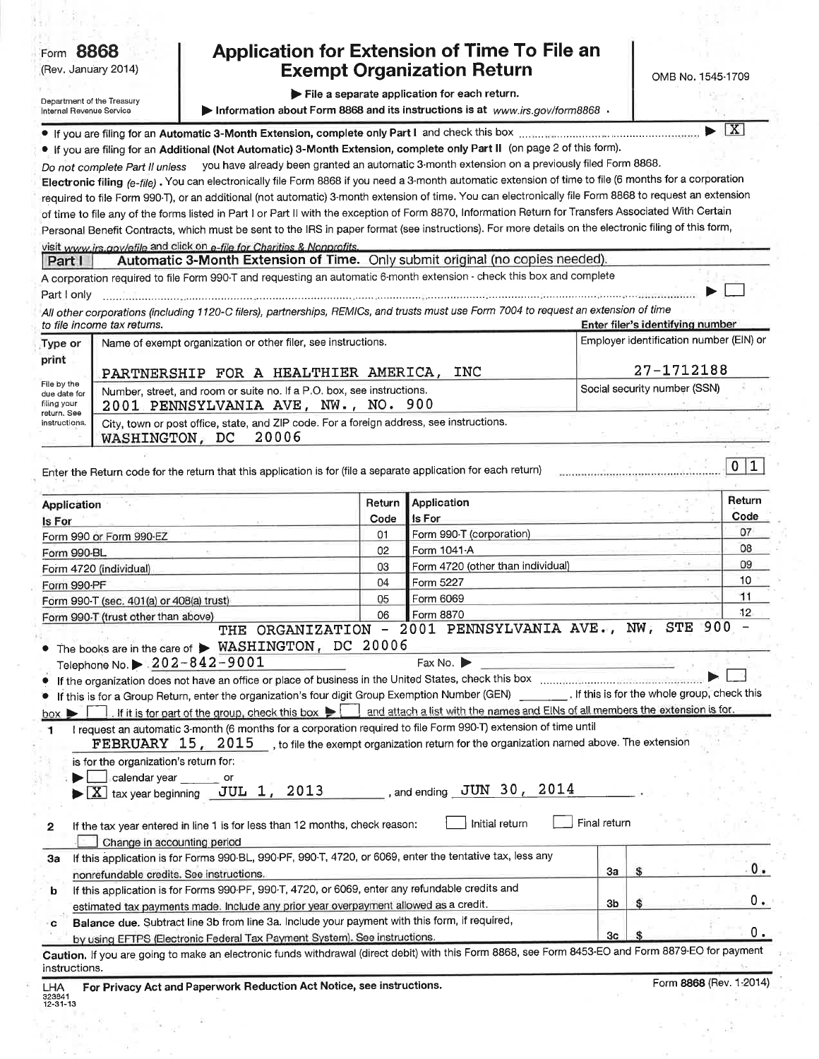|                                                           | Form 8868<br>(Rev. January 2014)                                                |                                                                                                                                                                                       |                | <b>Application for Extension of Time To File an</b><br><b>Exempt Organization Return</b>                                                                                                                                                                                                                                                                                                                                                                                                                                                                                                                                                                                                                                                                                                                                                                           |              | OMB No. 1545-1709                                                           |                |
|-----------------------------------------------------------|---------------------------------------------------------------------------------|---------------------------------------------------------------------------------------------------------------------------------------------------------------------------------------|----------------|--------------------------------------------------------------------------------------------------------------------------------------------------------------------------------------------------------------------------------------------------------------------------------------------------------------------------------------------------------------------------------------------------------------------------------------------------------------------------------------------------------------------------------------------------------------------------------------------------------------------------------------------------------------------------------------------------------------------------------------------------------------------------------------------------------------------------------------------------------------------|--------------|-----------------------------------------------------------------------------|----------------|
| Internal Revenue Service                                  | Department of the Treasury                                                      |                                                                                                                                                                                       |                | File a separate application for each return.<br>▶ Information about Form 8868 and its instructions is at www.irs.gov/form8868 ⋅                                                                                                                                                                                                                                                                                                                                                                                                                                                                                                                                                                                                                                                                                                                                    |              |                                                                             |                |
|                                                           |                                                                                 |                                                                                                                                                                                       |                | If you are filing for an Automatic 3-Month Extension, complete only Part I and check this box manuscription communities                                                                                                                                                                                                                                                                                                                                                                                                                                                                                                                                                                                                                                                                                                                                            |              |                                                                             | X              |
|                                                           | Do not complete Part II unless                                                  |                                                                                                                                                                                       |                | . If you are filing for an Additional (Not Automatic) 3-Month Extension, complete only Part II (on page 2 of this form).<br>you have already been granted an automatic 3-month extension on a previously filed Form 8868.<br>Electronic filing (e-file). You can electronically file Form 8868 if you need a 3-month automatic extension of time to file (6 months for a corporation<br>required to file Form 990-T), or an additional (not automatic) 3-month extension of time. You can electronically file Form 8868 to request an extension<br>of time to file any of the forms listed in Part I or Part II with the exception of Form 8870, Information Return for Transfers Associated With Certain<br>Personal Benefit Contracts, which must be sent to the IRS in paper format (see instructions). For more details on the electronic filing of this form, |              |                                                                             |                |
|                                                           |                                                                                 | visit www.irs.gov/efile and click on e-file for Charities & Nonprofits.                                                                                                               |                |                                                                                                                                                                                                                                                                                                                                                                                                                                                                                                                                                                                                                                                                                                                                                                                                                                                                    |              |                                                                             |                |
| Part I                                                    |                                                                                 |                                                                                                                                                                                       |                | Automatic 3-Month Extension of Time. Only submit original (no copies needed).<br>A corporation required to file Form 990-T and requesting an automatic 6-month extension - check this box and complete                                                                                                                                                                                                                                                                                                                                                                                                                                                                                                                                                                                                                                                             |              |                                                                             |                |
| Part I only                                               |                                                                                 |                                                                                                                                                                                       |                |                                                                                                                                                                                                                                                                                                                                                                                                                                                                                                                                                                                                                                                                                                                                                                                                                                                                    |              |                                                                             |                |
|                                                           |                                                                                 |                                                                                                                                                                                       |                | All other corporations (including 1120-C filers), partnerships, REMICs, and trusts must use Form 7004 to request an extension of time                                                                                                                                                                                                                                                                                                                                                                                                                                                                                                                                                                                                                                                                                                                              |              |                                                                             |                |
|                                                           | to file income tax returns.                                                     | Name of exempt organization or other filer, see instructions.                                                                                                                         |                |                                                                                                                                                                                                                                                                                                                                                                                                                                                                                                                                                                                                                                                                                                                                                                                                                                                                    |              | Enter filer's identifying number<br>Employer identification number (EIN) or |                |
| Type or<br>print                                          |                                                                                 |                                                                                                                                                                                       |                |                                                                                                                                                                                                                                                                                                                                                                                                                                                                                                                                                                                                                                                                                                                                                                                                                                                                    |              |                                                                             |                |
|                                                           |                                                                                 | PARTNERSHIP FOR A HEALTHIER AMERICA, INC                                                                                                                                              |                |                                                                                                                                                                                                                                                                                                                                                                                                                                                                                                                                                                                                                                                                                                                                                                                                                                                                    |              | 27-1712188                                                                  |                |
| File by the<br>due date for<br>filing your<br>return. See |                                                                                 | Number, street, and room or suite no. If a P.O. box, see instructions.<br>2001 PENNSYLVANIA AVE, NW., NO. 900                                                                         |                |                                                                                                                                                                                                                                                                                                                                                                                                                                                                                                                                                                                                                                                                                                                                                                                                                                                                    |              | Social security number (SSN)                                                |                |
| instructions.                                             | WASHINGTON, DC                                                                  | City, town or post office, state, and ZIP code. For a foreign address, see instructions.<br>20006                                                                                     |                |                                                                                                                                                                                                                                                                                                                                                                                                                                                                                                                                                                                                                                                                                                                                                                                                                                                                    |              |                                                                             |                |
|                                                           |                                                                                 |                                                                                                                                                                                       |                |                                                                                                                                                                                                                                                                                                                                                                                                                                                                                                                                                                                                                                                                                                                                                                                                                                                                    |              |                                                                             |                |
|                                                           |                                                                                 |                                                                                                                                                                                       | Return<br>Code | <b>Application</b><br>Is For                                                                                                                                                                                                                                                                                                                                                                                                                                                                                                                                                                                                                                                                                                                                                                                                                                       |              |                                                                             | Return<br>Code |
|                                                           | Form 990 or Form 990-EZ                                                         |                                                                                                                                                                                       | 01             | Form 990-T (corporation)                                                                                                                                                                                                                                                                                                                                                                                                                                                                                                                                                                                                                                                                                                                                                                                                                                           |              |                                                                             | 07             |
|                                                           |                                                                                 |                                                                                                                                                                                       | 02             | Form 1041-A                                                                                                                                                                                                                                                                                                                                                                                                                                                                                                                                                                                                                                                                                                                                                                                                                                                        |              |                                                                             | 08<br>09       |
|                                                           | Form 4720 (individual)                                                          |                                                                                                                                                                                       | 03<br>04       | Form 4720 (other than individual)<br>Form 5227                                                                                                                                                                                                                                                                                                                                                                                                                                                                                                                                                                                                                                                                                                                                                                                                                     |              |                                                                             | 10             |
| Application<br>Is For<br>Form 990-BL<br>Form 990-PF       |                                                                                 |                                                                                                                                                                                       | 05             | Form 6069                                                                                                                                                                                                                                                                                                                                                                                                                                                                                                                                                                                                                                                                                                                                                                                                                                                          |              |                                                                             | 11             |
|                                                           | Form 990-T (sec. 401(a) or 408(a) trust)<br>Form 990-T (trust other than above) |                                                                                                                                                                                       | 06             | Form 8870                                                                                                                                                                                                                                                                                                                                                                                                                                                                                                                                                                                                                                                                                                                                                                                                                                                          |              |                                                                             | 12             |
|                                                           |                                                                                 |                                                                                                                                                                                       |                | THE ORGANIZATION - 2001 PENNSYLVANIA AVE., NW,                                                                                                                                                                                                                                                                                                                                                                                                                                                                                                                                                                                                                                                                                                                                                                                                                     |              | <b>STE 900</b>                                                              |                |
|                                                           |                                                                                 | The books are in the care of > WASHINGTON, DC 20006                                                                                                                                   |                |                                                                                                                                                                                                                                                                                                                                                                                                                                                                                                                                                                                                                                                                                                                                                                                                                                                                    |              |                                                                             |                |
|                                                           | Telephone No. $\triangleright$ 202-842-9001                                     |                                                                                                                                                                                       |                | Fax No. $\blacktriangleright$<br><u> San Amerikaanse kommunister o</u>                                                                                                                                                                                                                                                                                                                                                                                                                                                                                                                                                                                                                                                                                                                                                                                             |              |                                                                             |                |
|                                                           |                                                                                 |                                                                                                                                                                                       |                |                                                                                                                                                                                                                                                                                                                                                                                                                                                                                                                                                                                                                                                                                                                                                                                                                                                                    |              |                                                                             |                |
| $box \triangleright$                                      |                                                                                 |                                                                                                                                                                                       |                | If this is for a Group Return, enter the organization's four digit Group Exemption Number (GEN) [16] This is for the whole group, check this                                                                                                                                                                                                                                                                                                                                                                                                                                                                                                                                                                                                                                                                                                                       |              |                                                                             |                |
| 1                                                         |                                                                                 |                                                                                                                                                                                       |                | . If it is for part of the group, check this box    and attach a list with the names and EINs of all members the extension is for.<br>I request an automatic 3-month (6 months for a corporation required to file Form 990-T) extension of time until                                                                                                                                                                                                                                                                                                                                                                                                                                                                                                                                                                                                              |              |                                                                             |                |
|                                                           | is for the organization's return for:<br>calendar year cor                      |                                                                                                                                                                                       |                | FEBRUARY 15, 2015 , to file the exempt organization return for the organization named above. The extension                                                                                                                                                                                                                                                                                                                                                                                                                                                                                                                                                                                                                                                                                                                                                         |              |                                                                             |                |
|                                                           |                                                                                 | $\blacktriangleright$ $\boxed{\text{X}}$ tax year beginning $\boxed{\text{JUL}}$ 1, 2013<br>If the tax year entered in line 1 is for less than 12 months, check reason:               |                | $\sim$ , and ending $\sim$ JUN $\,$ 30 $\,$ , $\,$ 2014<br>Initial return                                                                                                                                                                                                                                                                                                                                                                                                                                                                                                                                                                                                                                                                                                                                                                                          | Final return |                                                                             |                |
|                                                           | Change in accounting period                                                     | If this application is for Forms 990-BL, 990-PF, 990-T, 4720, or 6069, enter the tentative tax, less any                                                                              |                |                                                                                                                                                                                                                                                                                                                                                                                                                                                                                                                                                                                                                                                                                                                                                                                                                                                                    |              |                                                                             |                |
|                                                           | nonrefundable credits. See instructions.                                        |                                                                                                                                                                                       |                |                                                                                                                                                                                                                                                                                                                                                                                                                                                                                                                                                                                                                                                                                                                                                                                                                                                                    | За           |                                                                             |                |
| b                                                         |                                                                                 | If this application is for Forms 990-PF, 990-T, 4720, or 6069, enter any refundable credits and                                                                                       |                |                                                                                                                                                                                                                                                                                                                                                                                                                                                                                                                                                                                                                                                                                                                                                                                                                                                                    |              |                                                                             |                |
| 2<br>За<br>c                                              |                                                                                 | estimated tax payments made. Include any prior year overpayment allowed as a credit.<br>Balance due. Subtract line 3b from line 3a. Include your payment with this form, if required, |                |                                                                                                                                                                                                                                                                                                                                                                                                                                                                                                                                                                                                                                                                                                                                                                                                                                                                    | 3b           |                                                                             | 0.<br>0.       |

LHA<br>323841<br>12-31-13 For Privacy Act and Paperwork Reduction Act Notice, see instructions.

×

 $\frac{1}{k+1}$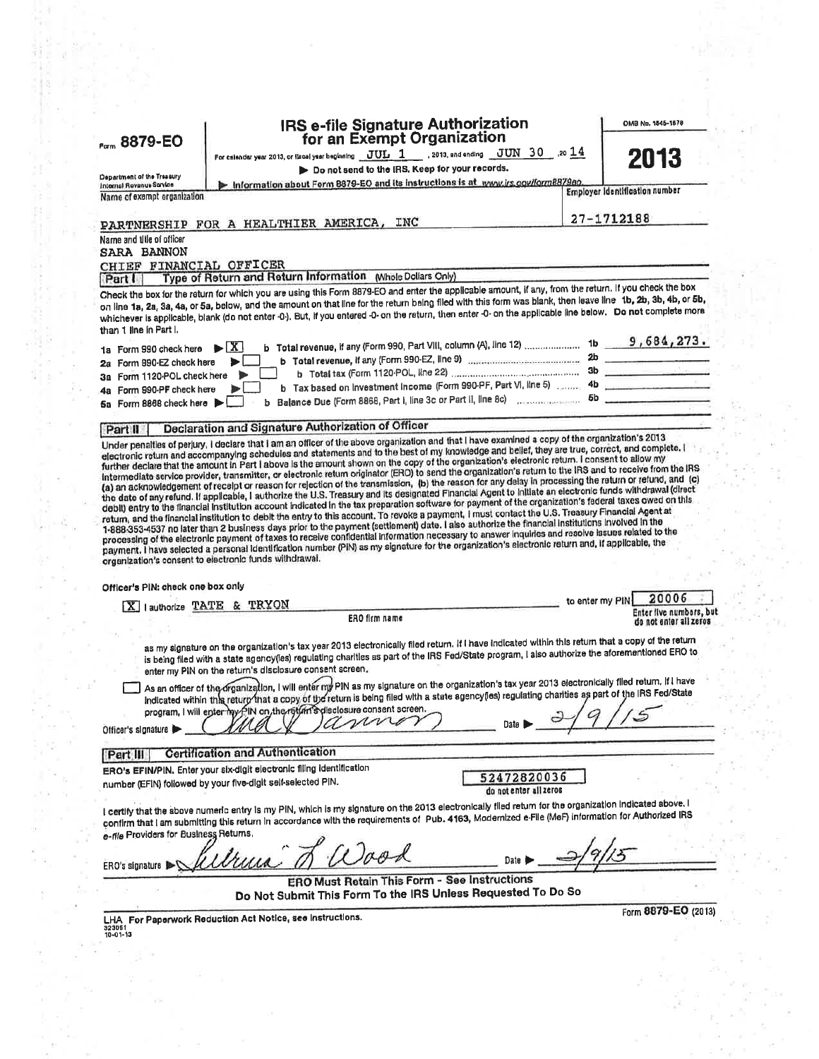| <b>Porm 8879-EO</b>                                     | IRS e-file Signature Authorization<br>for an Exempt Organization                                                                                                                                                                                                                                                                                                                                                                                                                                                                                                                                                                                                                                                                                                                                                                                                                                                                                                                                    |                                                                                                                                                         | OMB Np. 1545-1678                                    |
|---------------------------------------------------------|-----------------------------------------------------------------------------------------------------------------------------------------------------------------------------------------------------------------------------------------------------------------------------------------------------------------------------------------------------------------------------------------------------------------------------------------------------------------------------------------------------------------------------------------------------------------------------------------------------------------------------------------------------------------------------------------------------------------------------------------------------------------------------------------------------------------------------------------------------------------------------------------------------------------------------------------------------------------------------------------------------|---------------------------------------------------------------------------------------------------------------------------------------------------------|------------------------------------------------------|
|                                                         | For csiender year 2013, or ilsoel year beginning $\overline{\text{JUL}}$ $1$ . 2013, and ending $\overline{\text{JUN}}$ 30 $\overline{\text{.20}}$ ,20 $\overline{\text{14}}$                                                                                                                                                                                                                                                                                                                                                                                                                                                                                                                                                                                                                                                                                                                                                                                                                       |                                                                                                                                                         | 2013                                                 |
| Department of the Treasury                              | Do not send to the IRS. Keep for your records.                                                                                                                                                                                                                                                                                                                                                                                                                                                                                                                                                                                                                                                                                                                                                                                                                                                                                                                                                      |                                                                                                                                                         |                                                      |
| Internal Revenue Service<br>Name of exempt organization | Information about Form 8879-EO and its instructions is at www.irs.gov/form8879ao.                                                                                                                                                                                                                                                                                                                                                                                                                                                                                                                                                                                                                                                                                                                                                                                                                                                                                                                   |                                                                                                                                                         | <b>Employer Identification number</b>                |
|                                                         |                                                                                                                                                                                                                                                                                                                                                                                                                                                                                                                                                                                                                                                                                                                                                                                                                                                                                                                                                                                                     |                                                                                                                                                         |                                                      |
|                                                         | INC<br>PARTNERSHIP FOR A HEALTHIER AMERICA,                                                                                                                                                                                                                                                                                                                                                                                                                                                                                                                                                                                                                                                                                                                                                                                                                                                                                                                                                         |                                                                                                                                                         | 27-1712188                                           |
| Name and title of officer<br><b>SARA BANNON</b>         |                                                                                                                                                                                                                                                                                                                                                                                                                                                                                                                                                                                                                                                                                                                                                                                                                                                                                                                                                                                                     |                                                                                                                                                         |                                                      |
| CHIEF FINANCIAL OFFICER                                 |                                                                                                                                                                                                                                                                                                                                                                                                                                                                                                                                                                                                                                                                                                                                                                                                                                                                                                                                                                                                     |                                                                                                                                                         |                                                      |
| Part I                                                  | Type of Return and Return Information (Whole Dollars Only)                                                                                                                                                                                                                                                                                                                                                                                                                                                                                                                                                                                                                                                                                                                                                                                                                                                                                                                                          |                                                                                                                                                         |                                                      |
|                                                         | Check the box for the return for which you are using this Form 8879-EO and enter the applicable amount, if any, from the return. If you check the box<br>on line 1a, 2a, 3a, 4a, or 5a, below, and the amount on that line for the return being filed with this form was blank, then leave line 1b, 2b, 3b, 4b, or 5b,<br>whichever is applicable, blank (do not enter -0-). But, if you entered -0- on the return, then enter -0- on the applicable line below. Do not complete more                                                                                                                                                                                                                                                                                                                                                                                                                                                                                                               |                                                                                                                                                         |                                                      |
| than 1 line in Part I,                                  |                                                                                                                                                                                                                                                                                                                                                                                                                                                                                                                                                                                                                                                                                                                                                                                                                                                                                                                                                                                                     |                                                                                                                                                         |                                                      |
| 1a Form 990 check here<br>2a Form 990-EZ check here     | $\blacktriangleright$ $\mathbf{X}$                                                                                                                                                                                                                                                                                                                                                                                                                                                                                                                                                                                                                                                                                                                                                                                                                                                                                                                                                                  | b Total revenue, if any (Form 990, Part VIII, column (A), line 12)  1b 9, 684, 273.                                                                     |                                                      |
| 3a Form 1120-POL check here                             |                                                                                                                                                                                                                                                                                                                                                                                                                                                                                                                                                                                                                                                                                                                                                                                                                                                                                                                                                                                                     |                                                                                                                                                         |                                                      |
| 4a Form 990-PF check here                               |                                                                                                                                                                                                                                                                                                                                                                                                                                                                                                                                                                                                                                                                                                                                                                                                                                                                                                                                                                                                     | b Tax based on Investment Income (Form 990-PF, Part VI, line 5) 4b                                                                                      |                                                      |
| 5a Form 8868 check here                                 | b                                                                                                                                                                                                                                                                                                                                                                                                                                                                                                                                                                                                                                                                                                                                                                                                                                                                                                                                                                                                   | Balance Due (Form 8868, Part I, line 3c or Part II, line 8c) macadiacontrol 5b                                                                          |                                                      |
| Part II                                                 | Declaration and Signature Authorization of Officer<br>Under penalties of perjury, I declare that I am an officer of the above organization and that I have examined a copy of the organization's 2013                                                                                                                                                                                                                                                                                                                                                                                                                                                                                                                                                                                                                                                                                                                                                                                               |                                                                                                                                                         |                                                      |
|                                                         | further declare that the amount in Part I above is the amount shown on the copy of the organization's electronic return. I consent to allow my<br>Intermediate service provider, transmitter, or electronic retum originator (ERO) to send the organization's return to the IRS and to receive from the IRS                                                                                                                                                                                                                                                                                                                                                                                                                                                                                                                                                                                                                                                                                         | (a) an acknowledgement of receipt or reason for relection of the transmission, (b) the reason for any delay in processing the return or refund, and (c) |                                                      |
|                                                         | the date of any refund. If applicable, I authorize the U.S. Treasury and its designated Financial Agent to initiate an electronic funds withdrawal (direct<br>debit) entry to the financial institution account indicated in the tax preparation software for payment of the organization's federal taxes owed on this<br>return, and the financial institution to debit the entry to this account. To revoke a payment, I must contact the U.S. Treasury Financial Agent at<br>1-888-353-4537 no later than 2 business days prior to the payment (settlement) date. I also authorize the financial institutions involved in the<br>processing of the electronic payment of taxes to receive confidential information necessary to answer inquiries and resolve issues related to the<br>payment. I have selected a personal identification number (PIN) as my signature for the organization's electronic return and, if applicable, the<br>organization's consent to electronic funds withdrawal. |                                                                                                                                                         |                                                      |
| Officer's PIN: check one box only                       |                                                                                                                                                                                                                                                                                                                                                                                                                                                                                                                                                                                                                                                                                                                                                                                                                                                                                                                                                                                                     |                                                                                                                                                         |                                                      |
|                                                         | X   authorize TATE & TRYON                                                                                                                                                                                                                                                                                                                                                                                                                                                                                                                                                                                                                                                                                                                                                                                                                                                                                                                                                                          |                                                                                                                                                         | 20006<br>to enter my PINI<br>Enter five numbers, but |
|                                                         | ERO firm name                                                                                                                                                                                                                                                                                                                                                                                                                                                                                                                                                                                                                                                                                                                                                                                                                                                                                                                                                                                       |                                                                                                                                                         | do not enter all zeros                               |
|                                                         | as my signature on the organization's tax year 2013 electronically filed return. If I have indicated within this return that a copy of the return<br>is being filed with a state agency(ies) regulating charities as part of the IRS Fed/State program, I also authorize the aforementioned ERO to                                                                                                                                                                                                                                                                                                                                                                                                                                                                                                                                                                                                                                                                                                  |                                                                                                                                                         |                                                      |
|                                                         | enter my PIN on the return's disclosure consent screen.<br>As an officer of the organization, I will enter my PIN as my signature on the organization's tax year 2013 electronically filed retum. If I have<br>Indicated within this returp that a copy of the return is being filed with a state agency(les) regulating charities as part of the IRS Fed/State                                                                                                                                                                                                                                                                                                                                                                                                                                                                                                                                                                                                                                     |                                                                                                                                                         |                                                      |
|                                                         | program, I will enter my PIN on the return's disclosure consent screen.                                                                                                                                                                                                                                                                                                                                                                                                                                                                                                                                                                                                                                                                                                                                                                                                                                                                                                                             |                                                                                                                                                         |                                                      |
| Officer's signature                                     | m                                                                                                                                                                                                                                                                                                                                                                                                                                                                                                                                                                                                                                                                                                                                                                                                                                                                                                                                                                                                   |                                                                                                                                                         |                                                      |
| Part III                                                | <b>Certification and Authentication</b>                                                                                                                                                                                                                                                                                                                                                                                                                                                                                                                                                                                                                                                                                                                                                                                                                                                                                                                                                             |                                                                                                                                                         |                                                      |
|                                                         | ERO's EFIN/PIN. Enter your six-digit electronic filing identification                                                                                                                                                                                                                                                                                                                                                                                                                                                                                                                                                                                                                                                                                                                                                                                                                                                                                                                               |                                                                                                                                                         |                                                      |
|                                                         | number (EFIN) followed by your five-digit self-selected PIN.                                                                                                                                                                                                                                                                                                                                                                                                                                                                                                                                                                                                                                                                                                                                                                                                                                                                                                                                        | 52472820036<br>do not enter all zeros                                                                                                                   |                                                      |
|                                                         |                                                                                                                                                                                                                                                                                                                                                                                                                                                                                                                                                                                                                                                                                                                                                                                                                                                                                                                                                                                                     |                                                                                                                                                         |                                                      |
|                                                         | I certify that the above numeric entry is my PIN, which is my signature on the 2013 electronically filed return for the organization indicated above. I<br>confirm that I am submitting this return in accordance with the requirements of Pub. 4163, Modernized e-File (MeF) information for Authorized IRS                                                                                                                                                                                                                                                                                                                                                                                                                                                                                                                                                                                                                                                                                        |                                                                                                                                                         |                                                      |
| e-file Providers for Business Returns.                  |                                                                                                                                                                                                                                                                                                                                                                                                                                                                                                                                                                                                                                                                                                                                                                                                                                                                                                                                                                                                     |                                                                                                                                                         |                                                      |
|                                                         |                                                                                                                                                                                                                                                                                                                                                                                                                                                                                                                                                                                                                                                                                                                                                                                                                                                                                                                                                                                                     |                                                                                                                                                         |                                                      |
| ERO's signature                                         | ERO Must Retain This Form - See Instructions                                                                                                                                                                                                                                                                                                                                                                                                                                                                                                                                                                                                                                                                                                                                                                                                                                                                                                                                                        |                                                                                                                                                         |                                                      |
|                                                         | Do Not Submit This Form To the IRS Unless Requested To Do So                                                                                                                                                                                                                                                                                                                                                                                                                                                                                                                                                                                                                                                                                                                                                                                                                                                                                                                                        |                                                                                                                                                         |                                                      |
| 323061<br>10-01-13                                      | LHA For Paperwork Reduction Act Notice, see Instructions.                                                                                                                                                                                                                                                                                                                                                                                                                                                                                                                                                                                                                                                                                                                                                                                                                                                                                                                                           |                                                                                                                                                         | Form 8879-EO (2013)                                  |
|                                                         |                                                                                                                                                                                                                                                                                                                                                                                                                                                                                                                                                                                                                                                                                                                                                                                                                                                                                                                                                                                                     |                                                                                                                                                         |                                                      |
|                                                         |                                                                                                                                                                                                                                                                                                                                                                                                                                                                                                                                                                                                                                                                                                                                                                                                                                                                                                                                                                                                     |                                                                                                                                                         |                                                      |
|                                                         |                                                                                                                                                                                                                                                                                                                                                                                                                                                                                                                                                                                                                                                                                                                                                                                                                                                                                                                                                                                                     |                                                                                                                                                         |                                                      |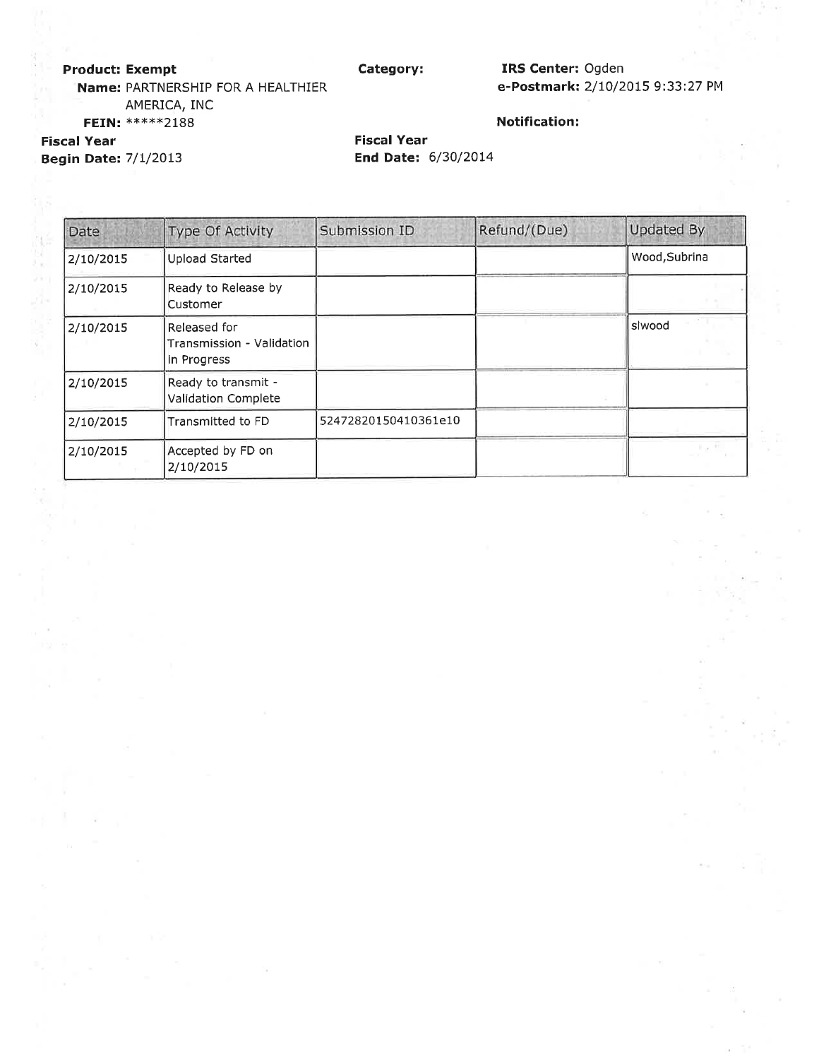### **Product: Exempt**

Category:

IRS Center: Ogden e-Postmark: 2/10/2015 9:33:27 PM

Name: PARTNERSHIP FOR A HEALTHIER AMERICA, INC FEIN: \*\*\*\*\*\*2188

### **Notification:**

**Fiscal Year Begin Date: 7/1/2013** 

N, ష

**Fiscal Year End Date: 6/30/2014** 

| Date      | Type Of Activity                                         | Submission ID        | Refund/(Due) | Updated By    |
|-----------|----------------------------------------------------------|----------------------|--------------|---------------|
| 2/10/2015 | <b>Upload Started</b>                                    |                      |              | Wood, Subrina |
| 2/10/2015 | Ready to Release by<br>Customer                          |                      |              |               |
| 2/10/2015 | Released for<br>Transmission - Validation<br>in Progress |                      |              | slwood        |
| 2/10/2015 | Ready to transmit -<br>Validation Complete               |                      |              |               |
| 2/10/2015 | Transmitted to FD                                        | 52472820150410361e10 |              |               |
| 2/10/2015 | Accepted by FD on<br>2/10/2015                           |                      |              |               |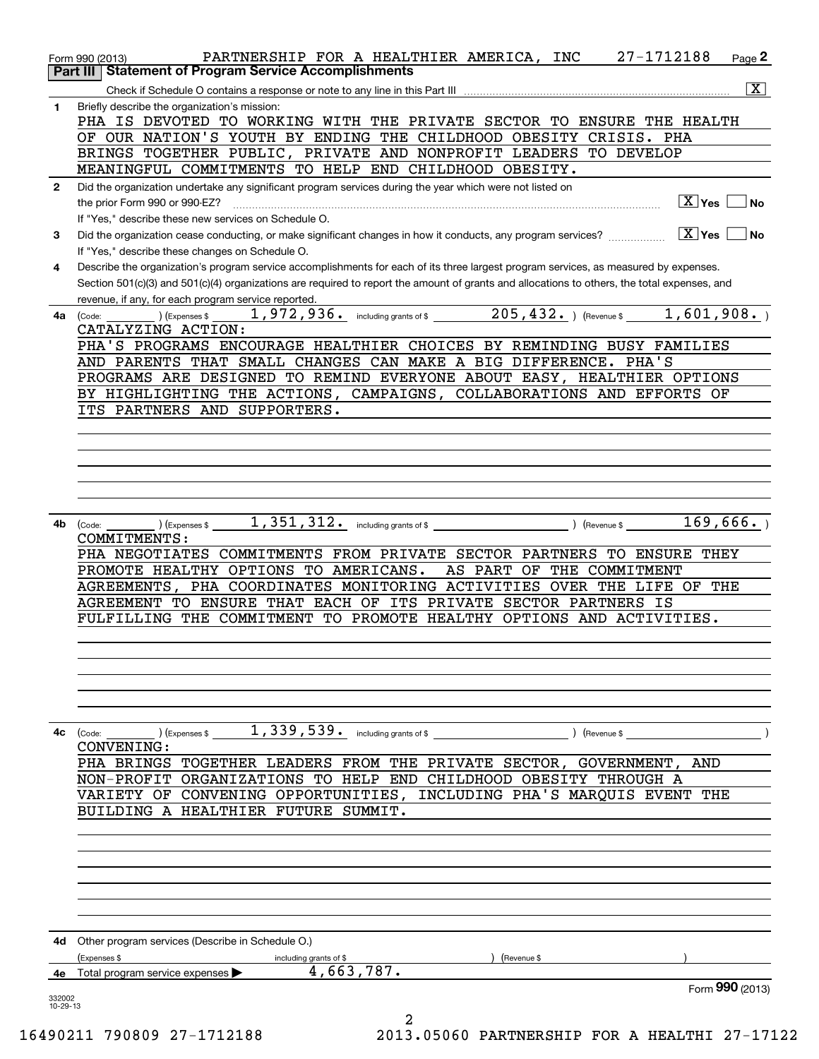|                    | PARTNERSHIP FOR A HEALTHIER AMERICA, INC 27-1712188<br>Page 2<br>Form 990 (2013)                                                                                                                                       |
|--------------------|------------------------------------------------------------------------------------------------------------------------------------------------------------------------------------------------------------------------|
|                    | Part III   Statement of Program Service Accomplishments                                                                                                                                                                |
|                    | $\boxed{\text{X}}$                                                                                                                                                                                                     |
| 1                  | Briefly describe the organization's mission:                                                                                                                                                                           |
|                    | PHA IS DEVOTED TO WORKING WITH THE PRIVATE SECTOR TO ENSURE THE HEALTH                                                                                                                                                 |
|                    | OF OUR NATION'S YOUTH BY ENDING THE CHILDHOOD OBESITY CRISIS. PHA                                                                                                                                                      |
|                    | BRINGS TOGETHER PUBLIC, PRIVATE AND NONPROFIT LEADERS TO DEVELOP<br>MEANINGFUL COMMITMENTS TO HELP END CHILDHOOD OBESITY.                                                                                              |
|                    |                                                                                                                                                                                                                        |
| $\mathbf{2}$       | Did the organization undertake any significant program services during the year which were not listed on<br>$\boxed{\text{X}}$ Yes $\boxed{\phantom{0}}$ No                                                            |
|                    | If "Yes." describe these new services on Schedule O.                                                                                                                                                                   |
| 3                  |                                                                                                                                                                                                                        |
|                    | If "Yes," describe these changes on Schedule O.                                                                                                                                                                        |
| 4                  | Describe the organization's program service accomplishments for each of its three largest program services, as measured by expenses.                                                                                   |
|                    | Section 501(c)(3) and 501(c)(4) organizations are required to report the amount of grants and allocations to others, the total expenses, and                                                                           |
|                    | revenue, if any, for each program service reported.                                                                                                                                                                    |
|                    | <b>4a</b> (Code:                                                                                                                                                                                                       |
|                    | CATALYZING ACTION:                                                                                                                                                                                                     |
|                    | PHA'S PROGRAMS ENCOURAGE HEALTHIER CHOICES BY REMINDING BUSY FAMILIES                                                                                                                                                  |
|                    | AND PARENTS THAT SMALL CHANGES CAN MAKE A BIG DIFFERENCE. PHA'S                                                                                                                                                        |
|                    | PROGRAMS ARE DESIGNED TO REMIND EVERYONE ABOUT EASY, HEALTHIER OPTIONS                                                                                                                                                 |
|                    | BY HIGHLIGHTING THE ACTIONS, CAMPAIGNS, COLLABORATIONS AND EFFORTS OF                                                                                                                                                  |
|                    | ITS PARTNERS AND SUPPORTERS.                                                                                                                                                                                           |
|                    |                                                                                                                                                                                                                        |
|                    |                                                                                                                                                                                                                        |
|                    |                                                                                                                                                                                                                        |
|                    |                                                                                                                                                                                                                        |
|                    |                                                                                                                                                                                                                        |
|                    |                                                                                                                                                                                                                        |
|                    | $\hspace{1.5cm}$ ) (Expenses \$ $\hspace{1.5cm} 1$ , $351$ , $312$ $\hspace{1.5cm}$ including grants of \$ $\hspace{1.5cm}$ ) (Revenue \$ $\hspace{1.5cm} 169$ , $666$ $\hspace{1.5cm}$ )<br>4b (Code:<br>COMMITMENTS: |
|                    | PHA NEGOTIATES COMMITMENTS FROM PRIVATE SECTOR PARTNERS TO ENSURE THEY                                                                                                                                                 |
|                    | AS PART OF THE COMMITMENT<br>PROMOTE HEALTHY OPTIONS TO AMERICANS.                                                                                                                                                     |
|                    | AGREEMENTS, PHA COORDINATES MONITORING ACTIVITIES OVER THE LIFE OF THE                                                                                                                                                 |
|                    | AGREEMENT TO ENSURE THAT EACH OF ITS PRIVATE SECTOR PARTNERS IS                                                                                                                                                        |
|                    | FULFILLING THE COMMITMENT TO PROMOTE HEALTHY OPTIONS AND ACTIVITIES.                                                                                                                                                   |
|                    |                                                                                                                                                                                                                        |
|                    |                                                                                                                                                                                                                        |
|                    |                                                                                                                                                                                                                        |
|                    |                                                                                                                                                                                                                        |
|                    |                                                                                                                                                                                                                        |
|                    |                                                                                                                                                                                                                        |
|                    | ) (Revenue \$                                                                                                                                                                                                          |
|                    | <b>CONVENING:</b>                                                                                                                                                                                                      |
|                    | PHA BRINGS TOGETHER LEADERS FROM THE PRIVATE SECTOR, GOVERNMENT, AND                                                                                                                                                   |
|                    | NON-PROFIT ORGANIZATIONS TO HELP END CHILDHOOD OBESITY THROUGH A                                                                                                                                                       |
|                    | VARIETY OF CONVENING OPPORTUNITIES, INCLUDING PHA'S MARQUIS EVENT THE                                                                                                                                                  |
|                    | BUILDING A HEALTHIER FUTURE SUMMIT.                                                                                                                                                                                    |
|                    |                                                                                                                                                                                                                        |
|                    |                                                                                                                                                                                                                        |
|                    |                                                                                                                                                                                                                        |
|                    |                                                                                                                                                                                                                        |
|                    |                                                                                                                                                                                                                        |
|                    |                                                                                                                                                                                                                        |
|                    | <b>4d</b> Other program services (Describe in Schedule O.)                                                                                                                                                             |
|                    | (Expenses \$<br>(Revenue \$<br>including grants of \$                                                                                                                                                                  |
| 4е                 | 4,663,787.<br>Total program service expenses                                                                                                                                                                           |
|                    | Form 990 (2013)                                                                                                                                                                                                        |
| 332002<br>10-29-13 |                                                                                                                                                                                                                        |
|                    | 2                                                                                                                                                                                                                      |

16490211 790809 27-1712188 2013.05060 PARTNERSHIP FOR A HEALTHI 27-17122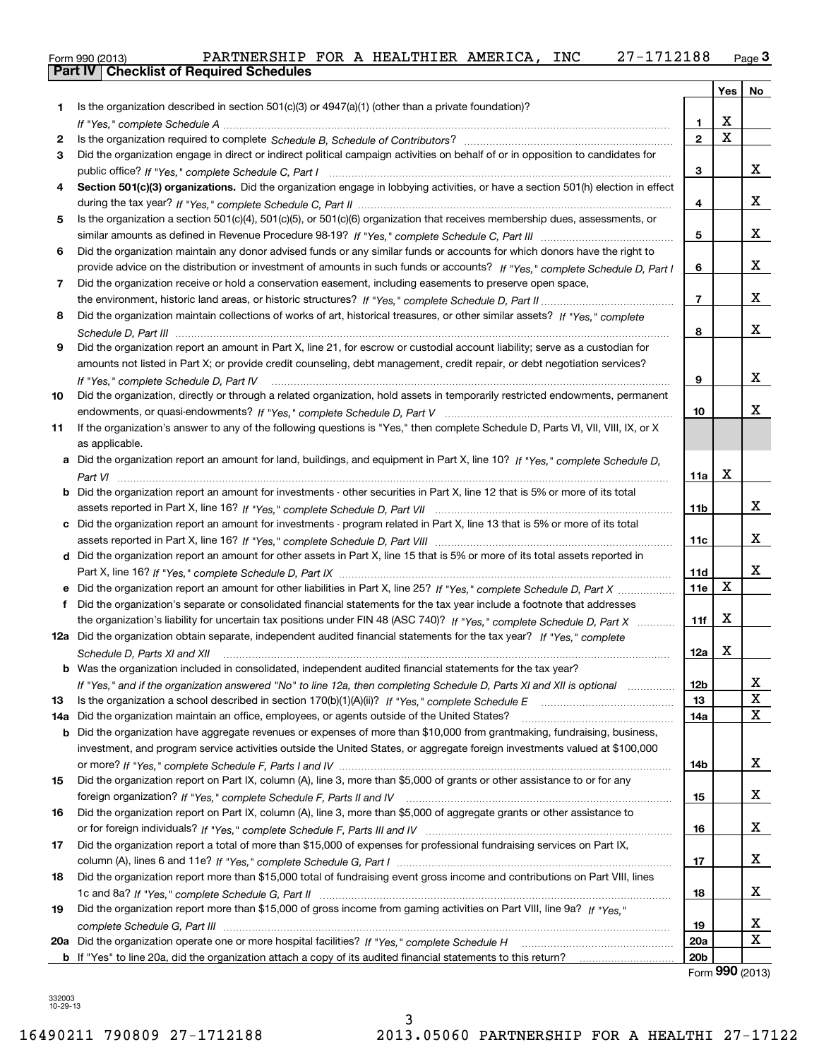| Form 990 (2013) |                                                  | PARTNERSHIP FOR A HEALTHIER AMERICA, |  |  | <b>INC</b> | 27-1712188 | نة Page |
|-----------------|--------------------------------------------------|--------------------------------------|--|--|------------|------------|---------|
|                 | <b>Part IV   Checklist of Required Schedules</b> |                                      |  |  |            |            |         |

|     |                                                                                                                                      |                 | Yes         | No                         |
|-----|--------------------------------------------------------------------------------------------------------------------------------------|-----------------|-------------|----------------------------|
| 1   | Is the organization described in section $501(c)(3)$ or $4947(a)(1)$ (other than a private foundation)?                              |                 |             |                            |
|     |                                                                                                                                      | 1               | х           |                            |
| 2   |                                                                                                                                      | $\mathbf{2}$    | $\mathbf X$ |                            |
| З   | Did the organization engage in direct or indirect political campaign activities on behalf of or in opposition to candidates for      |                 |             |                            |
|     |                                                                                                                                      | 3               |             | х                          |
| 4   | Section 501(c)(3) organizations. Did the organization engage in lobbying activities, or have a section 501(h) election in effect     |                 |             |                            |
|     |                                                                                                                                      | 4               |             | х                          |
| 5   | Is the organization a section 501(c)(4), 501(c)(5), or 501(c)(6) organization that receives membership dues, assessments, or         |                 |             |                            |
|     |                                                                                                                                      | 5               |             | х                          |
| 6   | Did the organization maintain any donor advised funds or any similar funds or accounts for which donors have the right to            |                 |             |                            |
|     | provide advice on the distribution or investment of amounts in such funds or accounts? If "Yes," complete Schedule D, Part I         | 6               |             | х                          |
| 7   | Did the organization receive or hold a conservation easement, including easements to preserve open space,                            |                 |             |                            |
|     |                                                                                                                                      | $\overline{7}$  |             | х                          |
| 8   | Did the organization maintain collections of works of art, historical treasures, or other similar assets? If "Yes," complete         |                 |             |                            |
|     |                                                                                                                                      | 8               |             | х                          |
| 9   | Did the organization report an amount in Part X, line 21, for escrow or custodial account liability; serve as a custodian for        |                 |             |                            |
|     | amounts not listed in Part X; or provide credit counseling, debt management, credit repair, or debt negotiation services?            |                 |             |                            |
|     | If "Yes." complete Schedule D. Part IV                                                                                               | 9               |             | x                          |
| 10  | Did the organization, directly or through a related organization, hold assets in temporarily restricted endowments, permanent        |                 |             |                            |
|     |                                                                                                                                      | 10              |             | x                          |
| 11  | If the organization's answer to any of the following questions is "Yes," then complete Schedule D, Parts VI, VII, VIII, IX, or X     |                 |             |                            |
|     | as applicable.                                                                                                                       |                 |             |                            |
|     | a Did the organization report an amount for land, buildings, and equipment in Part X, line 10? If "Yes," complete Schedule D,        |                 |             |                            |
|     |                                                                                                                                      | 11a             | х           |                            |
|     | <b>b</b> Did the organization report an amount for investments - other securities in Part X, line 12 that is 5% or more of its total |                 |             |                            |
|     |                                                                                                                                      | 11b             |             | х                          |
|     | c Did the organization report an amount for investments - program related in Part X, line 13 that is 5% or more of its total         |                 |             |                            |
|     |                                                                                                                                      | 11c             |             | х                          |
|     | d Did the organization report an amount for other assets in Part X, line 15 that is 5% or more of its total assets reported in       |                 |             |                            |
|     |                                                                                                                                      | 11d             |             | х                          |
|     |                                                                                                                                      | 11e             | х           |                            |
| f   | Did the organization's separate or consolidated financial statements for the tax year include a footnote that addresses              |                 |             |                            |
|     | the organization's liability for uncertain tax positions under FIN 48 (ASC 740)? If "Yes," complete Schedule D, Part X               | 11f             | х           |                            |
|     | 12a Did the organization obtain separate, independent audited financial statements for the tax year? If "Yes," complete              |                 |             |                            |
|     | Schedule D, Parts XI and XII                                                                                                         | 12a             | х           |                            |
|     | <b>b</b> Was the organization included in consolidated, independent audited financial statements for the tax year?                   |                 |             |                            |
|     | If "Yes," and if the organization answered "No" to line 12a, then completing Schedule D, Parts XI and XII is optional manum          | 12b             |             | х                          |
| 13  |                                                                                                                                      | 13              |             | $\mathbf X$<br>$\mathbf X$ |
| 14a | Did the organization maintain an office, employees, or agents outside of the United States?                                          | 14a             |             |                            |
| b   | Did the organization have aggregate revenues or expenses of more than \$10,000 from grantmaking, fundraising, business,              |                 |             |                            |
|     | investment, and program service activities outside the United States, or aggregate foreign investments valued at \$100,000           |                 |             |                            |
|     |                                                                                                                                      | 14b             |             | x                          |
| 15  | Did the organization report on Part IX, column (A), line 3, more than \$5,000 of grants or other assistance to or for any            |                 |             | х                          |
|     |                                                                                                                                      | 15              |             |                            |
| 16  | Did the organization report on Part IX, column (A), line 3, more than \$5,000 of aggregate grants or other assistance to             |                 |             | х                          |
|     |                                                                                                                                      | 16              |             |                            |
| 17  | Did the organization report a total of more than \$15,000 of expenses for professional fundraising services on Part IX,              |                 |             | х                          |
|     |                                                                                                                                      | 17              |             |                            |
| 18  | Did the organization report more than \$15,000 total of fundraising event gross income and contributions on Part VIII, lines         |                 |             | х                          |
|     |                                                                                                                                      | 18              |             |                            |
| 19  | Did the organization report more than \$15,000 of gross income from gaming activities on Part VIII, line 9a? If "Yes."               |                 |             | х                          |
| 20a |                                                                                                                                      | 19<br>20a       |             | $\mathbf X$                |
|     |                                                                                                                                      | 20 <sub>b</sub> |             |                            |
|     |                                                                                                                                      |                 |             |                            |

Form (2013) **990**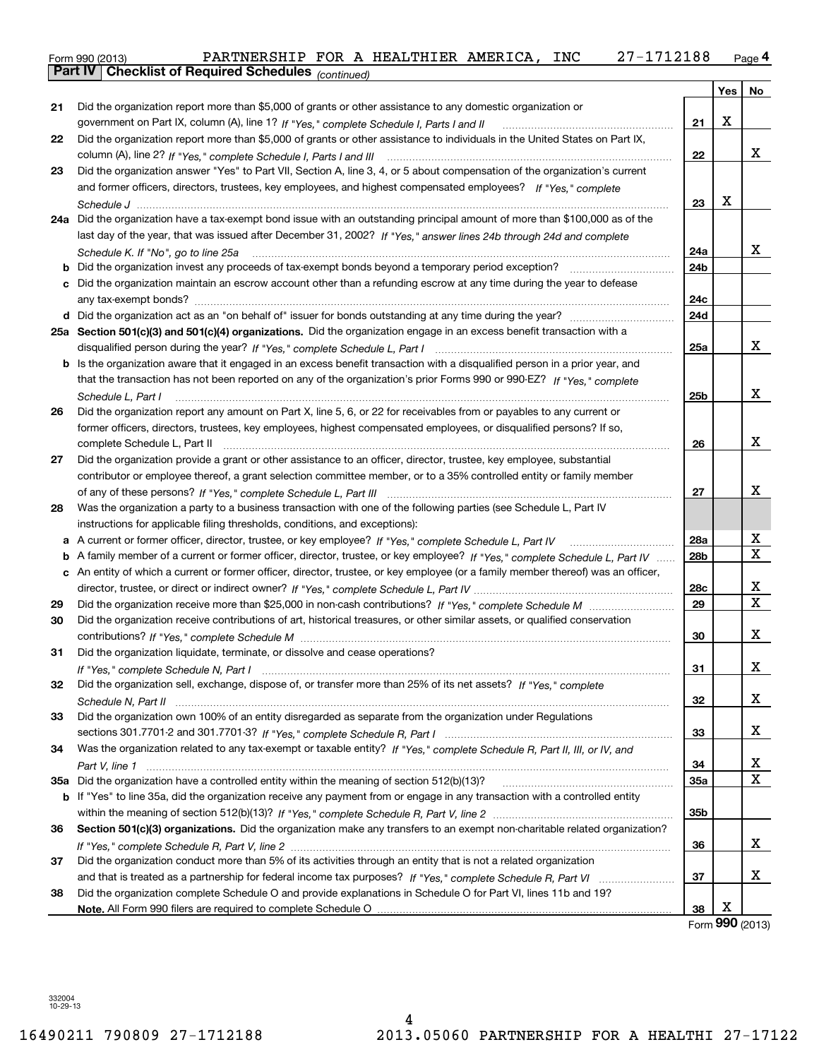| Form 990 (2013) |                                                              |  | PARTNERSHIP FOR A HEALTHIER AMERICA, INC |  | 27-1712188 | Page $\mathsf 4$ |
|-----------------|--------------------------------------------------------------|--|------------------------------------------|--|------------|------------------|
|                 | <b>Part IV   Checklist of Required Schedules</b> (continued) |  |                                          |  |            |                  |

|    | Parl IV  <br>Crieckist of Required Scriedules (continued)                                                                           |                 |     |             |
|----|-------------------------------------------------------------------------------------------------------------------------------------|-----------------|-----|-------------|
|    |                                                                                                                                     |                 | Yes | No          |
| 21 | Did the organization report more than \$5,000 of grants or other assistance to any domestic organization or                         |                 |     |             |
|    |                                                                                                                                     | 21              | X   |             |
| 22 | Did the organization report more than \$5,000 of grants or other assistance to individuals in the United States on Part IX,         |                 |     |             |
|    |                                                                                                                                     | 22              |     | x           |
| 23 | Did the organization answer "Yes" to Part VII, Section A, line 3, 4, or 5 about compensation of the organization's current          |                 |     |             |
|    | and former officers, directors, trustees, key employees, and highest compensated employees? If "Yes," complete                      |                 |     |             |
|    |                                                                                                                                     | 23              | х   |             |
|    | 24a Did the organization have a tax-exempt bond issue with an outstanding principal amount of more than \$100,000 as of the         |                 |     |             |
|    | last day of the year, that was issued after December 31, 2002? If "Yes," answer lines 24b through 24d and complete                  |                 |     |             |
|    | Schedule K. If "No", go to line 25a                                                                                                 | 24a             |     | x           |
|    | <b>b</b> Did the organization invest any proceeds of tax-exempt bonds beyond a temporary period exception?                          | 24b             |     |             |
|    | c Did the organization maintain an escrow account other than a refunding escrow at any time during the year to defease              |                 |     |             |
|    |                                                                                                                                     | 24c             |     |             |
|    |                                                                                                                                     | 24d             |     |             |
|    | 25a Section 501(c)(3) and 501(c)(4) organizations. Did the organization engage in an excess benefit transaction with a              |                 |     |             |
|    |                                                                                                                                     | 25a             |     | x           |
|    | <b>b</b> Is the organization aware that it engaged in an excess benefit transaction with a disqualified person in a prior year, and |                 |     |             |
|    | that the transaction has not been reported on any of the organization's prior Forms 990 or 990-EZ? If "Yes," complete               |                 |     |             |
|    | Schedule L, Part I                                                                                                                  | 25b             |     | х           |
| 26 | Did the organization report any amount on Part X, line 5, 6, or 22 for receivables from or payables to any current or               |                 |     |             |
|    | former officers, directors, trustees, key employees, highest compensated employees, or disqualified persons? If so,                 |                 |     |             |
|    | complete Schedule L, Part II                                                                                                        | 26              |     | х           |
| 27 | Did the organization provide a grant or other assistance to an officer, director, trustee, key employee, substantial                |                 |     |             |
|    | contributor or employee thereof, a grant selection committee member, or to a 35% controlled entity or family member                 |                 |     |             |
|    |                                                                                                                                     | 27              |     | x           |
| 28 | Was the organization a party to a business transaction with one of the following parties (see Schedule L, Part IV                   |                 |     |             |
|    | instructions for applicable filing thresholds, conditions, and exceptions):                                                         |                 |     |             |
|    |                                                                                                                                     | 28a             |     | х           |
|    | b A family member of a current or former officer, director, trustee, or key employee? If "Yes," complete Schedule L, Part IV        | 28 <sub>b</sub> |     | $\mathbf X$ |
|    | c An entity of which a current or former officer, director, trustee, or key employee (or a family member thereof) was an officer,   |                 |     |             |
|    |                                                                                                                                     | 28c             |     | х           |
| 29 |                                                                                                                                     | 29              |     | х           |
| 30 | Did the organization receive contributions of art, historical treasures, or other similar assets, or qualified conservation         |                 |     |             |
|    |                                                                                                                                     | 30              |     | х           |
| 31 | Did the organization liquidate, terminate, or dissolve and cease operations?                                                        |                 |     |             |
|    |                                                                                                                                     | 31              |     | х           |
| 32 | Did the organization sell, exchange, dispose of, or transfer more than 25% of its net assets? If "Yes," complete                    |                 |     |             |
|    |                                                                                                                                     | 32              |     | x           |
| 33 | Did the organization own 100% of an entity disregarded as separate from the organization under Regulations                          |                 |     |             |
|    |                                                                                                                                     | 33              |     | x           |
| 34 | Was the organization related to any tax-exempt or taxable entity? If "Yes," complete Schedule R, Part II, III, or IV, and           |                 |     |             |
|    |                                                                                                                                     | 34              |     | х           |
|    |                                                                                                                                     | 35a             |     | х           |
|    | b If "Yes" to line 35a, did the organization receive any payment from or engage in any transaction with a controlled entity         |                 |     |             |
|    |                                                                                                                                     | 35b             |     |             |
| 36 | Section 501(c)(3) organizations. Did the organization make any transfers to an exempt non-charitable related organization?          |                 |     |             |
|    |                                                                                                                                     |                 |     | х           |
|    |                                                                                                                                     | 36              |     |             |
| 37 | Did the organization conduct more than 5% of its activities through an entity that is not a related organization                    |                 |     | х           |
|    |                                                                                                                                     | 37              |     |             |
| 38 | Did the organization complete Schedule O and provide explanations in Schedule O for Part VI, lines 11b and 19?                      |                 | х   |             |
|    |                                                                                                                                     | 38              | nnn |             |

Form (2013) **990**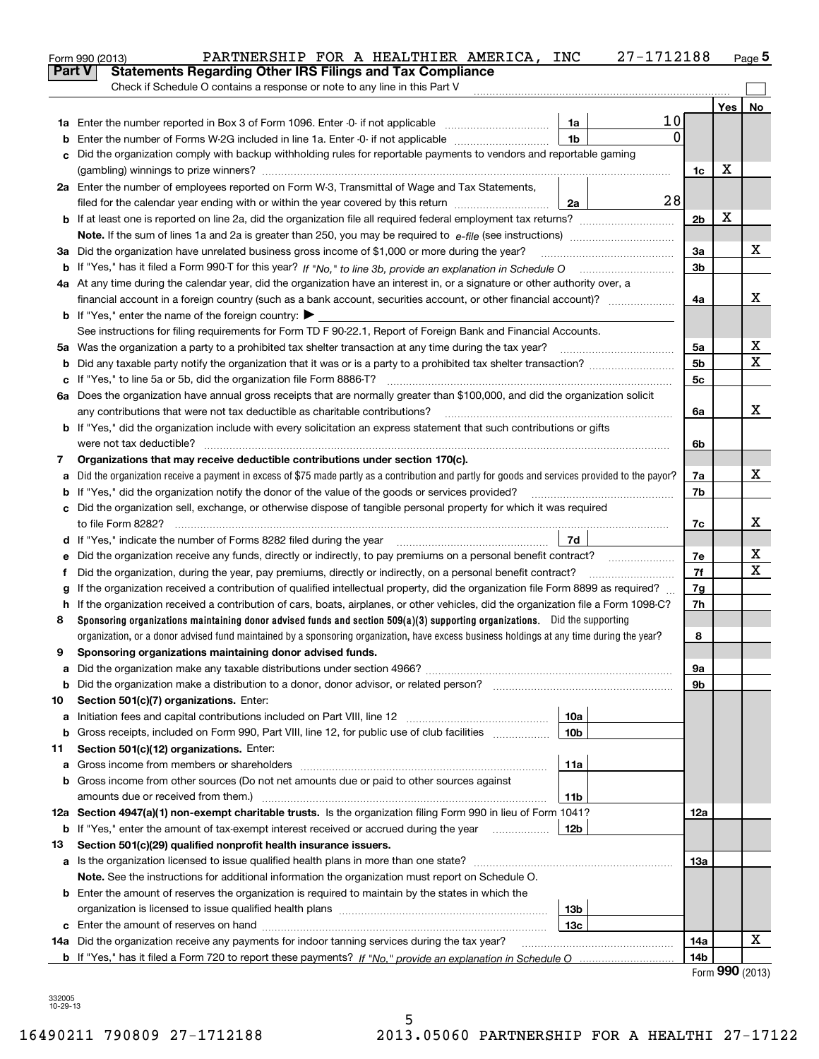|    | 27-1712188<br>PARTNERSHIP FOR A HEALTHIER AMERICA, INC<br>Form 990 (2013)                                                                       |                |     | Page $5$        |
|----|-------------------------------------------------------------------------------------------------------------------------------------------------|----------------|-----|-----------------|
|    | Part V<br><b>Statements Regarding Other IRS Filings and Tax Compliance</b>                                                                      |                |     |                 |
|    | Check if Schedule O contains a response or note to any line in this Part V                                                                      |                |     |                 |
|    |                                                                                                                                                 |                | Yes | No              |
|    | 10<br>1a                                                                                                                                        |                |     |                 |
| b  | 0<br>1 <sub>b</sub><br>Enter the number of Forms W-2G included in line 1a. Enter -0- if not applicable                                          |                |     |                 |
| c  | Did the organization comply with backup withholding rules for reportable payments to vendors and reportable gaming                              |                |     |                 |
|    |                                                                                                                                                 | 1c             | х   |                 |
|    | 2a Enter the number of employees reported on Form W-3, Transmittal of Wage and Tax Statements,                                                  |                |     |                 |
|    | 28<br>filed for the calendar year ending with or within the year covered by this return<br>2a                                                   |                |     |                 |
|    |                                                                                                                                                 | 2 <sub>b</sub> | х   |                 |
|    |                                                                                                                                                 |                |     |                 |
|    | 3a Did the organization have unrelated business gross income of \$1,000 or more during the year?                                                | 3a             |     | х               |
|    |                                                                                                                                                 | 3 <sub>b</sub> |     |                 |
|    | 4a At any time during the calendar year, did the organization have an interest in, or a signature or other authority over, a                    |                |     |                 |
|    |                                                                                                                                                 | 4a             |     | x               |
|    | <b>b</b> If "Yes," enter the name of the foreign country: $\blacktriangleright$                                                                 |                |     |                 |
|    | See instructions for filing requirements for Form TD F 90-22.1, Report of Foreign Bank and Financial Accounts.                                  |                |     |                 |
|    | 5a Was the organization a party to a prohibited tax shelter transaction at any time during the tax year?                                        | 5a             |     | х               |
| b  |                                                                                                                                                 | 5 <sub>b</sub> |     | x               |
| с  | If "Yes," to line 5a or 5b, did the organization file Form 8886-T?                                                                              | 5c             |     |                 |
|    | 6a Does the organization have annual gross receipts that are normally greater than \$100,000, and did the organization solicit                  |                |     |                 |
|    | any contributions that were not tax deductible as charitable contributions?                                                                     | 6a             |     | x               |
|    | <b>b</b> If "Yes," did the organization include with every solicitation an express statement that such contributions or gifts                   |                |     |                 |
|    | were not tax deductible?                                                                                                                        | 6b             |     |                 |
| 7  | Organizations that may receive deductible contributions under section 170(c).                                                                   |                |     |                 |
| a  | Did the organization receive a payment in excess of \$75 made partly as a contribution and partly for goods and services provided to the payor? | 7a             |     | х               |
|    | <b>b</b> If "Yes," did the organization notify the donor of the value of the goods or services provided?                                        | 7b             |     |                 |
|    | c Did the organization sell, exchange, or otherwise dispose of tangible personal property for which it was required                             |                |     |                 |
|    |                                                                                                                                                 | 7c             |     | х               |
|    | 7d                                                                                                                                              |                |     |                 |
| е  |                                                                                                                                                 | 7e             |     | х               |
| f  | Did the organization, during the year, pay premiums, directly or indirectly, on a personal benefit contract?                                    | 7f             |     | x               |
| g  | If the organization received a contribution of qualified intellectual property, did the organization file Form 8899 as required?                | 7g             |     |                 |
|    | h If the organization received a contribution of cars, boats, airplanes, or other vehicles, did the organization file a Form 1098-C?            | 7h             |     |                 |
| 8  | Sponsoring organizations maintaining donor advised funds and section 509(a)(3) supporting organizations. Did the supporting                     |                |     |                 |
|    | organization, or a donor advised fund maintained by a sponsoring organization, have excess business holdings at any time during the year?       | 8              |     |                 |
|    | Sponsoring organizations maintaining donor advised funds.                                                                                       |                |     |                 |
| a  |                                                                                                                                                 | 9а             |     |                 |
| b  | Did the organization make a distribution to a donor, donor advisor, or related person? [[[[[[[[[[[[[[[[[[[[[[                                   | 9b             |     |                 |
| 10 | Section 501(c)(7) organizations. Enter:                                                                                                         |                |     |                 |
| а  | Initiation fees and capital contributions included on Part VIII, line 12 <i>manuarrouus</i> manuations of the lates<br>10a                      |                |     |                 |
| b  | Gross receipts, included on Form 990, Part VIII, line 12, for public use of club facilities<br>10 <sub>b</sub>                                  |                |     |                 |
| 11 | Section 501(c)(12) organizations. Enter:                                                                                                        |                |     |                 |
| a  | Gross income from members or shareholders<br>11a                                                                                                |                |     |                 |
|    | b Gross income from other sources (Do not net amounts due or paid to other sources against                                                      |                |     |                 |
|    | amounts due or received from them.)<br>11b                                                                                                      |                |     |                 |
|    | 12a Section 4947(a)(1) non-exempt charitable trusts. Is the organization filing Form 990 in lieu of Form 1041?                                  | 12a            |     |                 |
|    | <b>b</b> If "Yes," enter the amount of tax-exempt interest received or accrued during the year <i>manument</i><br>12b                           |                |     |                 |
| 13 | Section 501(c)(29) qualified nonprofit health insurance issuers.                                                                                |                |     |                 |
|    | a Is the organization licensed to issue qualified health plans in more than one state?                                                          | 13а            |     |                 |
|    | Note. See the instructions for additional information the organization must report on Schedule O.                                               |                |     |                 |
|    | <b>b</b> Enter the amount of reserves the organization is required to maintain by the states in which the                                       |                |     |                 |
|    | 13b                                                                                                                                             |                |     |                 |
|    | 13c                                                                                                                                             |                |     |                 |
|    | 14a Did the organization receive any payments for indoor tanning services during the tax year?                                                  | 14a            |     | x               |
|    |                                                                                                                                                 | 14b            |     |                 |
|    |                                                                                                                                                 |                |     | Form 990 (2013) |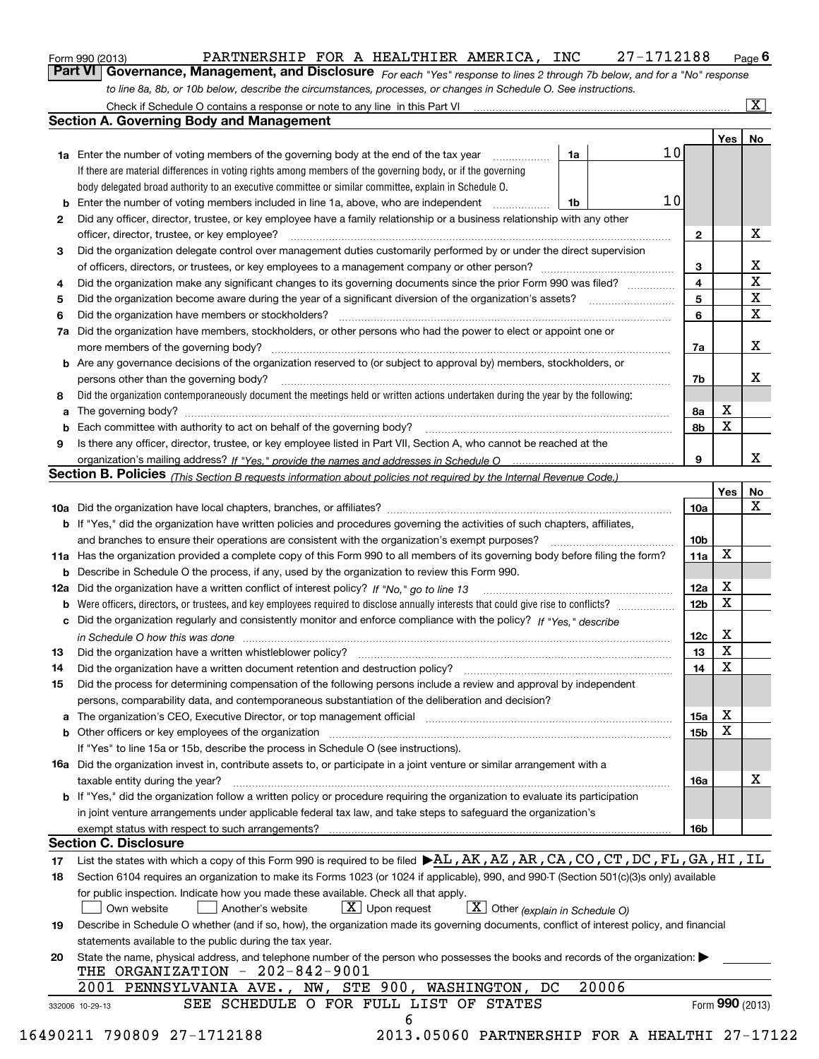|  | Form 990 (2013) |  |
|--|-----------------|--|
|  |                 |  |

*For each "Yes" response to lines 2 through 7b below, and for a "No" response to line 8a, 8b, or 10b below, describe the circumstances, processes, or changes in Schedule O. See instructions.* Form 990 (2013) **Form 1990 (2013)** PARTNERSHIP FOR A HEALTHIER AMERICA, INC 27-1712188 Page 6<br>**Part VI Governance, Management, and Disclosure** For each "Yes" response to lines 2 through 7b below, and for a "No" response

| 2<br>3<br>4<br>5 | <b>1a</b> Enter the number of voting members of the governing body at the end of the tax year<br>If there are material differences in voting rights among members of the governing body, or if the governing<br>body delegated broad authority to an executive committee or similar committee, explain in Schedule O.<br><b>b</b> Enter the number of voting members included in line 1a, above, who are independent <i>manumum</i><br>Did any officer, director, trustee, or key employee have a family relationship or a business relationship with any other<br>officer, director, trustee, or key employee?<br>Did the organization delegate control over management duties customarily performed by or under the direct supervision | 1a<br>1b | 10 <sub>l</sub>         |                 |                         |
|------------------|------------------------------------------------------------------------------------------------------------------------------------------------------------------------------------------------------------------------------------------------------------------------------------------------------------------------------------------------------------------------------------------------------------------------------------------------------------------------------------------------------------------------------------------------------------------------------------------------------------------------------------------------------------------------------------------------------------------------------------------|----------|-------------------------|-----------------|-------------------------|
|                  |                                                                                                                                                                                                                                                                                                                                                                                                                                                                                                                                                                                                                                                                                                                                          |          |                         |                 |                         |
|                  |                                                                                                                                                                                                                                                                                                                                                                                                                                                                                                                                                                                                                                                                                                                                          |          |                         |                 |                         |
|                  |                                                                                                                                                                                                                                                                                                                                                                                                                                                                                                                                                                                                                                                                                                                                          |          |                         |                 |                         |
|                  |                                                                                                                                                                                                                                                                                                                                                                                                                                                                                                                                                                                                                                                                                                                                          |          | 10                      |                 |                         |
|                  |                                                                                                                                                                                                                                                                                                                                                                                                                                                                                                                                                                                                                                                                                                                                          |          |                         |                 |                         |
|                  |                                                                                                                                                                                                                                                                                                                                                                                                                                                                                                                                                                                                                                                                                                                                          |          | $\mathbf{2}$            |                 | X                       |
|                  |                                                                                                                                                                                                                                                                                                                                                                                                                                                                                                                                                                                                                                                                                                                                          |          |                         |                 |                         |
|                  |                                                                                                                                                                                                                                                                                                                                                                                                                                                                                                                                                                                                                                                                                                                                          |          | 3                       |                 | X                       |
|                  | Did the organization make any significant changes to its governing documents since the prior Form 990 was filed?                                                                                                                                                                                                                                                                                                                                                                                                                                                                                                                                                                                                                         |          | $\overline{\mathbf{4}}$ |                 | $\overline{\textbf{X}}$ |
|                  | Did the organization become aware during the year of a significant diversion of the organization's assets? <i>marrouum</i> match                                                                                                                                                                                                                                                                                                                                                                                                                                                                                                                                                                                                         |          | 5                       |                 | $\mathbf X$             |
| 6                |                                                                                                                                                                                                                                                                                                                                                                                                                                                                                                                                                                                                                                                                                                                                          |          | 6                       |                 | $\mathbf x$             |
|                  | 7a Did the organization have members, stockholders, or other persons who had the power to elect or appoint one or                                                                                                                                                                                                                                                                                                                                                                                                                                                                                                                                                                                                                        |          |                         |                 |                         |
|                  |                                                                                                                                                                                                                                                                                                                                                                                                                                                                                                                                                                                                                                                                                                                                          |          | 7a                      |                 | x                       |
|                  | <b>b</b> Are any governance decisions of the organization reserved to (or subject to approval by) members, stockholders, or                                                                                                                                                                                                                                                                                                                                                                                                                                                                                                                                                                                                              |          |                         |                 |                         |
|                  | persons other than the governing body?                                                                                                                                                                                                                                                                                                                                                                                                                                                                                                                                                                                                                                                                                                   |          | 7b                      |                 | х                       |
| 8                | Did the organization contemporaneously document the meetings held or written actions undertaken during the year by the following:                                                                                                                                                                                                                                                                                                                                                                                                                                                                                                                                                                                                        |          |                         |                 |                         |
| a                |                                                                                                                                                                                                                                                                                                                                                                                                                                                                                                                                                                                                                                                                                                                                          |          | 8a                      | X               |                         |
|                  |                                                                                                                                                                                                                                                                                                                                                                                                                                                                                                                                                                                                                                                                                                                                          |          | 8b                      | X               |                         |
| 9                | Is there any officer, director, trustee, or key employee listed in Part VII, Section A, who cannot be reached at the                                                                                                                                                                                                                                                                                                                                                                                                                                                                                                                                                                                                                     |          |                         |                 |                         |
|                  |                                                                                                                                                                                                                                                                                                                                                                                                                                                                                                                                                                                                                                                                                                                                          |          | 9                       |                 | х                       |
|                  | Section B. Policies (This Section B requests information about policies not required by the Internal Revenue Code.)                                                                                                                                                                                                                                                                                                                                                                                                                                                                                                                                                                                                                      |          |                         |                 |                         |
|                  |                                                                                                                                                                                                                                                                                                                                                                                                                                                                                                                                                                                                                                                                                                                                          |          |                         | Yes             | No                      |
|                  |                                                                                                                                                                                                                                                                                                                                                                                                                                                                                                                                                                                                                                                                                                                                          |          | 10a                     |                 | X                       |
|                  |                                                                                                                                                                                                                                                                                                                                                                                                                                                                                                                                                                                                                                                                                                                                          |          |                         |                 |                         |
|                  | <b>b</b> If "Yes," did the organization have written policies and procedures governing the activities of such chapters, affiliates,                                                                                                                                                                                                                                                                                                                                                                                                                                                                                                                                                                                                      |          |                         |                 |                         |
|                  |                                                                                                                                                                                                                                                                                                                                                                                                                                                                                                                                                                                                                                                                                                                                          |          | 10 <sub>b</sub>         | X               |                         |
|                  | 11a Has the organization provided a complete copy of this Form 990 to all members of its governing body before filing the form?                                                                                                                                                                                                                                                                                                                                                                                                                                                                                                                                                                                                          |          | 11a                     |                 |                         |
|                  | <b>b</b> Describe in Schedule O the process, if any, used by the organization to review this Form 990.                                                                                                                                                                                                                                                                                                                                                                                                                                                                                                                                                                                                                                   |          |                         |                 |                         |
|                  |                                                                                                                                                                                                                                                                                                                                                                                                                                                                                                                                                                                                                                                                                                                                          |          | 12a                     | X               |                         |
| b                |                                                                                                                                                                                                                                                                                                                                                                                                                                                                                                                                                                                                                                                                                                                                          |          | 12b                     | X               |                         |
|                  | c Did the organization regularly and consistently monitor and enforce compliance with the policy? If "Yes," describe                                                                                                                                                                                                                                                                                                                                                                                                                                                                                                                                                                                                                     |          |                         |                 |                         |
|                  | in Schedule O how this was done manufactured and continuum control of the Schedule O how this was done manufactured and continuum control of the Schedule O how this was done                                                                                                                                                                                                                                                                                                                                                                                                                                                                                                                                                            |          | 12c                     | х               |                         |
| 13               |                                                                                                                                                                                                                                                                                                                                                                                                                                                                                                                                                                                                                                                                                                                                          |          | 13                      | X               |                         |
| 14               | Did the organization have a written document retention and destruction policy? manufactured and the organization have a written document retention and destruction policy?                                                                                                                                                                                                                                                                                                                                                                                                                                                                                                                                                               |          | 14                      | X               |                         |
| 15               | Did the process for determining compensation of the following persons include a review and approval by independent                                                                                                                                                                                                                                                                                                                                                                                                                                                                                                                                                                                                                       |          |                         |                 |                         |
|                  | persons, comparability data, and contemporaneous substantiation of the deliberation and decision?                                                                                                                                                                                                                                                                                                                                                                                                                                                                                                                                                                                                                                        |          |                         |                 |                         |
|                  | a The organization's CEO, Executive Director, or top management official manufactured content content of the organization's CEO, Executive Director, or top management official manufactured content of the state of the state                                                                                                                                                                                                                                                                                                                                                                                                                                                                                                           |          | 15a                     | X               |                         |
|                  |                                                                                                                                                                                                                                                                                                                                                                                                                                                                                                                                                                                                                                                                                                                                          |          | 15b                     | X               |                         |
|                  | If "Yes" to line 15a or 15b, describe the process in Schedule O (see instructions).                                                                                                                                                                                                                                                                                                                                                                                                                                                                                                                                                                                                                                                      |          |                         |                 |                         |
|                  | <b>16a</b> Did the organization invest in, contribute assets to, or participate in a joint venture or similar arrangement with a                                                                                                                                                                                                                                                                                                                                                                                                                                                                                                                                                                                                         |          |                         |                 |                         |
|                  | taxable entity during the year?                                                                                                                                                                                                                                                                                                                                                                                                                                                                                                                                                                                                                                                                                                          |          | 16a                     |                 | X                       |
|                  | b If "Yes," did the organization follow a written policy or procedure requiring the organization to evaluate its participation                                                                                                                                                                                                                                                                                                                                                                                                                                                                                                                                                                                                           |          |                         |                 |                         |
|                  | in joint venture arrangements under applicable federal tax law, and take steps to safeguard the organization's                                                                                                                                                                                                                                                                                                                                                                                                                                                                                                                                                                                                                           |          |                         |                 |                         |
|                  | exempt status with respect to such arrangements?                                                                                                                                                                                                                                                                                                                                                                                                                                                                                                                                                                                                                                                                                         |          | 16b                     |                 |                         |
|                  | <b>Section C. Disclosure</b>                                                                                                                                                                                                                                                                                                                                                                                                                                                                                                                                                                                                                                                                                                             |          |                         |                 |                         |
| 17               | List the states with which a copy of this Form 990 is required to be filed $\blacktriangleright$ AL, AK, AZ, AR, CA, CO, CT, DC, FL, GA, HI, IL                                                                                                                                                                                                                                                                                                                                                                                                                                                                                                                                                                                          |          |                         |                 |                         |
| 18               | Section 6104 requires an organization to make its Forms 1023 (or 1024 if applicable), 990, and 990-T (Section 501(c)(3)s only) available                                                                                                                                                                                                                                                                                                                                                                                                                                                                                                                                                                                                 |          |                         |                 |                         |
|                  | for public inspection. Indicate how you made these available. Check all that apply.                                                                                                                                                                                                                                                                                                                                                                                                                                                                                                                                                                                                                                                      |          |                         |                 |                         |
|                  | $\boxed{\mathbf{X}}$ Other (explain in Schedule O)<br>$X$ Upon request<br>Own website<br>Another's website                                                                                                                                                                                                                                                                                                                                                                                                                                                                                                                                                                                                                               |          |                         |                 |                         |
| 19               | Describe in Schedule O whether (and if so, how), the organization made its governing documents, conflict of interest policy, and financial                                                                                                                                                                                                                                                                                                                                                                                                                                                                                                                                                                                               |          |                         |                 |                         |
|                  | statements available to the public during the tax year.                                                                                                                                                                                                                                                                                                                                                                                                                                                                                                                                                                                                                                                                                  |          |                         |                 |                         |
| 20               | State the name, physical address, and telephone number of the person who possesses the books and records of the organization:                                                                                                                                                                                                                                                                                                                                                                                                                                                                                                                                                                                                            |          |                         |                 |                         |
|                  | THE ORGANIZATION - 202-842-9001                                                                                                                                                                                                                                                                                                                                                                                                                                                                                                                                                                                                                                                                                                          |          |                         |                 |                         |
|                  | 2001 PENNSYLVANIA AVE., NW, STE 900, WASHINGTON,<br>DC                                                                                                                                                                                                                                                                                                                                                                                                                                                                                                                                                                                                                                                                                   | 20006    |                         |                 |                         |
|                  | SEE SCHEDULE O FOR FULL LIST OF STATES<br>332006 10-29-13                                                                                                                                                                                                                                                                                                                                                                                                                                                                                                                                                                                                                                                                                |          |                         | Form 990 (2013) |                         |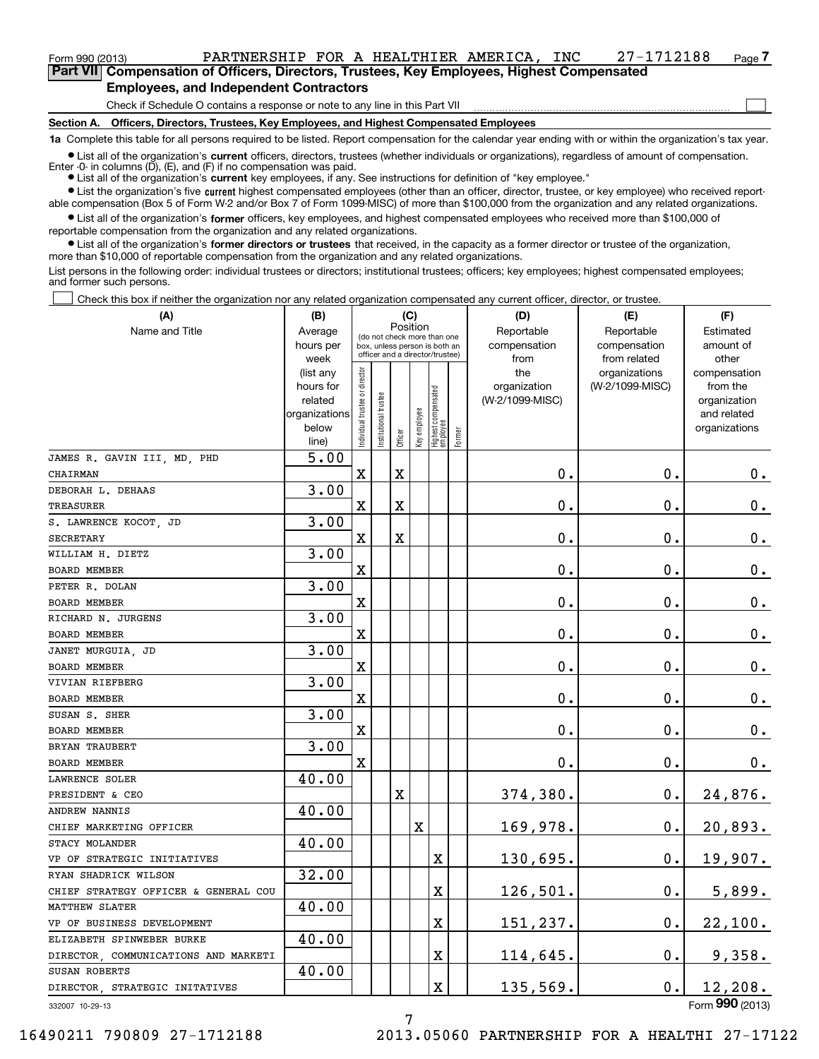### Form 990 (2013) PARTNERSHIP FOR A HEALTHIER AMERICA , INC 27-1712188 Page **7Part VII Compensation of Officers, Directors, Trustees, Key Employees, Highest Compensated**

 $\mathcal{L}^{\text{max}}$ 

**Employees, and Independent Contractors**

Check if Schedule O contains a response or note to any line in this Part VII

**Section A. Officers, Directors, Trustees, Key Employees, and Highest Compensated Employees**

**1a**  Complete this table for all persons required to be listed. Report compensation for the calendar year ending with or within the organization's tax year.

**•** List all of the organization's current officers, directors, trustees (whether individuals or organizations), regardless of amount of compensation. Enter -0- in columns  $(D)$ ,  $(E)$ , and  $(F)$  if no compensation was paid.

● List all of the organization's **current** key employees, if any. See instructions for definition of "key employee."

**•** List the organization's five current highest compensated employees (other than an officer, director, trustee, or key employee) who received reportable compensation (Box 5 of Form W-2 and/or Box 7 of Form 1099-MISC) of more than \$100,000 from the organization and any related organizations.

 $\bullet$  List all of the organization's **former** officers, key employees, and highest compensated employees who received more than \$100,000 of reportable compensation from the organization and any related organizations.

**•** List all of the organization's former directors or trustees that received, in the capacity as a former director or trustee of the organization, more than \$10,000 of reportable compensation from the organization and any related organizations.

List persons in the following order: individual trustees or directors; institutional trustees; officers; key employees; highest compensated employees; and former such persons.

Check this box if neither the organization nor any related organization compensated any current officer, director, or trustee.  $\mathcal{L}^{\text{max}}$ 

| (A)                                  | (B)                      |                                                                          |                                 | (C)     |              |                                   |        | (D)             | (E)             | (F)                         |
|--------------------------------------|--------------------------|--------------------------------------------------------------------------|---------------------------------|---------|--------------|-----------------------------------|--------|-----------------|-----------------|-----------------------------|
| Name and Title                       | Average                  | Position<br>(do not check more than one<br>box, unless person is both an |                                 |         |              |                                   |        | Reportable      | Reportable      | Estimated                   |
|                                      | hours per                |                                                                          |                                 |         |              |                                   |        | compensation    | compensation    | amount of                   |
|                                      | week                     |                                                                          | officer and a director/trustee) |         |              |                                   |        | from            | from related    | other                       |
|                                      | (list any                |                                                                          |                                 |         |              |                                   |        | the             | organizations   | compensation                |
|                                      | hours for                |                                                                          |                                 |         |              |                                   |        | organization    | (W-2/1099-MISC) | from the                    |
|                                      | related<br>organizations |                                                                          | trustee                         |         |              |                                   |        | (W-2/1099-MISC) |                 | organization<br>and related |
|                                      | below                    |                                                                          |                                 |         |              |                                   |        |                 |                 | organizations               |
|                                      | line)                    | Individual trustee or director                                           | Institutional t                 | Officer | Key employee | Highest compensated<br>  employee | Former |                 |                 |                             |
| JAMES R. GAVIN III, MD, PHD          | 5.00                     |                                                                          |                                 |         |              |                                   |        |                 |                 |                             |
| CHAIRMAN                             |                          | $\mathbf X$                                                              |                                 | X       |              |                                   |        | 0.              | $\mathbf 0$ .   | 0.                          |
| DEBORAH L. DEHAAS                    | 3.00                     |                                                                          |                                 |         |              |                                   |        |                 |                 |                             |
| TREASURER                            |                          | $\mathbf X$                                                              |                                 | X       |              |                                   |        | 0.              | $\mathbf 0$ .   | $\mathbf 0$ .               |
| S. LAWRENCE KOCOT, JD                | 3.00                     |                                                                          |                                 |         |              |                                   |        |                 |                 |                             |
| <b>SECRETARY</b>                     |                          | $\mathbf X$                                                              |                                 | X       |              |                                   |        | $\mathbf 0$ .   | 0.              | $\mathbf 0$ .               |
| WILLIAM H. DIETZ                     | 3.00                     |                                                                          |                                 |         |              |                                   |        |                 |                 |                             |
| BOARD MEMBER                         |                          | $\mathbf X$                                                              |                                 |         |              |                                   |        | $\mathbf 0$ .   | $\mathbf 0$ .   | $\mathbf 0$ .               |
| PETER R. DOLAN                       | 3.00                     |                                                                          |                                 |         |              |                                   |        |                 |                 |                             |
| <b>BOARD MEMBER</b>                  |                          | $\mathbf X$                                                              |                                 |         |              |                                   |        | $\mathbf 0$ .   | $\mathbf 0$ .   | $\mathbf 0$ .               |
| RICHARD N. JURGENS                   | 3.00                     |                                                                          |                                 |         |              |                                   |        |                 |                 |                             |
| <b>BOARD MEMBER</b>                  |                          | $\mathbf X$                                                              |                                 |         |              |                                   |        | Ο.              | $\mathbf 0$ .   | $\mathbf 0$ .               |
| JANET MURGUIA, JD                    | 3.00                     |                                                                          |                                 |         |              |                                   |        |                 |                 |                             |
| <b>BOARD MEMBER</b>                  |                          | $\mathbf x$                                                              |                                 |         |              |                                   |        | $\mathbf 0$ .   | $\mathbf 0$ .   | $\mathbf 0$ .               |
| VIVIAN RIEFBERG                      | 3.00                     |                                                                          |                                 |         |              |                                   |        |                 |                 |                             |
| <b>BOARD MEMBER</b>                  |                          | $\mathbf X$                                                              |                                 |         |              |                                   |        | $\mathbf 0$ .   | $\mathbf 0$ .   | $\mathbf 0$ .               |
| SUSAN S. SHER                        | 3.00                     |                                                                          |                                 |         |              |                                   |        |                 |                 |                             |
| <b>BOARD MEMBER</b>                  |                          | $\mathbf X$                                                              |                                 |         |              |                                   |        | $\mathbf 0$ .   | $\mathbf 0$ .   | $\mathbf 0$ .               |
| BRYAN TRAUBERT                       | 3.00                     |                                                                          |                                 |         |              |                                   |        |                 |                 |                             |
| <b>BOARD MEMBER</b>                  |                          | $\mathbf X$                                                              |                                 |         |              |                                   |        | $\mathbf 0$ .   | $\mathbf 0$ .   | 0.                          |
| LAWRENCE SOLER                       | 40.00                    |                                                                          |                                 |         |              |                                   |        |                 |                 |                             |
| PRESIDENT & CEO                      |                          |                                                                          |                                 | X       |              |                                   |        | 374,380.        | 0.              | 24,876.                     |
| ANDREW NANNIS                        | 40.00                    |                                                                          |                                 |         |              |                                   |        |                 |                 |                             |
| CHIEF MARKETING OFFICER              |                          |                                                                          |                                 |         | X            |                                   |        | 169,978.        | $\mathbf 0$ .   | 20,893.                     |
| STACY MOLANDER                       | 40.00                    |                                                                          |                                 |         |              |                                   |        |                 |                 |                             |
| VP OF STRATEGIC INITIATIVES          |                          |                                                                          |                                 |         |              | X                                 |        | 130,695.        | 0.              | 19,907.                     |
| RYAN SHADRICK WILSON                 | 32.00                    |                                                                          |                                 |         |              |                                   |        |                 |                 |                             |
| CHIEF STRATEGY OFFICER & GENERAL COU |                          |                                                                          |                                 |         |              | X                                 |        | 126,501.        | 0.              | 5,899.                      |
| <b>MATTHEW SLATER</b>                | 40.00                    |                                                                          |                                 |         |              |                                   |        |                 |                 |                             |
| VP OF BUSINESS DEVELOPMENT           |                          |                                                                          |                                 |         |              | X                                 |        | 151,237.        | 0.              | 22,100.                     |
| ELIZABETH SPINWEBER BURKE            | 40.00                    |                                                                          |                                 |         |              |                                   |        |                 |                 |                             |
| DIRECTOR, COMMUNICATIONS AND MARKETI |                          |                                                                          |                                 |         |              | X                                 |        | 114,645.        | $\mathbf 0$ .   | 9,358.                      |
| SUSAN ROBERTS                        | 40.00                    |                                                                          |                                 |         |              |                                   |        |                 |                 |                             |
| DIRECTOR, STRATEGIC INITATIVES       |                          |                                                                          |                                 |         |              | X                                 |        | 135,569.        | 0.              | 12,208.                     |
| 332007 10-29-13                      |                          |                                                                          |                                 |         |              |                                   |        |                 |                 | Form 990 (2013)             |

332007 10-29-13

16490211 790809 27-1712188 2013.05060 PARTNERSHIP FOR A HEALTHI 27-17122

7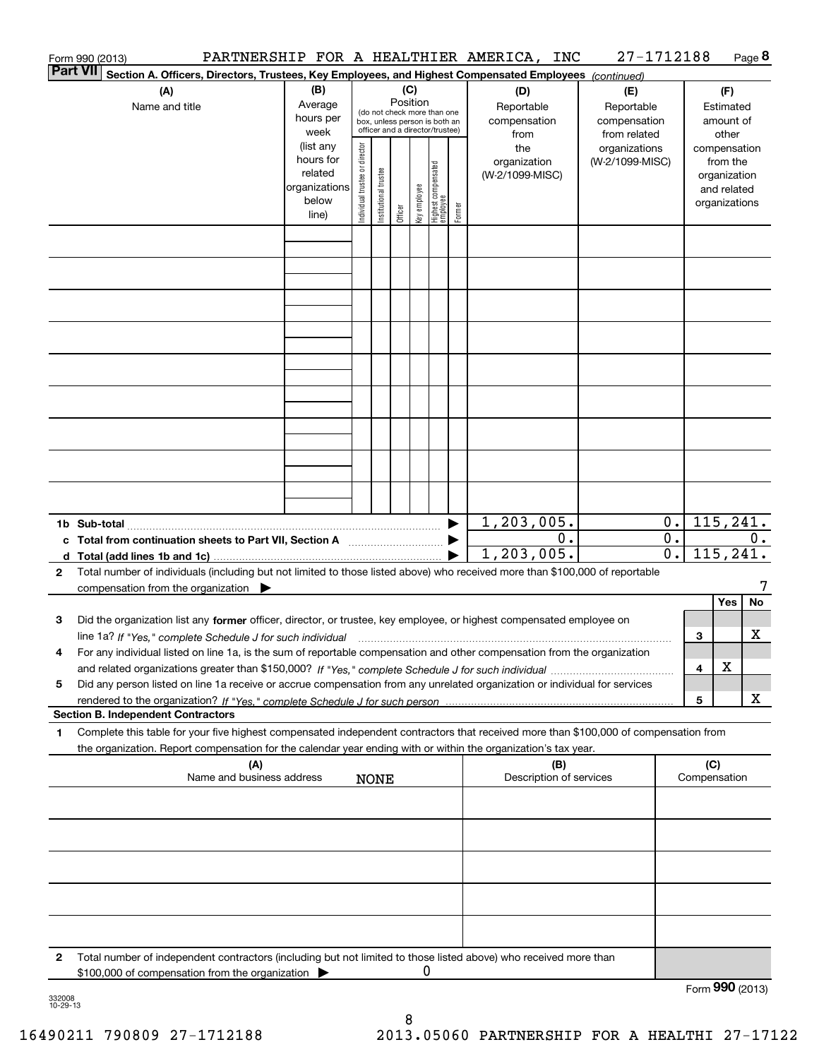|          | Form 990 (2013)                                                                                                                                                                                                                                                         |                                                                      |                                |                            |                 |              |                                                                                                 |        | PARTNERSHIP FOR A HEALTHIER AMERICA, INC  | 27-1712188                                        |                                      |                     |                                                                          | Page 8 |
|----------|-------------------------------------------------------------------------------------------------------------------------------------------------------------------------------------------------------------------------------------------------------------------------|----------------------------------------------------------------------|--------------------------------|----------------------------|-----------------|--------------|-------------------------------------------------------------------------------------------------|--------|-------------------------------------------|---------------------------------------------------|--------------------------------------|---------------------|--------------------------------------------------------------------------|--------|
| Part VII | Section A. Officers, Directors, Trustees, Key Employees, and Highest Compensated Employees (continued)                                                                                                                                                                  |                                                                      |                                |                            |                 |              |                                                                                                 |        |                                           |                                                   |                                      |                     |                                                                          |        |
|          | (A)<br>Name and title                                                                                                                                                                                                                                                   | (B)<br>Average<br>hours per<br>week                                  |                                |                            | (C)<br>Position |              | (do not check more than one<br>box, unless person is both an<br>officer and a director/trustee) |        | (D)<br>Reportable<br>compensation<br>from | (E)<br>Reportable<br>compensation<br>from related |                                      |                     | (F)<br>Estimated<br>amount of<br>other                                   |        |
|          |                                                                                                                                                                                                                                                                         | (list any<br>hours for<br>related<br>organizations<br>below<br>line) | Individual trustee or director | trustee<br>Institutional t | Officer         | Key employee | Highest compensated<br>employee                                                                 | Former | the<br>organization<br>(W-2/1099-MISC)    | organizations<br>(W-2/1099-MISC)                  |                                      |                     | compensation<br>from the<br>organization<br>and related<br>organizations |        |
|          |                                                                                                                                                                                                                                                                         |                                                                      |                                |                            |                 |              |                                                                                                 |        |                                           |                                                   |                                      |                     |                                                                          |        |
|          |                                                                                                                                                                                                                                                                         |                                                                      |                                |                            |                 |              |                                                                                                 |        |                                           |                                                   |                                      |                     |                                                                          |        |
|          |                                                                                                                                                                                                                                                                         |                                                                      |                                |                            |                 |              |                                                                                                 |        |                                           |                                                   |                                      |                     |                                                                          |        |
|          |                                                                                                                                                                                                                                                                         |                                                                      |                                |                            |                 |              |                                                                                                 |        |                                           |                                                   |                                      |                     |                                                                          |        |
|          |                                                                                                                                                                                                                                                                         |                                                                      |                                |                            |                 |              |                                                                                                 |        |                                           |                                                   |                                      |                     |                                                                          |        |
|          |                                                                                                                                                                                                                                                                         |                                                                      |                                |                            |                 |              |                                                                                                 |        |                                           |                                                   |                                      |                     |                                                                          |        |
|          |                                                                                                                                                                                                                                                                         |                                                                      |                                |                            |                 |              |                                                                                                 |        |                                           |                                                   |                                      |                     |                                                                          |        |
|          |                                                                                                                                                                                                                                                                         |                                                                      |                                |                            |                 |              |                                                                                                 |        | 1,203,005.                                |                                                   | 0.1                                  |                     | 115, 241.                                                                |        |
|          | c Total from continuation sheets to Part VII, Section A <b>manual</b> contains the Total from continuum                                                                                                                                                                 |                                                                      |                                |                            |                 |              |                                                                                                 |        | $0$ .<br>1,203,005.                       |                                                   | $\overline{0}$ .<br>$\overline{0}$ . |                     | 115, 241.                                                                | $0$ .  |
| 2        | Total number of individuals (including but not limited to those listed above) who received more than \$100,000 of reportable<br>compensation from the organization $\blacktriangleright$                                                                                |                                                                      |                                |                            |                 |              |                                                                                                 |        |                                           |                                                   |                                      |                     | Yes                                                                      | No     |
| з        | Did the organization list any former officer, director, or trustee, key employee, or highest compensated employee on<br>line 1a? If "Yes," complete Schedule J for such individual manufactured contained and the 1a? If "Yes," complete Schedule J for such individual |                                                                      |                                |                            |                 |              |                                                                                                 |        |                                           |                                                   |                                      | З                   |                                                                          | x      |
| 4        | For any individual listed on line 1a, is the sum of reportable compensation and other compensation from the organization                                                                                                                                                |                                                                      |                                |                            |                 |              |                                                                                                 |        |                                           |                                                   |                                      | 4                   | х                                                                        |        |
| 5        | Did any person listed on line 1a receive or accrue compensation from any unrelated organization or individual for services<br><b>Section B. Independent Contractors</b>                                                                                                 |                                                                      |                                |                            |                 |              |                                                                                                 |        |                                           |                                                   |                                      | 5                   |                                                                          | x      |
| 1        | Complete this table for your five highest compensated independent contractors that received more than \$100,000 of compensation from                                                                                                                                    |                                                                      |                                |                            |                 |              |                                                                                                 |        |                                           |                                                   |                                      |                     |                                                                          |        |
|          | the organization. Report compensation for the calendar year ending with or within the organization's tax year.<br>(A)<br>Name and business address                                                                                                                      |                                                                      |                                | <b>NONE</b>                |                 |              |                                                                                                 |        | (B)<br>Description of services            |                                                   |                                      | (C)<br>Compensation |                                                                          |        |
|          |                                                                                                                                                                                                                                                                         |                                                                      |                                |                            |                 |              |                                                                                                 |        |                                           |                                                   |                                      |                     |                                                                          |        |
|          |                                                                                                                                                                                                                                                                         |                                                                      |                                |                            |                 |              |                                                                                                 |        |                                           |                                                   |                                      |                     |                                                                          |        |
|          |                                                                                                                                                                                                                                                                         |                                                                      |                                |                            |                 |              |                                                                                                 |        |                                           |                                                   |                                      |                     |                                                                          |        |
|          |                                                                                                                                                                                                                                                                         |                                                                      |                                |                            |                 |              |                                                                                                 |        |                                           |                                                   |                                      |                     |                                                                          |        |
| 2        | Total number of independent contractors (including but not limited to those listed above) who received more than                                                                                                                                                        |                                                                      |                                |                            |                 | 0            |                                                                                                 |        |                                           |                                                   |                                      |                     |                                                                          |        |
|          | \$100,000 of compensation from the organization                                                                                                                                                                                                                         |                                                                      |                                |                            |                 |              |                                                                                                 |        |                                           |                                                   |                                      | Form 990 (2013)     |                                                                          |        |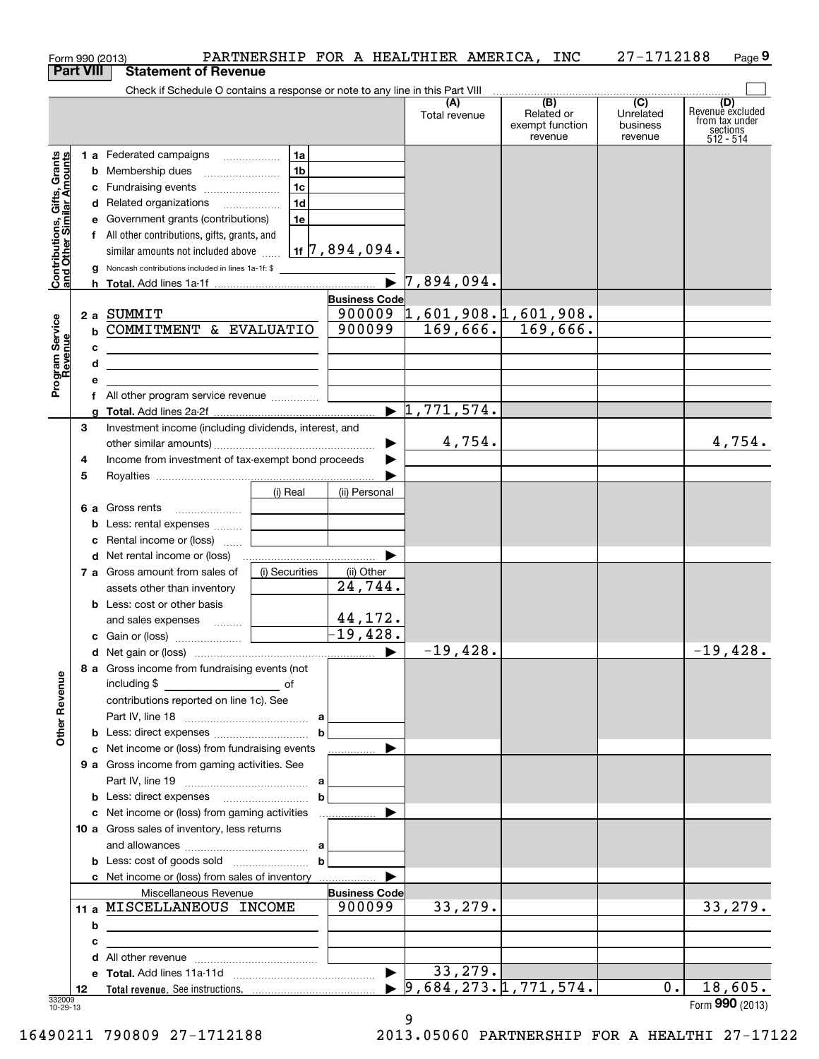| Form 990 (2013)                                           |   |                                                                                                                      |                |                                 | PARTNERSHIP FOR A HEALTHIER AMERICA, INC   |                                                 | 27-1712188                                         | Page 9                                                               |
|-----------------------------------------------------------|---|----------------------------------------------------------------------------------------------------------------------|----------------|---------------------------------|--------------------------------------------|-------------------------------------------------|----------------------------------------------------|----------------------------------------------------------------------|
| <b>Part VIII</b>                                          |   | <b>Statement of Revenue</b>                                                                                          |                |                                 |                                            |                                                 |                                                    |                                                                      |
|                                                           |   | Check if Schedule O contains a response or note to any line in this Part VIII                                        |                |                                 |                                            |                                                 |                                                    |                                                                      |
|                                                           |   |                                                                                                                      |                |                                 | (A)<br>Total revenue                       | (B)<br>Related or<br>exempt function<br>revenue | $\overline{C}$<br>Unrelated<br>business<br>revenue | (D)<br>Revenue excluded<br>from tax under<br>sections<br>$512 - 514$ |
|                                                           |   | 1 a Federated campaigns                                                                                              | 1a             |                                 |                                            |                                                 |                                                    |                                                                      |
| Contributions, Gifts, Grants<br>and Other Similar Amounts |   | <b>b</b> Membership dues                                                                                             | 1b             |                                 |                                            |                                                 |                                                    |                                                                      |
|                                                           |   | c Fundraising events                                                                                                 | 1c             |                                 |                                            |                                                 |                                                    |                                                                      |
|                                                           |   | d Related organizations                                                                                              | 1d             |                                 |                                            |                                                 |                                                    |                                                                      |
|                                                           |   | e Government grants (contributions)                                                                                  | 1e             |                                 |                                            |                                                 |                                                    |                                                                      |
|                                                           |   | f All other contributions, gifts, grants, and                                                                        |                |                                 |                                            |                                                 |                                                    |                                                                      |
|                                                           |   | similar amounts not included above                                                                                   |                | $1$ 1f $\sqrt{7}$ , 894 , 094 . |                                            |                                                 |                                                    |                                                                      |
|                                                           |   | <b>g</b> Noncash contributions included in lines 1a-1f: \$                                                           |                |                                 |                                            |                                                 |                                                    |                                                                      |
|                                                           |   |                                                                                                                      |                | $\blacktriangleright$           | 7,894,094.                                 |                                                 |                                                    |                                                                      |
|                                                           |   |                                                                                                                      |                | <b>Business Code</b>            |                                            |                                                 |                                                    |                                                                      |
|                                                           |   | 2 a SUMMIT                                                                                                           |                |                                 | $900009$ 1,601,908.1,601,908.              |                                                 |                                                    |                                                                      |
| Program Service<br>Revenue                                |   | <b>b COMMITMENT &amp; EVALUATIO</b>                                                                                  |                | 900099                          |                                            | $169,666.$ 169,666.                             |                                                    |                                                                      |
|                                                           | с |                                                                                                                      |                |                                 |                                            |                                                 |                                                    |                                                                      |
|                                                           | d | <u> 1989 - Johann Barn, mars eta bainar eta baina eta baina eta baina eta baina eta baina eta baina eta baina e</u>  |                |                                 |                                            |                                                 |                                                    |                                                                      |
|                                                           | е | <u> 1989 - Johann Stein, marwolaethau a bhann an t-Amhair an t-Amhair an t-Amhair an t-Amhair an t-Amhair an t-A</u> |                |                                 |                                            |                                                 |                                                    |                                                                      |
|                                                           |   | f All other program service revenue                                                                                  |                |                                 |                                            |                                                 |                                                    |                                                                      |
|                                                           |   |                                                                                                                      |                |                                 | $\blacktriangleright$ 1,771,574.           |                                                 |                                                    |                                                                      |
|                                                           | 3 | Investment income (including dividends, interest, and                                                                |                |                                 |                                            |                                                 |                                                    |                                                                      |
|                                                           |   |                                                                                                                      |                |                                 | 4,754.                                     |                                                 |                                                    | 4,754.                                                               |
|                                                           |   |                                                                                                                      |                | ▶                               |                                            |                                                 |                                                    |                                                                      |
|                                                           | 4 | Income from investment of tax-exempt bond proceeds                                                                   |                |                                 |                                            |                                                 |                                                    |                                                                      |
|                                                           | 5 |                                                                                                                      |                |                                 |                                            |                                                 |                                                    |                                                                      |
|                                                           |   |                                                                                                                      | (i) Real       | (ii) Personal                   |                                            |                                                 |                                                    |                                                                      |
|                                                           |   | 6 a Gross rents                                                                                                      |                |                                 |                                            |                                                 |                                                    |                                                                      |
|                                                           |   | <b>b</b> Less: rental expenses                                                                                       |                |                                 |                                            |                                                 |                                                    |                                                                      |
|                                                           |   | c Rental income or (loss)                                                                                            |                |                                 |                                            |                                                 |                                                    |                                                                      |
|                                                           |   |                                                                                                                      |                | ▶                               |                                            |                                                 |                                                    |                                                                      |
|                                                           |   | 7 a Gross amount from sales of                                                                                       | (i) Securities | (ii) Other                      |                                            |                                                 |                                                    |                                                                      |
|                                                           |   | assets other than inventory                                                                                          |                | 24,744.                         |                                            |                                                 |                                                    |                                                                      |
|                                                           |   | <b>b</b> Less: cost or other basis                                                                                   |                |                                 |                                            |                                                 |                                                    |                                                                      |
|                                                           |   | and sales expenses                                                                                                   |                | 44,172.                         |                                            |                                                 |                                                    |                                                                      |
|                                                           |   |                                                                                                                      |                | $-19,428.$                      |                                            |                                                 |                                                    |                                                                      |
|                                                           |   |                                                                                                                      |                |                                 | $-19,428.$                                 |                                                 |                                                    | $-19,428.$                                                           |
|                                                           |   | 8 a Gross income from fundraising events (not                                                                        |                |                                 |                                            |                                                 |                                                    |                                                                      |
|                                                           |   | including \$                                                                                                         |                |                                 |                                            |                                                 |                                                    |                                                                      |
|                                                           |   | contributions reported on line 1c). See                                                                              |                |                                 |                                            |                                                 |                                                    |                                                                      |
|                                                           |   |                                                                                                                      |                |                                 |                                            |                                                 |                                                    |                                                                      |
| <b>Other Revenue</b>                                      |   |                                                                                                                      |                | $\mathbf b$                     |                                            |                                                 |                                                    |                                                                      |
|                                                           |   | c Net income or (loss) from fundraising events                                                                       |                | ▶                               |                                            |                                                 |                                                    |                                                                      |
|                                                           |   | 9 a Gross income from gaming activities. See                                                                         |                |                                 |                                            |                                                 |                                                    |                                                                      |
|                                                           |   |                                                                                                                      |                |                                 |                                            |                                                 |                                                    |                                                                      |
|                                                           |   |                                                                                                                      |                | $\mathbf b$                     |                                            |                                                 |                                                    |                                                                      |
|                                                           |   |                                                                                                                      |                | ▶                               |                                            |                                                 |                                                    |                                                                      |
|                                                           |   | 10 a Gross sales of inventory, less returns                                                                          |                |                                 |                                            |                                                 |                                                    |                                                                      |
|                                                           |   |                                                                                                                      |                |                                 |                                            |                                                 |                                                    |                                                                      |
|                                                           |   |                                                                                                                      |                | $\mathbf b$                     |                                            |                                                 |                                                    |                                                                      |
|                                                           |   |                                                                                                                      |                | ▶                               |                                            |                                                 |                                                    |                                                                      |
|                                                           |   | Miscellaneous Revenue                                                                                                |                | <b>Business Code</b>            |                                            |                                                 |                                                    |                                                                      |
|                                                           |   | 11 a MISCELLANEOUS INCOME                                                                                            |                | 900099                          | 33,279.                                    |                                                 |                                                    | 33,279.                                                              |
|                                                           | b | <u> 1989 - Johann Barbara, martxa alemaniar arg</u>                                                                  |                |                                 |                                            |                                                 |                                                    |                                                                      |
|                                                           | c | the control of the control of the control of the control of the control of the control of                            |                |                                 |                                            |                                                 |                                                    |                                                                      |
|                                                           |   |                                                                                                                      |                |                                 |                                            |                                                 |                                                    |                                                                      |
|                                                           |   |                                                                                                                      |                | $\blacktriangleright$           | 33,279.                                    |                                                 |                                                    |                                                                      |
|                                                           |   |                                                                                                                      |                |                                 |                                            |                                                 |                                                    |                                                                      |
| 12                                                        |   |                                                                                                                      |                |                                 | $\blacktriangleright$ 9,684,273.1,771,574. |                                                 | $0$ .                                              | 18,605.                                                              |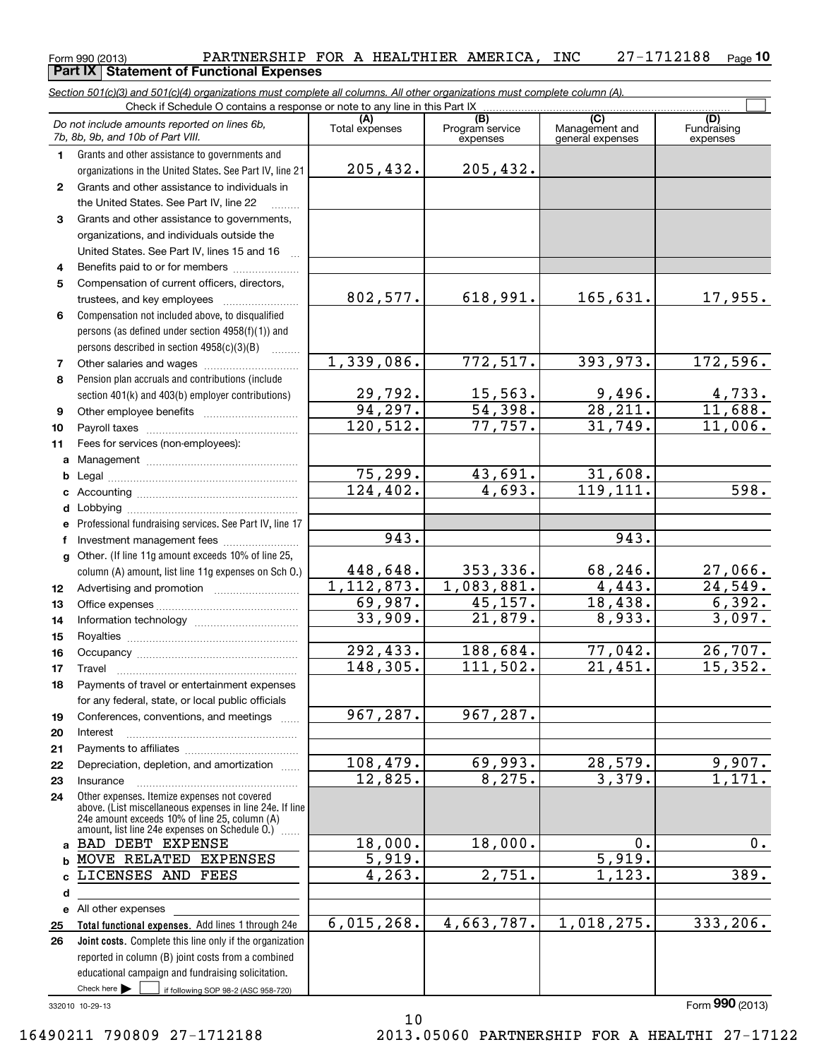### Form 990 (2013) Page PARTNERSHIP FOR A HEALTHIER AMERICA, INC 27-1712188 **10Part IX | Statement of Functional Expenses**

**Total functional expenses.**  Add lines 1 through 24e **Joint costs.** Complete this line only if the organization **(A)**<br>Total expenses **(C)** (C) (C)<br>
penses Program service Management and Fundrai<br>
expenses general expenses expen **123** Grants and other assistance to governments, **4567891011abcdefg12131415161718192021222324abc**LICENSES AND FEES **de** All other expenses **2526***Section 501(c)(3) and 501(c)(4) organizations must complete all columns. All other organizations must complete column (A).* Grants and other assistance to governments and organizations in the United States. See Part IV, line 21 Compensation not included above, to disqualified persons (as defined under section 4958(f)(1)) and persons described in section 4958(c)(3)(B)  $\quad \ldots \ldots \ldots$ Pension plan accruals and contributions (include section 401(k) and 403(b) employer contributions) Professional fundraising services. See Part IV, line 17 Other. (If line 11g amount exceeds 10% of line 25, column (A) amount, list line 11g expenses on Sch O.) Other expenses. Itemize expenses not covered above. (List miscellaneous expenses in line 24e. If line 24e amount exceeds 10% of line 25, column (A) amount, list line 24e expenses on Schedule O.) ~~reported in column (B) joint costs from a combined educational campaign and fundraising solicitation. Check if Schedule O contains a response or note to any line in this Part IX (C) (C) (C) (C) (C) (C) Program service expensesFundraising expenses Grants and other assistance to individuals in the United States. See Part IV, line 22 organizations, and individuals outside the United States. See Part IV, lines 15 and 16 <sup>~</sup> Benefits paid to or for members ...................... Compensation of current officers, directors, trustees, and key employees  $\ldots$   $\ldots$   $\ldots$   $\ldots$   $\ldots$   $\ldots$ Other salaries and wages ~~~~~~~~~~ Other employee benefits ~~~~~~~~~~ Payroll taxes ~~~~~~~~~~~~~~~~ Fees for services (non-employees): Management ~~~~~~~~~~~~~~~~ Legal ~~~~~~~~~~~~~~~~~~~~Accounting ~~~~~~~~~~~~~~~~~ Lobbying ~~~~~~~~~~~~~~~~~~ lnvestment management fees ....................... Advertising and promotion www.communication Office expenses ~~~~~~~~~~~~~~~ Information technology ~~~~~~~~~~~ Royalties ~~~~~~~~~~~~~~~~~~ Occupancy ~~~~~~~~~~~~~~~~~ Travel ……………………………………………… Payments of travel or entertainment expenses for any federal, state, or local public officials Conferences, conventions, and meetings InterestPayments to affiliates ~~~~~~~~~~~~ Depreciation, depletion, and amortization  $\,\,\ldots\,\,$ Insurance~~~~~~~~~~~~~~~~~*Do not include amounts reported on lines 6b, 7b, 8b, 9b, and 10b of Part VIII.*  $\mathcal{L}^{\text{max}}$ 205,432. 802,577. 1,339,086. 29,792. 94,297. 120,512. 75,299. 124,402. 448,648. 1,112,873. 69,987. 33,909. 292,433. 148,305. 967,287. 108,479. 12,825. 18,000. 5,919. 4,263. 6,015,268. 943. 205,432.  $618,991.$  165,631. 17,955. 772,517. 393,973. 172,596.  $15,563.$  9,496. 4,733. 54,398. 28,211. 11,688. 77,757. 31,749. 11,006. 43,691. 31,608. 4,693. 119,111. 598. 943. 353,336. 68,246. 27,066. 1,083,881. 4,443. 24,549. 45,157. 18,438. 6,392.  $21,879.$  8,933. 3,097. 188,684. 77,042. 26,707. 111,502. 21,451. 15,352. 967,287.  $69,993.$  28,579. 9,907. 8,275. 3,379. 1,171. 18,000. 0. 0. 0. 5,919.  $2,751.$  1,123. 389. 4,663,787. 1,018,275. 333,206. BAD DEBT EXPENSE MOVE RELATED EXPENSES

10

332010 10-29-13

Check here  $\blacktriangleright$ 

Check here if following SOP 98-2 (ASC 958-720)

Form (2013) **990**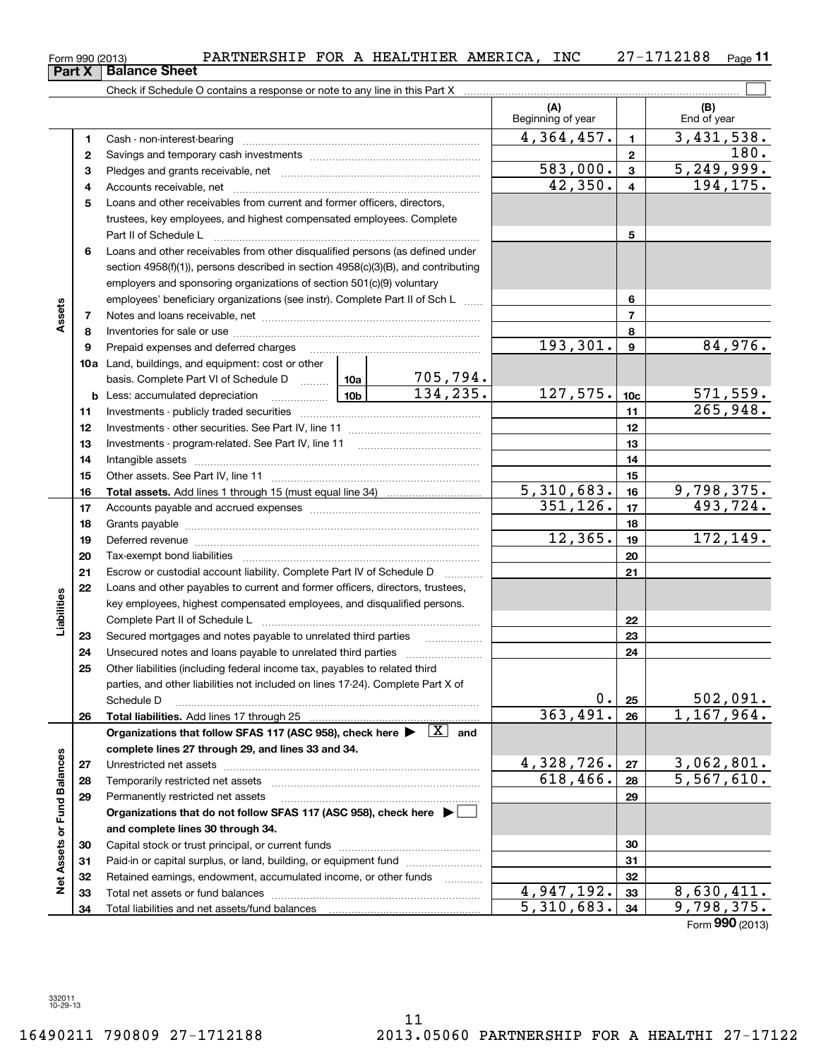|                             | 9  | Prepaid expenses and deferred charges                                                                                        |                 |                             | 193,301.   | 9               | 84,976.                       |
|-----------------------------|----|------------------------------------------------------------------------------------------------------------------------------|-----------------|-----------------------------|------------|-----------------|-------------------------------|
|                             |    | 10a Land, buildings, and equipment: cost or other                                                                            |                 |                             |            |                 |                               |
|                             |    | basis. Complete Part VI of Schedule D                                                                                        | 10a             | $\frac{705,794.}{134,235.}$ |            |                 |                               |
|                             |    | <b>b</b> Less: accumulated depreciation<br>. 1                                                                               | 10 <sub>b</sub> |                             | 127,575.   | 10 <sub>c</sub> | $\frac{571,559.}{265,948.}$   |
|                             | 11 |                                                                                                                              |                 |                             |            | 11              |                               |
|                             | 12 |                                                                                                                              |                 |                             |            | 12              |                               |
|                             | 13 |                                                                                                                              |                 |                             |            | 13              |                               |
|                             | 14 |                                                                                                                              |                 |                             |            | 14              |                               |
|                             | 15 |                                                                                                                              |                 |                             |            | 15              |                               |
|                             | 16 |                                                                                                                              |                 |                             | 5,310,683. | 16              | 9,798,375.                    |
|                             | 17 |                                                                                                                              |                 |                             | 351, 126.  | 17              | 493,724.                      |
|                             | 18 |                                                                                                                              |                 |                             |            | 18              |                               |
|                             | 19 |                                                                                                                              |                 |                             | 12,365.    | 19              | 172, 149.                     |
|                             | 20 |                                                                                                                              |                 |                             |            | 20              |                               |
|                             | 21 | Escrow or custodial account liability. Complete Part IV of Schedule D                                                        |                 |                             |            | 21              |                               |
|                             | 22 | Loans and other payables to current and former officers, directors, trustees,                                                |                 |                             |            |                 |                               |
| Liabilities                 |    | key employees, highest compensated employees, and disqualified persons.                                                      |                 |                             |            |                 |                               |
|                             |    |                                                                                                                              |                 |                             |            | 22              |                               |
|                             | 23 | Secured mortgages and notes payable to unrelated third parties                                                               |                 |                             | 23         |                 |                               |
|                             | 24 |                                                                                                                              |                 | 24                          |            |                 |                               |
|                             | 25 | Other liabilities (including federal income tax, payables to related third                                                   |                 |                             |            |                 |                               |
|                             |    | parties, and other liabilities not included on lines 17-24). Complete Part X of                                              |                 |                             |            |                 |                               |
|                             |    | Schedule D                                                                                                                   |                 |                             | $0$ .      | 25              | $\frac{502,091.}{1,167,964.}$ |
|                             | 26 |                                                                                                                              |                 |                             | 363,491.   | 26              |                               |
|                             |    | Organizations that follow SFAS 117 (ASC 958), check here $\blacktriangleright \begin{array}{c} \boxed{X} \\ \end{array}$ and |                 |                             |            |                 |                               |
|                             |    | complete lines 27 through 29, and lines 33 and 34.                                                                           |                 |                             |            |                 |                               |
|                             | 27 |                                                                                                                              |                 |                             | 4,328,726. | 27              | 3,062,801.                    |
|                             | 28 |                                                                                                                              |                 |                             | 618,466.   | 28              | 5,567,610.                    |
|                             | 29 | Permanently restricted net assets                                                                                            |                 |                             |            | 29              |                               |
|                             |    | Organizations that do not follow SFAS 117 (ASC 958), check here ▶ □                                                          |                 |                             |            |                 |                               |
|                             |    | and complete lines 30 through 34.                                                                                            |                 |                             |            |                 |                               |
|                             | 30 |                                                                                                                              |                 |                             |            | 30              |                               |
|                             | 31 | Paid-in or capital surplus, or land, building, or equipment fund                                                             |                 |                             |            | 31              |                               |
| Net Assets or Fund Balances | 32 | Retained earnings, endowment, accumulated income, or other funds                                                             |                 |                             |            | 32              |                               |
|                             | 33 |                                                                                                                              |                 |                             | 4,947,192. | 33              | 8,630,411.                    |
|                             | 34 |                                                                                                                              |                 |                             | 5,310,683. | 34              | 9,798,375.                    |
|                             |    |                                                                                                                              |                 |                             |            |                 | Form 990 (2013)               |

Check if Schedule O contains a response or note to any line in this Part X **Part X** Balance Sheet

**3** Pledges and grants receivable, net  $\ldots$  **multimes contained and grants receivable**, net **multimes contained and grants receivable**, net **multimes contained and grants receivable** 

Cash - non-interest-bearing ~~~~~~~~~~~~~~~~~~~~~~~~~ Savings and temporary cash investments ~~~~~~~~~~~~~~~~~~

Accounts receivable, net ~~~~~~~~~~~~~~~~~~~~~~~~~~ Loans and other receivables from current and former officers, directors, trustees, key employees, and highest compensated employees. Complete Part II of Schedule L ~~~~~~~~~~~~~~~~~~~~~~~~~~~~

**6**Loans and other receivables from other disqualified persons (as defined under

section 4958(f)(1)), persons described in section 4958(c)(3)(B), and contributing employers and sponsoring organizations of section 501(c)(9) voluntary

employees' beneficiary organizations (see instr). Complete Part II of Sch L ...... Notes and loans receivable, net ~~~~~~~~~~~~~~~~~~~~~~~ Inventories for sale or use ~~~~~~~~~~~~~~~~~~~~~~~~~~

**12**

**45**

**78**

**Assets**

 $\mathcal{L}^{\text{max}}$ 

180.

**(B)**

 $4,364,457.$  1 3,431,538.

 $42,350. | 4 | 194,175.$  $583,000$ .  $3 \mid 5,249,999$ .

Beginning of year  $\begin{vmatrix} 1 & 1 \end{vmatrix}$  End of year

**5**

**678**

**(A)**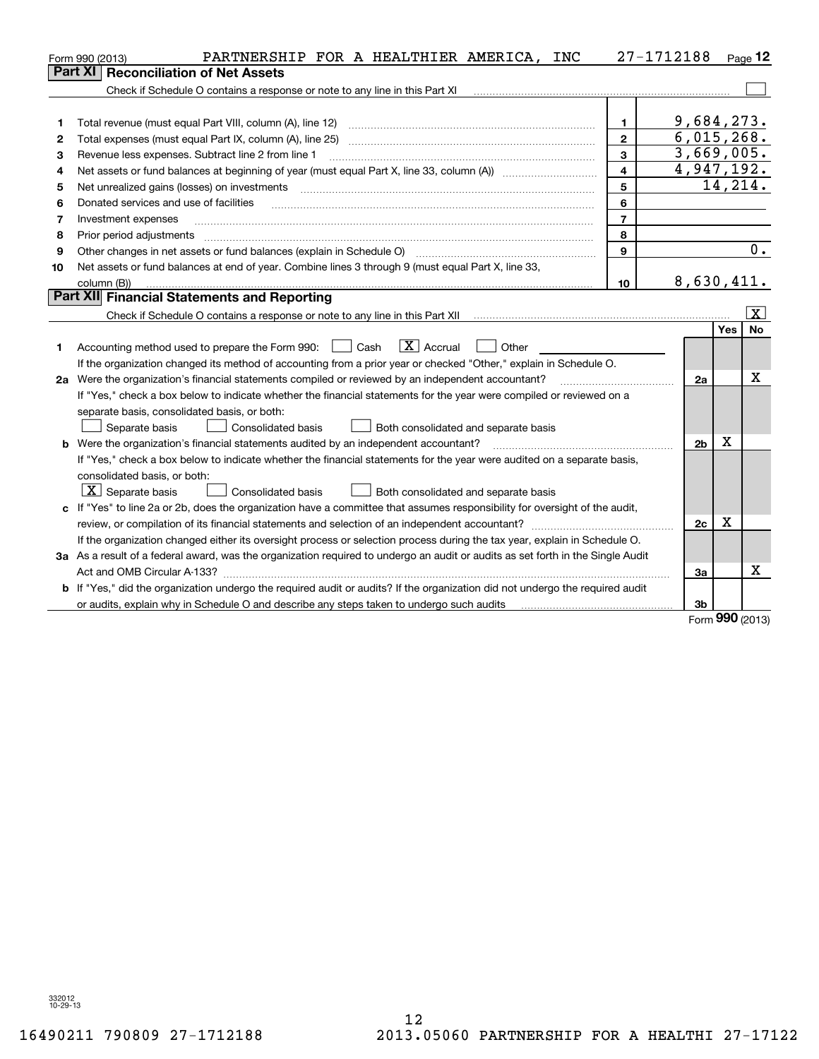|    | PARTNERSHIP FOR A HEALTHIER AMERICA, INC<br>Form 990 (2013)                                                                     |                         | 27-1712188               |            | Page $12$        |
|----|---------------------------------------------------------------------------------------------------------------------------------|-------------------------|--------------------------|------------|------------------|
|    | <b>Reconciliation of Net Assets</b><br><b>Part XI</b>                                                                           |                         |                          |            |                  |
|    | Check if Schedule O contains a response or note to any line in this Part XI                                                     |                         |                          |            |                  |
|    |                                                                                                                                 |                         |                          |            |                  |
| 1  | Total revenue (must equal Part VIII, column (A), line 12)                                                                       | 1.                      | 9,684,273.               |            |                  |
| 2  | Total expenses (must equal Part IX, column (A), line 25)                                                                        | $\mathbf{2}$            | 6,015,268.               |            |                  |
| 3  | Revenue less expenses. Subtract line 2 from line 1                                                                              | 3                       | $\overline{3,669,005}$ . |            |                  |
| 4  |                                                                                                                                 | $\overline{\mathbf{4}}$ | 4,947,192.               |            |                  |
| 5  | Net unrealized gains (losses) on investments                                                                                    | 5                       |                          | 14,214.    |                  |
| 6  | Donated services and use of facilities                                                                                          | 6                       |                          |            |                  |
| 7  | Investment expenses                                                                                                             | $\overline{7}$          |                          |            |                  |
| 8  | Prior period adjustments                                                                                                        | 8                       |                          |            |                  |
| 9  |                                                                                                                                 | 9                       |                          |            | $\overline{0}$ . |
| 10 | Net assets or fund balances at end of year. Combine lines 3 through 9 (must equal Part X, line 33,                              |                         |                          |            |                  |
|    | column (B))                                                                                                                     | 10                      | 8,630,411.               |            |                  |
|    | Part XII Financial Statements and Reporting                                                                                     |                         |                          |            |                  |
|    |                                                                                                                                 |                         |                          |            | $\vert X \vert$  |
|    |                                                                                                                                 |                         |                          | Yes        | <b>No</b>        |
| 1  | $ X $ Accrual<br>Accounting method used to prepare the Form 990: <u>I</u> Cash<br>Other                                         |                         |                          |            |                  |
|    | If the organization changed its method of accounting from a prior year or checked "Other," explain in Schedule O.               |                         |                          |            |                  |
|    | 2a Were the organization's financial statements compiled or reviewed by an independent accountant?                              |                         | 2a                       |            | x                |
|    | If "Yes," check a box below to indicate whether the financial statements for the year were compiled or reviewed on a            |                         |                          |            |                  |
|    | separate basis, consolidated basis, or both:                                                                                    |                         |                          |            |                  |
|    | Separate basis<br>Consolidated basis<br>Both consolidated and separate basis                                                    |                         |                          |            |                  |
|    | <b>b</b> Were the organization's financial statements audited by an independent accountant?                                     |                         | 2 <sub>b</sub>           | х          |                  |
|    | If "Yes," check a box below to indicate whether the financial statements for the year were audited on a separate basis,         |                         |                          |            |                  |
|    | consolidated basis, or both:                                                                                                    |                         |                          |            |                  |
|    | $ \mathbf{X} $ Separate basis<br><b>Consolidated basis</b><br>Both consolidated and separate basis                              |                         |                          |            |                  |
|    | c If "Yes" to line 2a or 2b, does the organization have a committee that assumes responsibility for oversight of the audit,     |                         |                          |            |                  |
|    | review, or compilation of its financial statements and selection of an independent accountant?                                  |                         | 2c                       | x          |                  |
|    | If the organization changed either its oversight process or selection process during the tax year, explain in Schedule O.       |                         |                          |            |                  |
|    | 3a As a result of a federal award, was the organization required to undergo an audit or audits as set forth in the Single Audit |                         |                          |            |                  |
|    |                                                                                                                                 |                         | 3a                       |            | X                |
|    | b If "Yes," did the organization undergo the required audit or audits? If the organization did not undergo the required audit   |                         |                          |            |                  |
|    | or audits, explain why in Schedule O and describe any steps taken to undergo such audits                                        |                         | 3 <sub>b</sub>           | <b>nnn</b> |                  |

Form (2013) **990**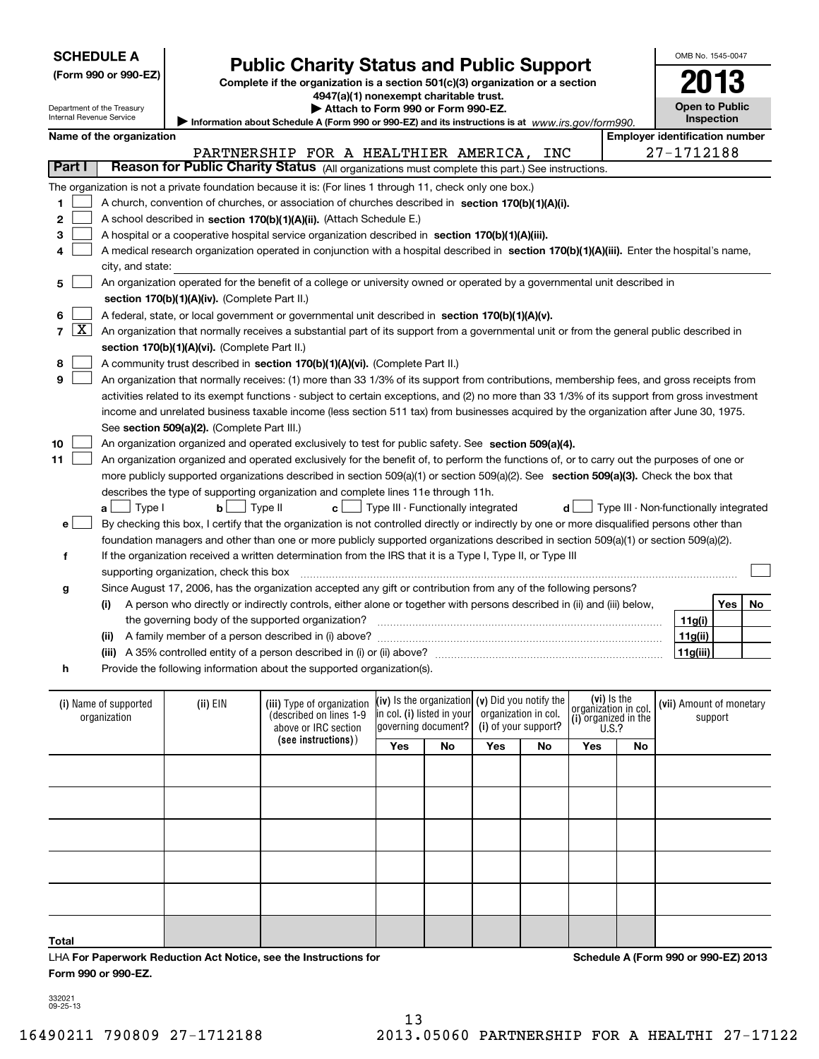|     |                   | <b>SCHEDULE A</b>                     |                                               |                                                                                                                                                                            |                                                        |     |                                        | OMB No. 1545-0047                          |     |    |
|-----|-------------------|---------------------------------------|-----------------------------------------------|----------------------------------------------------------------------------------------------------------------------------------------------------------------------------|--------------------------------------------------------|-----|----------------------------------------|--------------------------------------------|-----|----|
|     |                   | (Form 990 or 990-EZ)                  |                                               | <b>Public Charity Status and Public Support</b><br>Complete if the organization is a section 501(c)(3) organization or a section<br>4947(a)(1) nonexempt charitable trust. |                                                        |     |                                        |                                            |     |    |
|     |                   | Department of the Treasury            |                                               | Attach to Form 990 or Form 990-EZ.                                                                                                                                         |                                                        |     |                                        | <b>Open to Public</b>                      |     |    |
|     |                   | Internal Revenue Service              |                                               | Information about Schedule A (Form 990 or 990-EZ) and its instructions is at www.irs.gov/form990.                                                                          |                                                        |     |                                        | <b>Inspection</b>                          |     |    |
|     |                   | Name of the organization              |                                               |                                                                                                                                                                            |                                                        |     | <b>Employer identification number</b>  |                                            |     |    |
|     |                   |                                       |                                               | PARTNERSHIP FOR A HEALTHIER AMERICA,                                                                                                                                       |                                                        | INC |                                        | 27-1712188                                 |     |    |
|     | Part I            |                                       |                                               | Reason for Public Charity Status (All organizations must complete this part.) See instructions.                                                                            |                                                        |     |                                        |                                            |     |    |
|     |                   |                                       |                                               | The organization is not a private foundation because it is: (For lines 1 through 11, check only one box.)                                                                  |                                                        |     |                                        |                                            |     |    |
| 1   |                   |                                       |                                               | A church, convention of churches, or association of churches described in section 170(b)(1)(A)(i).                                                                         |                                                        |     |                                        |                                            |     |    |
| 2   |                   |                                       |                                               | A school described in section 170(b)(1)(A)(ii). (Attach Schedule E.)                                                                                                       |                                                        |     |                                        |                                            |     |    |
| 3   |                   |                                       |                                               | A hospital or a cooperative hospital service organization described in section 170(b)(1)(A)(iii).                                                                          |                                                        |     |                                        |                                            |     |    |
| 4   |                   |                                       |                                               | A medical research organization operated in conjunction with a hospital described in section 170(b)(1)(A)(iii). Enter the hospital's name,                                 |                                                        |     |                                        |                                            |     |    |
|     |                   | city, and state:                      |                                               |                                                                                                                                                                            |                                                        |     |                                        |                                            |     |    |
| 5   |                   |                                       | section 170(b)(1)(A)(iv). (Complete Part II.) | An organization operated for the benefit of a college or university owned or operated by a governmental unit described in                                                  |                                                        |     |                                        |                                            |     |    |
| 6   |                   |                                       |                                               |                                                                                                                                                                            |                                                        |     |                                        |                                            |     |    |
| 7 I | $\vert$ X $\vert$ |                                       |                                               | A federal, state, or local government or governmental unit described in section 170(b)(1)(A)(v).                                                                           |                                                        |     |                                        |                                            |     |    |
|     |                   |                                       |                                               | An organization that normally receives a substantial part of its support from a governmental unit or from the general public described in                                  |                                                        |     |                                        |                                            |     |    |
| 8   |                   |                                       | section 170(b)(1)(A)(vi). (Complete Part II.) |                                                                                                                                                                            |                                                        |     |                                        |                                            |     |    |
|     |                   |                                       |                                               | A community trust described in section 170(b)(1)(A)(vi). (Complete Part II.)                                                                                               |                                                        |     |                                        |                                            |     |    |
| 9   |                   |                                       |                                               | An organization that normally receives: (1) more than 33 1/3% of its support from contributions, membership fees, and gross receipts from                                  |                                                        |     |                                        |                                            |     |    |
|     |                   |                                       |                                               | activities related to its exempt functions - subject to certain exceptions, and (2) no more than 33 1/3% of its support from gross investment                              |                                                        |     |                                        |                                            |     |    |
|     |                   |                                       |                                               | income and unrelated business taxable income (less section 511 tax) from businesses acquired by the organization after June 30, 1975.                                      |                                                        |     |                                        |                                            |     |    |
|     |                   |                                       | See section 509(a)(2). (Complete Part III.)   |                                                                                                                                                                            |                                                        |     |                                        |                                            |     |    |
| 10  |                   |                                       |                                               | An organization organized and operated exclusively to test for public safety. See section 509(a)(4).                                                                       |                                                        |     |                                        |                                            |     |    |
| 11  |                   |                                       |                                               | An organization organized and operated exclusively for the benefit of, to perform the functions of, or to carry out the purposes of one or                                 |                                                        |     |                                        |                                            |     |    |
|     |                   |                                       |                                               | more publicly supported organizations described in section 509(a)(1) or section 509(a)(2). See section 509(a)(3). Check the box that                                       |                                                        |     |                                        |                                            |     |    |
|     |                   |                                       |                                               | describes the type of supporting organization and complete lines 11e through 11h.                                                                                          |                                                        |     |                                        |                                            |     |    |
|     |                   | $a \bigsqcup$ Type I                  | $\mathbf{b}$ $\Box$ Type II                   |                                                                                                                                                                            | $\mathbf{c}$ $\Box$ Type III - Functionally integrated | d   | Type III - Non-functionally integrated |                                            |     |    |
|     | e l               |                                       |                                               | By checking this box, I certify that the organization is not controlled directly or indirectly by one or more disqualified persons other than                              |                                                        |     |                                        |                                            |     |    |
|     |                   |                                       |                                               | foundation managers and other than one or more publicly supported organizations described in section 509(a)(1) or section 509(a)(2).                                       |                                                        |     |                                        |                                            |     |    |
|     | f                 |                                       |                                               | If the organization received a written determination from the IRS that it is a Type I, Type II, or Type III                                                                |                                                        |     |                                        |                                            |     |    |
|     |                   |                                       | supporting organization, check this box       |                                                                                                                                                                            |                                                        |     |                                        |                                            |     |    |
|     | g                 |                                       |                                               | Since August 17, 2006, has the organization accepted any gift or contribution from any of the following persons?                                                           |                                                        |     |                                        |                                            |     |    |
|     |                   | (i)                                   |                                               | A person who directly or indirectly controls, either alone or together with persons described in (ii) and (iii) below,                                                     |                                                        |     |                                        |                                            | Yes | No |
|     |                   |                                       |                                               | the governing body of the supported organization?                                                                                                                          |                                                        |     |                                        | 11g(i)                                     |     |    |
|     |                   |                                       |                                               |                                                                                                                                                                            |                                                        |     |                                        | 11g(ii)                                    |     |    |
|     |                   |                                       |                                               | (iii) A 35% controlled entity of a person described in (i) or (ii) above? manual content content controlled entity of a person described in (i) or (ii) above?             |                                                        |     |                                        | 11g(iii)                                   |     |    |
|     | h                 |                                       |                                               | Provide the following information about the supported organization(s).                                                                                                     |                                                        |     |                                        |                                            |     |    |
|     |                   |                                       |                                               |                                                                                                                                                                            |                                                        |     | (vi) Is the                            |                                            |     |    |
|     |                   | (i) Name of supported<br>organization | (ii) EIN                                      | (iii) Type of organization $(x)$ is the organization $(y)$ Did you notify the<br>(described on lines 1-9)                                                                  | in col. (i) listed in your organization in col.        |     | organization in col.                   | (vii) Amount of monetary<br><b>CUPPOLE</b> |     |    |

| (i) Name of supported<br>organization | (ii) EIN | (described on lines 1-9<br>above or IRC section | (iii) Type of organization (iv) is the organization (v) Did you notify the<br>in col. (i) listed in your<br>governing document? |    | organization in col.<br>(i) of your support? |    | $\begin{bmatrix} 0 & 0 \\ 0 & 0 \\ 0 & 0 \\ 0 & 0 \\ 0 & 0 \\ 0 & 0 \end{bmatrix}$ or ganized in the |    | (vii) Amount of monetary<br>support |
|---------------------------------------|----------|-------------------------------------------------|---------------------------------------------------------------------------------------------------------------------------------|----|----------------------------------------------|----|------------------------------------------------------------------------------------------------------|----|-------------------------------------|
|                                       |          | (see instructions))                             | Yes                                                                                                                             | No | Yes                                          | No | Yes                                                                                                  | No |                                     |
|                                       |          |                                                 |                                                                                                                                 |    |                                              |    |                                                                                                      |    |                                     |
|                                       |          |                                                 |                                                                                                                                 |    |                                              |    |                                                                                                      |    |                                     |
|                                       |          |                                                 |                                                                                                                                 |    |                                              |    |                                                                                                      |    |                                     |
|                                       |          |                                                 |                                                                                                                                 |    |                                              |    |                                                                                                      |    |                                     |
|                                       |          |                                                 |                                                                                                                                 |    |                                              |    |                                                                                                      |    |                                     |
| Total                                 |          |                                                 |                                                                                                                                 |    |                                              |    |                                                                                                      |    |                                     |

LHA For Paperwork Reduction Act Notice, see the Instructions for **Form 990 or 990-EZ.**

**Schedule A (Form 990 or 990-EZ) 2013**

332021 09-25-13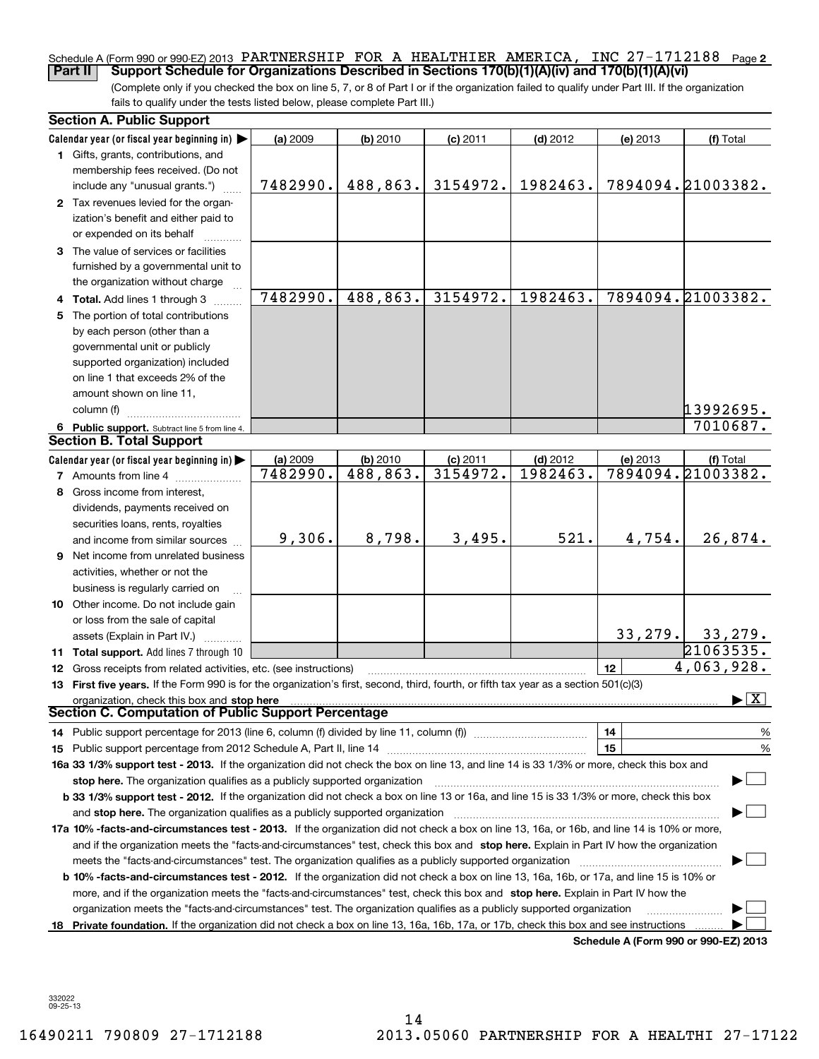### Schedule A (Form 990 or 990-EZ) 2013 PARTNERSHIP FOR A HEALTHIER AMERICA, INC 27-1712188 <sub>Page</sub> 2 **Part II Support Schedule for Organizations Described in Sections 170(b)(1)(A)(iv) and 170(b)(1)(A)(vi)**

(Complete only if you checked the box on line 5, 7, or 8 of Part I or if the organization failed to qualify under Part III. If the organization fails to qualify under the tests listed below, please complete Part III.)

|    | <b>Section A. Public Support</b>                                                                                                                                                                                               |          |          |            |            |          |                                          |
|----|--------------------------------------------------------------------------------------------------------------------------------------------------------------------------------------------------------------------------------|----------|----------|------------|------------|----------|------------------------------------------|
|    | Calendar year (or fiscal year beginning in) $\blacktriangleright$                                                                                                                                                              | (a) 2009 | (b) 2010 | $(c)$ 2011 | $(d)$ 2012 | (e) 2013 | (f) Total                                |
|    | 1 Gifts, grants, contributions, and                                                                                                                                                                                            |          |          |            |            |          |                                          |
|    | membership fees received. (Do not<br>include any "unusual grants.")                                                                                                                                                            | 7482990. | 488,863. | 3154972.   | 1982463.   |          | 7894094.21003382.                        |
|    | 2 Tax revenues levied for the organ-<br>ization's benefit and either paid to<br>or expended on its behalf                                                                                                                      |          |          |            |            |          |                                          |
|    | 3 The value of services or facilities<br>furnished by a governmental unit to                                                                                                                                                   |          |          |            |            |          |                                          |
|    | the organization without charge                                                                                                                                                                                                |          |          |            |            |          |                                          |
|    | 4 Total. Add lines 1 through 3                                                                                                                                                                                                 | 7482990. | 488,863. | 3154972.   | 1982463.   |          | 7894094.21003382.                        |
|    | 5 The portion of total contributions                                                                                                                                                                                           |          |          |            |            |          |                                          |
|    | by each person (other than a                                                                                                                                                                                                   |          |          |            |            |          |                                          |
|    | governmental unit or publicly                                                                                                                                                                                                  |          |          |            |            |          |                                          |
|    | supported organization) included                                                                                                                                                                                               |          |          |            |            |          |                                          |
|    | on line 1 that exceeds 2% of the                                                                                                                                                                                               |          |          |            |            |          |                                          |
|    | amount shown on line 11,                                                                                                                                                                                                       |          |          |            |            |          |                                          |
|    | column (f)                                                                                                                                                                                                                     |          |          |            |            |          | 13992695.                                |
|    | 6 Public support. Subtract line 5 from line 4.                                                                                                                                                                                 |          |          |            |            |          | 7010687.                                 |
|    | <b>Section B. Total Support</b>                                                                                                                                                                                                |          |          |            |            |          |                                          |
|    | Calendar year (or fiscal year beginning in) $\blacktriangleright$                                                                                                                                                              | (a) 2009 | (b) 2010 | $(c)$ 2011 | $(d)$ 2012 | (e) 2013 | (f) Total                                |
|    | <b>7</b> Amounts from line 4                                                                                                                                                                                                   | 7482990. | 488,863. | 3154972.   | 1982463.   |          | 7894094.21003382.                        |
|    | 8 Gross income from interest,                                                                                                                                                                                                  |          |          |            |            |          |                                          |
|    | dividends, payments received on                                                                                                                                                                                                |          |          |            |            |          |                                          |
|    | securities loans, rents, royalties                                                                                                                                                                                             |          |          |            |            |          |                                          |
|    | and income from similar sources                                                                                                                                                                                                | 9,306.   | 8,798.   | 3,495.     | 521.       | 4,754.   | 26,874.                                  |
|    | <b>9</b> Net income from unrelated business                                                                                                                                                                                    |          |          |            |            |          |                                          |
|    | activities, whether or not the                                                                                                                                                                                                 |          |          |            |            |          |                                          |
|    | business is regularly carried on                                                                                                                                                                                               |          |          |            |            |          |                                          |
|    | 10 Other income. Do not include gain                                                                                                                                                                                           |          |          |            |            |          |                                          |
|    | or loss from the sale of capital                                                                                                                                                                                               |          |          |            |            |          |                                          |
|    | assets (Explain in Part IV.)                                                                                                                                                                                                   |          |          |            |            | 33, 279. | 33,279.                                  |
|    | 11 Total support. Add lines 7 through 10                                                                                                                                                                                       |          |          |            |            |          | 21063535.                                |
|    | 12 Gross receipts from related activities, etc. (see instructions)                                                                                                                                                             |          |          |            |            | 12       | 4,063,928.                               |
|    | 13 First five years. If the Form 990 is for the organization's first, second, third, fourth, or fifth tax year as a section 501(c)(3)                                                                                          |          |          |            |            |          |                                          |
|    | organization, check this box and stop here<br><b>Section C. Computation of Public Support Percentage</b>                                                                                                                       |          |          |            |            |          | $\blacktriangleright$ $\boxed{\text{X}}$ |
|    |                                                                                                                                                                                                                                |          |          |            |            | 14       | %                                        |
|    | 15 Public support percentage from 2012 Schedule A, Part II, line 14 [11] [11] manument continuum manument of Public support percentage from 2012 Schedule A, Part II, line 14 [11] manument continuum manument of Public suppo |          |          |            |            | 15       | $\%$                                     |
|    | 16a 33 1/3% support test - 2013. If the organization did not check the box on line 13, and line 14 is 33 1/3% or more, check this box and                                                                                      |          |          |            |            |          |                                          |
|    | stop here. The organization qualifies as a publicly supported organization                                                                                                                                                     |          |          |            |            |          |                                          |
|    | b 33 1/3% support test - 2012. If the organization did not check a box on line 13 or 16a, and line 15 is 33 1/3% or more, check this box                                                                                       |          |          |            |            |          |                                          |
|    | and stop here. The organization qualifies as a publicly supported organization [11] [11] [12] [12] [12] [12] [                                                                                                                 |          |          |            |            |          |                                          |
|    | 17a 10% -facts-and-circumstances test - 2013. If the organization did not check a box on line 13, 16a, or 16b, and line 14 is 10% or more,                                                                                     |          |          |            |            |          |                                          |
|    | and if the organization meets the "facts-and-circumstances" test, check this box and stop here. Explain in Part IV how the organization                                                                                        |          |          |            |            |          |                                          |
|    |                                                                                                                                                                                                                                |          |          |            |            |          |                                          |
|    | <b>b 10% -facts-and-circumstances test - 2012.</b> If the organization did not check a box on line 13, 16a, 16b, or 17a, and line 15 is 10% or                                                                                 |          |          |            |            |          |                                          |
|    | more, and if the organization meets the "facts-and-circumstances" test, check this box and stop here. Explain in Part IV how the                                                                                               |          |          |            |            |          |                                          |
|    | organization meets the "facts-and-circumstances" test. The organization qualifies as a publicly supported organization                                                                                                         |          |          |            |            |          |                                          |
| 18 | Private foundation. If the organization did not check a box on line 13, 16a, 16b, 17a, or 17b, check this box and see instructions                                                                                             |          |          |            |            |          |                                          |
|    |                                                                                                                                                                                                                                |          |          |            |            |          | Schedule A (Form 990 or 990-EZ) 2013     |

332022 09-25-13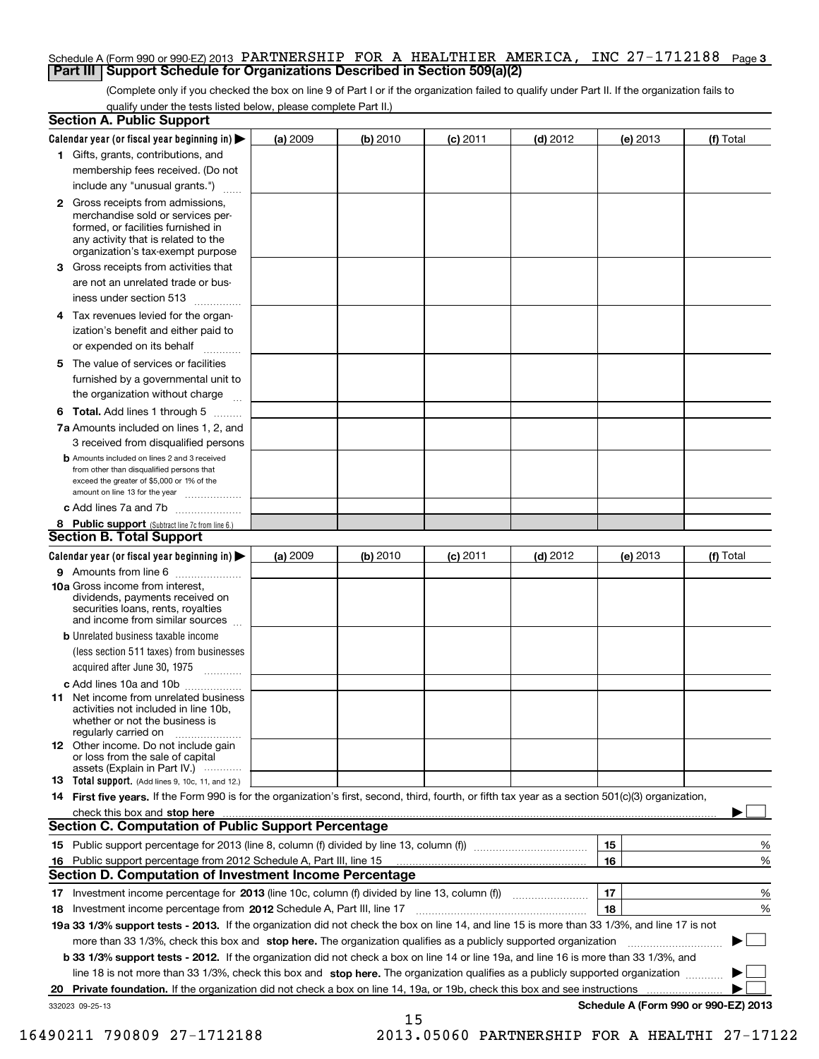### Schedule A (Form 990 or 990-EZ) 2013 PARTNERSHIP FOR A HEALTHIER AMERICA, INC 27-1712188 <sub>Page 3</sub> **Part III Support Schedule for Organizations Described in Section 509(a)(2)**

(Complete only if you checked the box on line 9 of Part I or if the organization failed to qualify under Part II. If the organization fails to qualify under the tests listed below, please complete Part II.)

|                 | <b>Section A. Public Support</b>                                                                                                                                                         |          |          |            |            |          |                                      |
|-----------------|------------------------------------------------------------------------------------------------------------------------------------------------------------------------------------------|----------|----------|------------|------------|----------|--------------------------------------|
|                 | Calendar year (or fiscal year beginning in) $\blacktriangleright$                                                                                                                        | (a) 2009 | (b) 2010 | $(c)$ 2011 | $(d)$ 2012 | (e) 2013 | (f) Total                            |
|                 | 1 Gifts, grants, contributions, and                                                                                                                                                      |          |          |            |            |          |                                      |
|                 | membership fees received. (Do not                                                                                                                                                        |          |          |            |            |          |                                      |
|                 | include any "unusual grants.")                                                                                                                                                           |          |          |            |            |          |                                      |
|                 | 2 Gross receipts from admissions,<br>merchandise sold or services per-<br>formed, or facilities furnished in<br>any activity that is related to the<br>organization's tax-exempt purpose |          |          |            |            |          |                                      |
|                 | 3 Gross receipts from activities that<br>are not an unrelated trade or bus-                                                                                                              |          |          |            |            |          |                                      |
|                 | iness under section 513                                                                                                                                                                  |          |          |            |            |          |                                      |
|                 | 4 Tax revenues levied for the organ-                                                                                                                                                     |          |          |            |            |          |                                      |
|                 | ization's benefit and either paid to<br>or expended on its behalf                                                                                                                        |          |          |            |            |          |                                      |
|                 | .<br>5 The value of services or facilities                                                                                                                                               |          |          |            |            |          |                                      |
|                 | furnished by a governmental unit to                                                                                                                                                      |          |          |            |            |          |                                      |
|                 | the organization without charge                                                                                                                                                          |          |          |            |            |          |                                      |
|                 | <b>6 Total.</b> Add lines 1 through 5                                                                                                                                                    |          |          |            |            |          |                                      |
|                 | 7a Amounts included on lines 1, 2, and<br>3 received from disqualified persons                                                                                                           |          |          |            |            |          |                                      |
|                 | <b>b</b> Amounts included on lines 2 and 3 received<br>from other than disqualified persons that<br>exceed the greater of \$5,000 or 1% of the<br>amount on line 13 for the year         |          |          |            |            |          |                                      |
|                 | c Add lines 7a and 7b                                                                                                                                                                    |          |          |            |            |          |                                      |
|                 | 8 Public support (Subtract line 7c from line 6.)<br><b>Section B. Total Support</b>                                                                                                      |          |          |            |            |          |                                      |
|                 | Calendar year (or fiscal year beginning in) $\blacktriangleright$                                                                                                                        | (a) 2009 | (b) 2010 | $(c)$ 2011 | $(d)$ 2012 | (e) 2013 | (f) Total                            |
|                 | 9 Amounts from line 6                                                                                                                                                                    |          |          |            |            |          |                                      |
|                 | 10a Gross income from interest,<br>dividends, payments received on<br>securities loans, rents, royalties<br>and income from similar sources                                              |          |          |            |            |          |                                      |
|                 | <b>b</b> Unrelated business taxable income<br>(less section 511 taxes) from businesses<br>acquired after June 30, 1975                                                                   |          |          |            |            |          |                                      |
|                 |                                                                                                                                                                                          |          |          |            |            |          |                                      |
|                 | c Add lines 10a and 10b<br>11 Net income from unrelated business<br>activities not included in line 10b,<br>whether or not the business is<br>regularly carried on                       |          |          |            |            |          |                                      |
|                 | <b>12</b> Other income. Do not include gain<br>or loss from the sale of capital<br>assets (Explain in Part IV.)                                                                          |          |          |            |            |          |                                      |
|                 | <b>13</b> Total support. (Add lines 9, 10c, 11, and 12.)                                                                                                                                 |          |          |            |            |          |                                      |
|                 | 14 First five years. If the Form 990 is for the organization's first, second, third, fourth, or fifth tax year as a section 501(c)(3) organization,                                      |          |          |            |            |          |                                      |
|                 | check this box and stop here measurements are constructed as the state of the constraint of the state of the c                                                                           |          |          |            |            |          |                                      |
|                 | <b>Section C. Computation of Public Support Percentage</b>                                                                                                                               |          |          |            |            |          |                                      |
|                 |                                                                                                                                                                                          |          |          |            |            | 15       | %                                    |
|                 | 16 Public support percentage from 2012 Schedule A, Part III, line 15                                                                                                                     |          |          |            |            | 16       | %                                    |
|                 | <b>Section D. Computation of Investment Income Percentage</b>                                                                                                                            |          |          |            |            |          |                                      |
|                 | 17 Investment income percentage for 2013 (line 10c, column (f) divided by line 13, column (f))<br>18 Investment income percentage from 2012 Schedule A, Part III, line 17                |          |          |            |            | 17<br>18 | %<br>%                               |
|                 | 19a 33 1/3% support tests - 2013. If the organization did not check the box on line 14, and line 15 is more than 33 1/3%, and line 17 is not                                             |          |          |            |            |          |                                      |
|                 | more than 33 1/3%, check this box and stop here. The organization qualifies as a publicly supported organization                                                                         |          |          |            |            |          | ▶                                    |
|                 | b 33 1/3% support tests - 2012. If the organization did not check a box on line 14 or line 19a, and line 16 is more than 33 1/3%, and                                                    |          |          |            |            |          |                                      |
|                 | line 18 is not more than 33 1/3%, check this box and stop here. The organization qualifies as a publicly supported organization                                                          |          |          |            |            |          |                                      |
| 20              | Private foundation. If the organization did not check a box on line 14, 19a, or 19b, check this box and see instructions                                                                 |          |          |            |            |          | .                                    |
| 332023 09-25-13 |                                                                                                                                                                                          |          |          |            |            |          | Schedule A (Form 990 or 990-EZ) 2013 |
|                 |                                                                                                                                                                                          |          | 15       |            |            |          |                                      |

16490211 790809 27-1712188 2013.05060 PARTNERSHIP FOR A HEALTHI 27-17122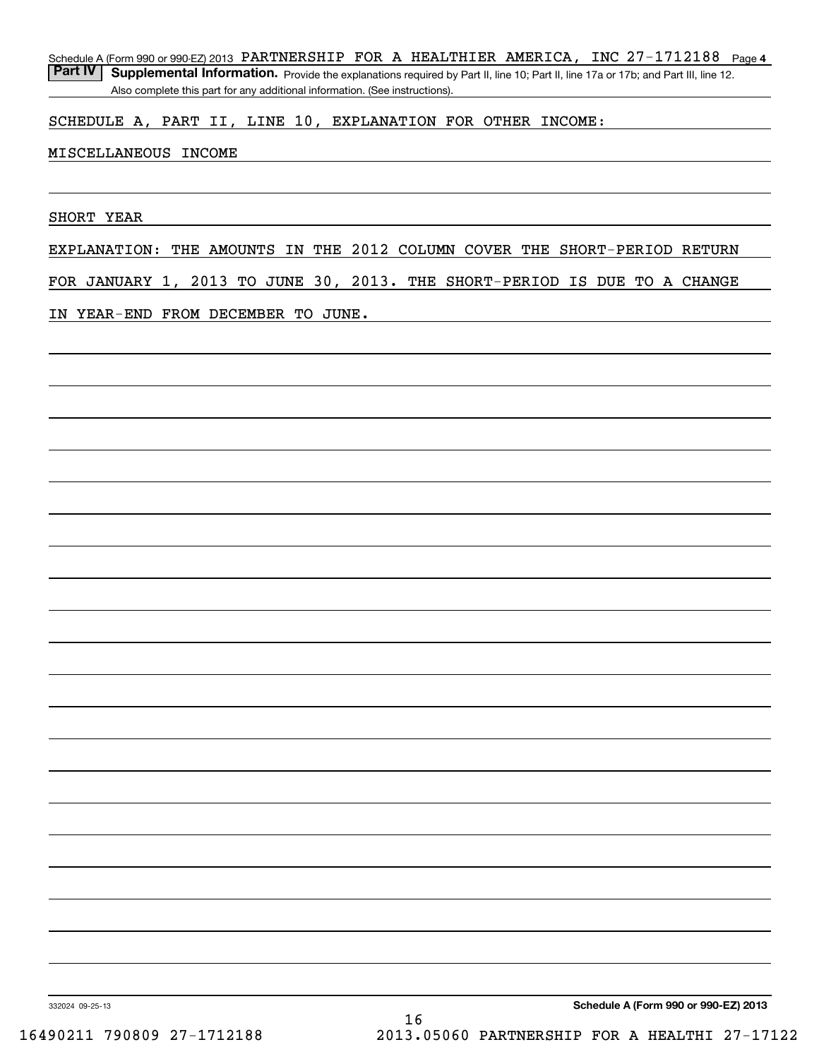Schedule A (Form 990 or 990-EZ) 2013 PARTNERSHIP FOR A HEALTHIER AMERICA, INC 27-1712188 Page 4

Part IV | Supplemental Information. Provide the explanations required by Part II, line 10; Part II, line 17a or 17b; and Part III, line 12. Also complete this part for any additional information. (See instructions).

### SCHEDULE A, PART II, LINE 10, EXPLANATION FOR OTHER INCOME:

### MISCELLANEOUS INCOME

SHORT YEAR

EXPLANATION: THE AMOUNTS IN THE 2012 COLUMN COVER THE SHORT-PERIOD RETURN

FOR JANUARY 1, 2013 TO JUNE 30, 2013. THE SHORT-PERIOD IS DUE TO A CHANGE

IN YEAR-END FROM DECEMBER TO JUNE.

**Schedule A (Form 990 or 990-EZ) 2013**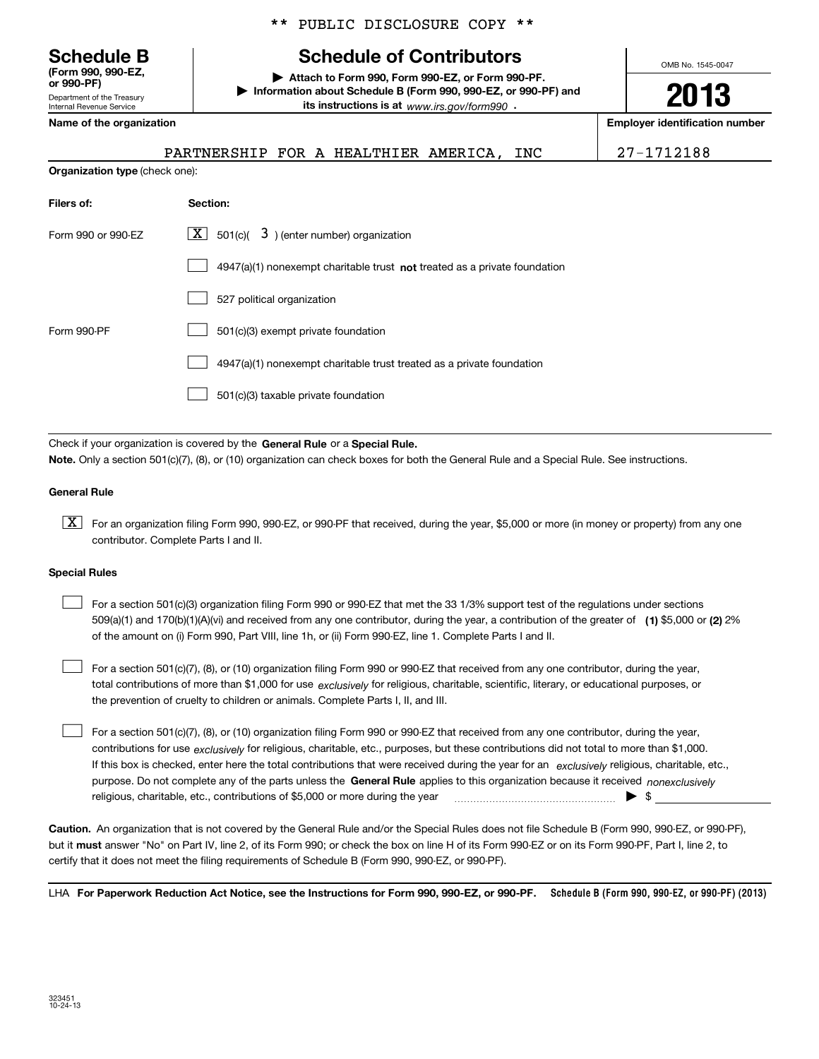Department of the Treasury Internal Revenue Service **(Form 990, 990-EZ, or 990-PF)**

\*\* PUBLIC DISCLOSURE COPY \*\*

## **Schedule B Schedule of Contributors**

**| Attach to Form 990, Form 990-EZ, or Form 990-PF. | Information about Schedule B (Form 990, 990-EZ, or 990-PF) and its instructions is at** www.irs.gov/form990  $\cdot$ 

**Name of the organization Employer identification number**

**2013**

OMB No. 1545-0047

| PARTNERSHIP FOR A HEALTHIER AMERICA. |  |  | INC | 27-1712188 |
|--------------------------------------|--|--|-----|------------|
|                                      |  |  |     |            |

**Organization type** (check one):

| Filers of:         | Section:                                                                  |
|--------------------|---------------------------------------------------------------------------|
| Form 990 or 990-EZ | $ \mathbf{X} $ 501(c)( 3) (enter number) organization                     |
|                    | 4947(a)(1) nonexempt charitable trust not treated as a private foundation |
|                    | 527 political organization                                                |
| Form 990-PF        | 501(c)(3) exempt private foundation                                       |
|                    | 4947(a)(1) nonexempt charitable trust treated as a private foundation     |
|                    | 501(c)(3) taxable private foundation                                      |

Check if your organization is covered by the **General Rule** or a **Special Rule. Note.**  Only a section 501(c)(7), (8), or (10) organization can check boxes for both the General Rule and a Special Rule. See instructions.

### **General Rule**

 $\boxed{\textbf{X}}$  For an organization filing Form 990, 990-EZ, or 990-PF that received, during the year, \$5,000 or more (in money or property) from any one contributor. Complete Parts I and II.

### **Special Rules**

 $\mathcal{L}^{\text{max}}$ 

509(a)(1) and 170(b)(1)(A)(vi) and received from any one contributor, during the year, a contribution of the greater of **(1)** \$5,000 or **(2)** 2% For a section 501(c)(3) organization filing Form 990 or 990-EZ that met the 33 1/3% support test of the regulations under sections of the amount on (i) Form 990, Part VIII, line 1h, or (ii) Form 990-EZ, line 1. Complete Parts I and II.  $\mathcal{L}^{\text{max}}$ 

total contributions of more than \$1,000 for use *exclusively* for religious, charitable, scientific, literary, or educational purposes, or For a section 501(c)(7), (8), or (10) organization filing Form 990 or 990-EZ that received from any one contributor, during the year, the prevention of cruelty to children or animals. Complete Parts I, II, and III.

purpose. Do not complete any of the parts unless the **General Rule** applies to this organization because it received *nonexclusively* contributions for use <sub>exclusively</sub> for religious, charitable, etc., purposes, but these contributions did not total to more than \$1,000. If this box is checked, enter here the total contributions that were received during the year for an exclusively religious, charitable, etc., For a section 501(c)(7), (8), or (10) organization filing Form 990 or 990-EZ that received from any one contributor, during the year, religious, charitable, etc., contributions of \$5,000 or more during the year  $\qquad \qquad \qquad$   $\qquad \qquad$  \$  $\mathcal{L}^{\text{max}}$ 

**Caution.**An organization that is not covered by the General Rule and/or the Special Rules does not file Schedule B (Form 990, 990-EZ, or 990-PF),  **must** but it answer "No" on Part IV, line 2, of its Form 990; or check the box on line H of its Form 990-EZ or on its Form 990-PF, Part I, line 2, to certify that it does not meet the filing requirements of Schedule B (Form 990, 990-EZ, or 990-PF).

LHA For Paperwork Reduction Act Notice, see the Instructions for Form 990, 990-EZ, or 990-PF. Schedule B (Form 990, 990-EZ, or 990-PF) (2013)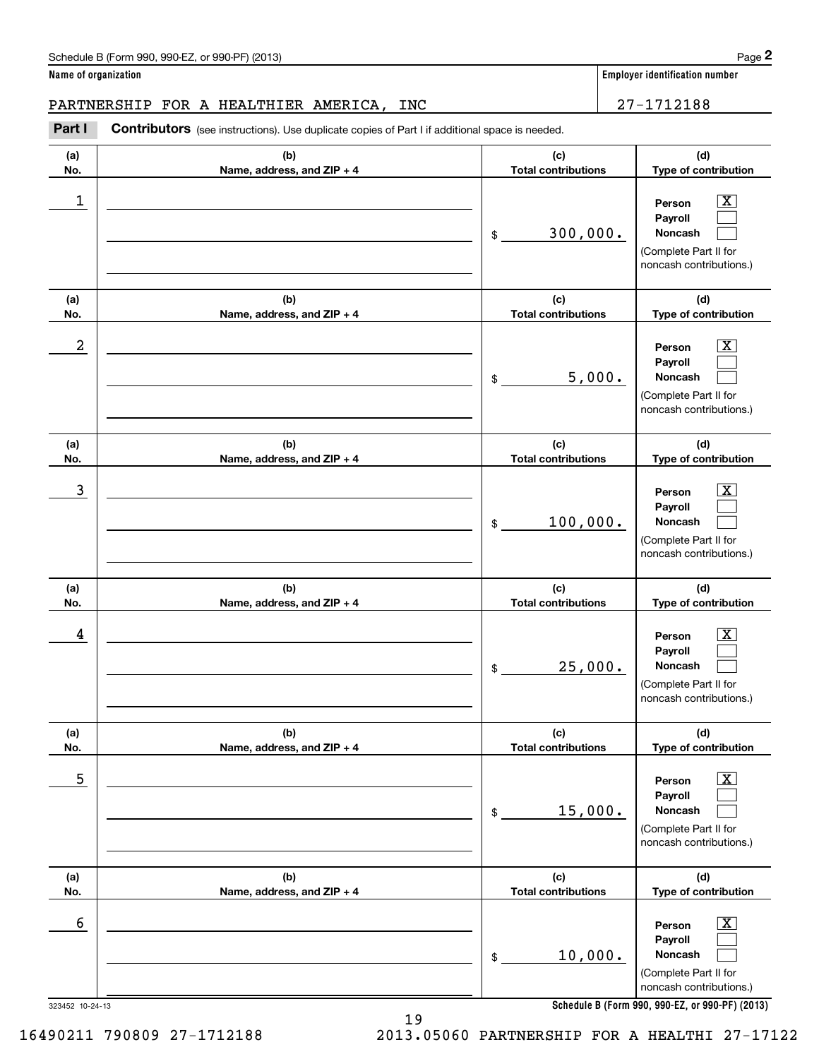Chedule B (Form 990, 990-EZ, or 990-PF) (2013)<br>**2Part I 27–1712188**<br>**PARTNERSHIP FOR A HEALTHIER AMERICA, INC** 27–1712188 PARTNERSHIP FOR A HEALTHIER AMERICA, INC  $\vert$  27-1712188

Contributors (see instructions). Use duplicate copies of Part I if additional space is needed.

**(a)No.(b)Name, address, and ZIP + 4 (c)Total contributions (d)Type of contribution PersonPayrollNoncash (a)No.(b)Name, address, and ZIP + 4 (c)Total contributions (d)Type of contribution PersonPayrollNoncash (a)No.(b)Name, address, and ZIP + 4 (c)Total contributions (d)Type of contribution PersonPayrollNoncash (a) No.(b) Name, address, and ZIP + 4 (c) Total contributions (d) Type of contribution PersonPayrollNoncash (a) No.(b) Name, address, and ZIP + 4 (c) Total contributions (d) Type of contribution PersonPayrollNoncash (a) No.(b)Name, address, and ZIP + 4 (c) Total contributions (d)Type of contribution PersonPayrollNoncash** \$(Complete Part II for noncash contributions.) \$(Complete Part II for noncash contributions.) \$(Complete Part II for noncash contributions.) \$(Complete Part II for noncash contributions.) \$(Complete Part II for noncash contributions.) \$(Complete Part II for noncash contributions.)  $|X|$  $\mathcal{L}^{\text{max}}$  $\mathcal{L}^{\text{max}}$  $\boxed{\text{X}}$  $\mathcal{L}^{\text{max}}$  $\mathcal{L}^{\text{max}}$  $|X|$  $\mathcal{L}^{\text{max}}$  $\mathcal{L}^{\text{max}}$  $\boxed{\text{X}}$  $\mathcal{L}^{\text{max}}$  $\mathcal{L}^{\text{max}}$  $\boxed{\text{X}}$  $\mathcal{L}^{\text{max}}$  $\mathcal{L}^{\text{max}}$  $\boxed{\text{X}}$  $\mathcal{L}^{\text{max}}$  $\mathcal{L}^{\text{max}}$  $\begin{array}{c|c|c|c|c|c} 1 & \hspace{1.5cm} & \hspace{1.5cm} & \hspace{1.5cm} & \hspace{1.5cm} & \hspace{1.5cm} & \hspace{1.5cm} & \hspace{1.5cm} & \hspace{1.5cm} & \hspace{1.5cm} & \hspace{1.5cm} & \hspace{1.5cm} & \hspace{1.5cm} & \hspace{1.5cm} & \hspace{1.5cm} & \hspace{1.5cm} & \hspace{1.5cm} & \hspace{1.5cm} & \hspace{1.5cm} & \hspace{1.5cm} & \hspace{1.5cm} &$ 300,000.  $2$  | Person  $\overline{\text{X}}$ 5,000.  $\overline{3}$  | Person  $\overline{X}$ 100,000.  $4$  | Person  $\overline{\text{X}}$ 25,000.  $\sim$  5 | Person X 15,000.  $\sim$  6 | Person X 10,000.

**Schedule B (Form 990, 990-EZ, or 990-PF) (2013)**

323452 10-24-13

16490211 790809 27-1712188 2013.05060 PARTNERSHIP FOR A HEALTHI 27-17122

19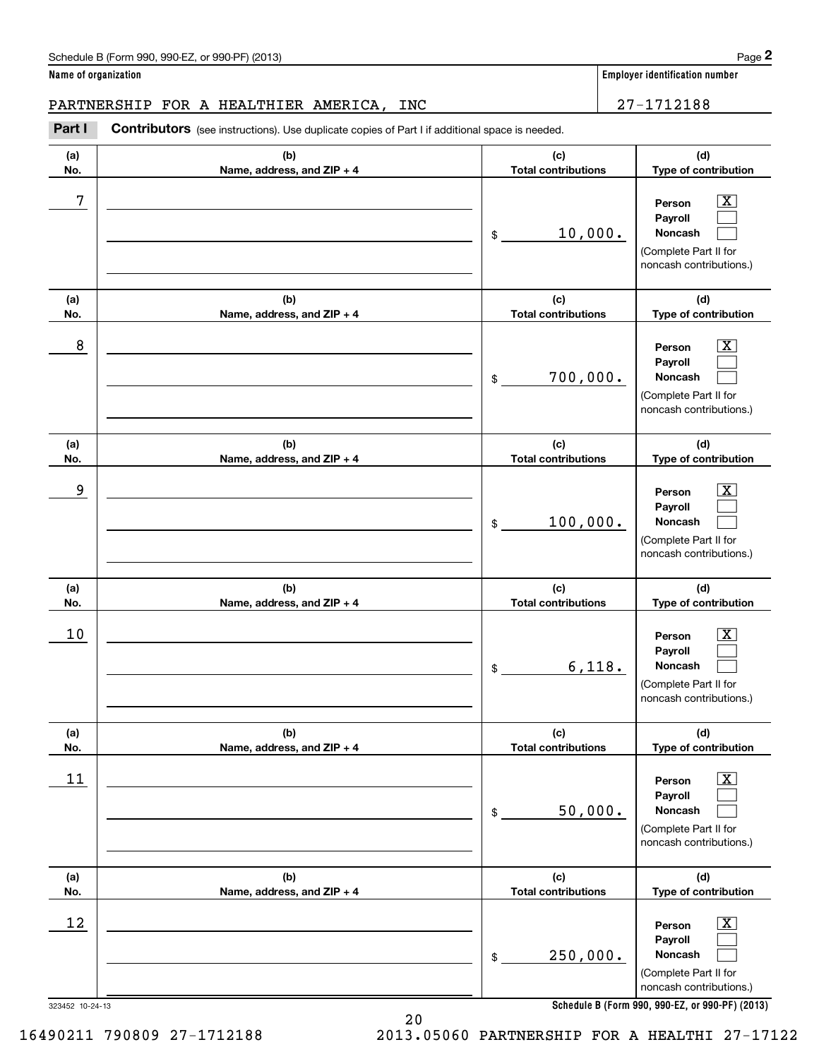noncash contributions.)

|            | Name of organization                                                                           |                                   | Employer identification number                                                                                   |
|------------|------------------------------------------------------------------------------------------------|-----------------------------------|------------------------------------------------------------------------------------------------------------------|
|            | PARTNERSHIP FOR A HEALTHIER AMERICA,<br>INC                                                    |                                   | 27-1712188                                                                                                       |
| Part I     | Contributors (see instructions). Use duplicate copies of Part I if additional space is needed. |                                   |                                                                                                                  |
| (a)<br>No. | (b)<br>Name, address, and ZIP + 4                                                              | (c)<br><b>Total contributions</b> | (d)<br>Type of contribution                                                                                      |
| 7          |                                                                                                | 10,000.<br>\$                     | $\mathbf{X}$<br>Person<br>Payroll<br>Noncash<br>(Complete Part II for<br>noncash contributions.)                 |
| (a)<br>No. | (b)<br>Name, address, and ZIP + 4                                                              | (c)<br><b>Total contributions</b> | (d)<br>Type of contribution                                                                                      |
| 8          |                                                                                                | 700,000.<br>\$                    | $\mathbf{X}$<br>Person<br>Payroll<br>Noncash<br>(Complete Part II for<br>noncash contributions.)                 |
| (a)<br>No. | (b)<br>Name, address, and ZIP + 4                                                              | (c)<br><b>Total contributions</b> | (d)<br>Type of contribution                                                                                      |
| 9          |                                                                                                | 100,000.<br>\$                    | $\mathbf{X}$<br>Person<br>Payroll<br>Noncash<br>(Complete Part II for<br>noncash contributions.)                 |
| (a)<br>No. | (b)<br>Name, address, and ZIP + 4                                                              | (c)<br><b>Total contributions</b> | (d)<br>Type of contribution                                                                                      |
| 10         |                                                                                                | \$                                | $\boxed{\text{X}}$<br>Person<br>Payroll<br>6,118.<br>Noncash<br>(Complete Part II for<br>noncash contributions.) |
| (a)<br>No. | (b)<br>Name, address, and ZIP + 4                                                              | (c)<br><b>Total contributions</b> | (d)<br>Type of contribution                                                                                      |
| 11         |                                                                                                | 50,000.<br>\$                     | $\boxed{\text{X}}$<br>Person<br>Payroll<br><b>Noncash</b><br>(Complete Part II for<br>noncash contributions.)    |
| (a)<br>No. | (b)<br>Name, address, and ZIP + 4                                                              | (c)<br><b>Total contributions</b> | (d)<br>Type of contribution                                                                                      |
| 12         |                                                                                                | 250,000.<br>\$                    | $\boxed{\text{X}}$<br>Person<br>Payroll<br><b>Noncash</b><br>(Complete Part II for                               |

323452 10-24-13

20 16490211 790809 27-1712188 2013.05060 PARTNERSHIP FOR A HEALTHI 27-17122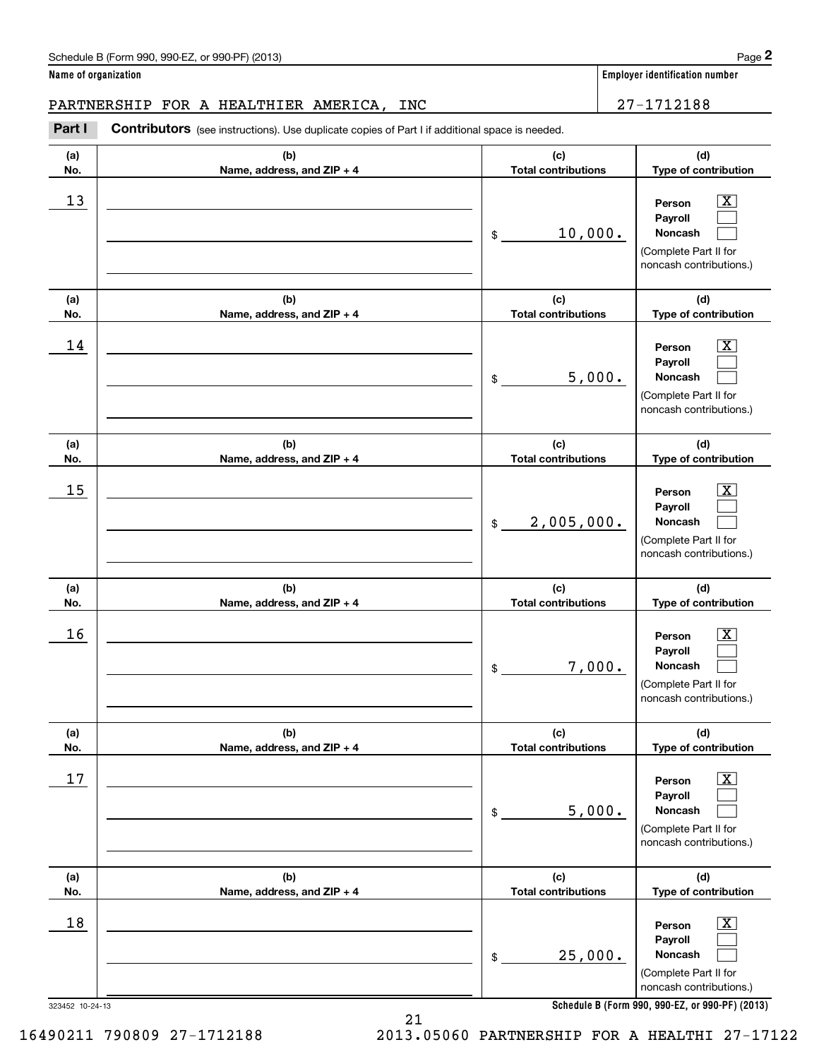### PARTNERSHIP FOR A HEALTHIER AMERICA, INC 27-1712188

Chedule B (Form 990, 990-EZ, or 990-PF) (2013)<br> **2Part I Contributors** (see instructions). Use duplicate copies of Part I if additional space is needed.<br> **2Part I Contributors** (see instructions). Use duplicate copies of P

| (a)             | (b)                          | (c)                        | (d)                                                                                   |
|-----------------|------------------------------|----------------------------|---------------------------------------------------------------------------------------|
| No.             | Name, address, and ZIP + 4   | <b>Total contributions</b> | Type of contribution                                                                  |
| 13              |                              | 10,000.<br>\$              | Person<br>Payroll<br>Noncash<br>(Complete Part II for<br>noncash contributions.)      |
| (a)             | (b)                          | (c)                        | (d)                                                                                   |
| No.             | Name, address, and ZIP + 4   | <b>Total contributions</b> | Type of contribution                                                                  |
| 14              |                              | 5,000.<br>\$               | Person<br>Payroll<br>Noncash<br>(Complete Part II for<br>noncash contributions.)      |
| (a)             | (b)                          | (c)                        | (d)                                                                                   |
| No.             | Name, address, and ZIP + 4   | <b>Total contributions</b> | Type of contribution                                                                  |
| 15              |                              | 2,005,000.<br>$\$$         | Person<br>Payroll<br>Noncash<br>(Complete Part II for<br>noncash contributions.)      |
| (a)             | (b)                          | (c)                        | (d)                                                                                   |
| No.             | Name, address, and ZIP + 4   | <b>Total contributions</b> | Type of contribution                                                                  |
| 16              |                              | 7,000.<br>\$               | Person<br>Payroll<br>Noncash<br>(Complete Part II for<br>noncash contributions.)      |
| (a)             | (b)                          | (c)                        | (d)                                                                                   |
| No.             | Name, address, and $ZIP + 4$ | <b>Total contributions</b> | <b>Type of contribution</b>                                                           |
| 17              |                              | 5,000.<br>\$               | x<br>Person<br>Payroll<br>Noncash<br>(Complete Part II for<br>noncash contributions.) |
| (a)             | (b)                          | (c)                        | (d)                                                                                   |
| No.             | Name, address, and ZIP + 4   | <b>Total contributions</b> | Type of contribution                                                                  |
| 18              |                              | 25,000.<br>\$              | x<br>Person<br>Payroll<br>Noncash<br>(Complete Part II for<br>noncash contributions.) |
| 323452 10-24-13 |                              |                            | Schedule B (Form 990, 990-EZ, or 990-PF) (2013)                                       |

**Schedule B (Form 990, 990-EZ, or 990-PF) (2013)**

21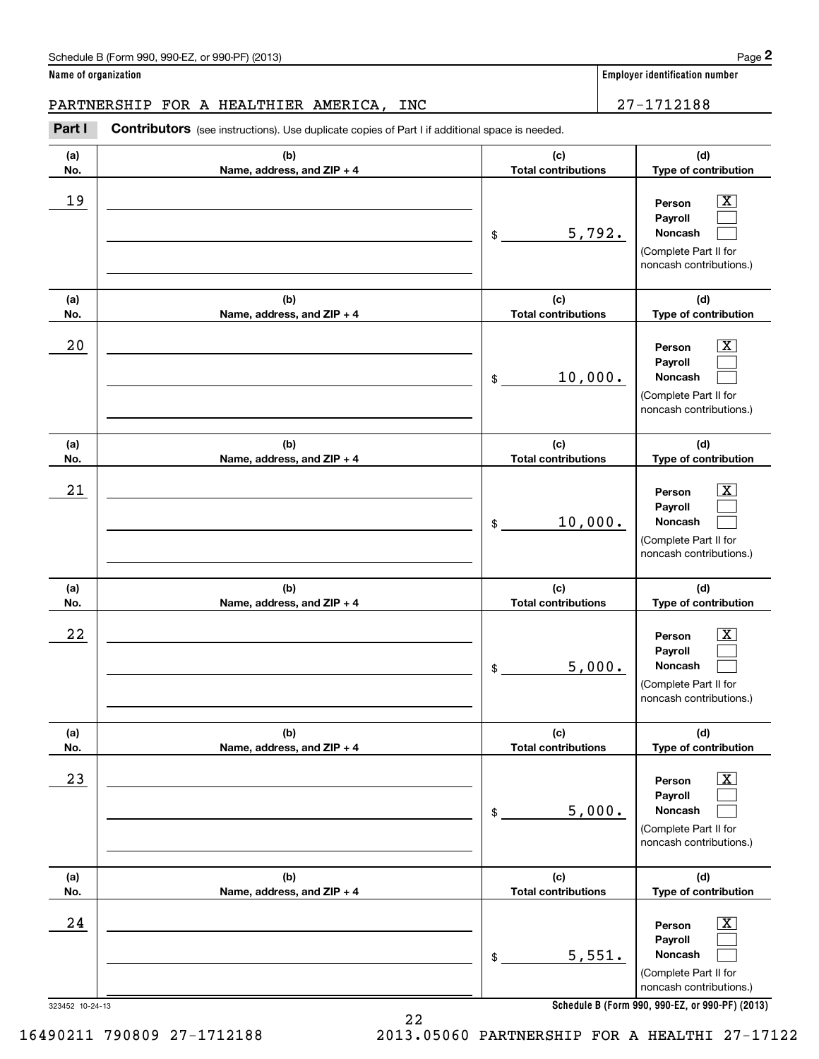### PARTNERSHIP FOR A HEALTHIER AMERICA, INC 27-1712188

Chedule B (Form 990, 990-EZ, or 990-PF) (2013)<br> **2Part I Contributors** (see instructions). Use duplicate copies of Part I if additional space is needed.<br> **2Part I Contributors** (see instructions). Use duplicate copies of P

| (a)        | (b)                                 | (c)                               | (d)                                                                                                         |
|------------|-------------------------------------|-----------------------------------|-------------------------------------------------------------------------------------------------------------|
| No.        | Name, address, and ZIP + 4          | <b>Total contributions</b>        | Type of contribution                                                                                        |
| 19         |                                     | 5,792.<br>$\frac{1}{2}$           | х<br>Person<br>Payroll<br>Noncash<br>(Complete Part II for<br>noncash contributions.)                       |
| (a)        | (b)                                 | (c)                               | (d)                                                                                                         |
| No.        | Name, address, and ZIP + 4          | <b>Total contributions</b>        | Type of contribution                                                                                        |
| 20         |                                     | 10,000.<br>\$                     | x<br>Person<br>Payroll<br>Noncash<br>(Complete Part II for<br>noncash contributions.)                       |
| (a)<br>No. | (b)<br>Name, address, and ZIP + 4   | (c)<br><b>Total contributions</b> | (d)<br>Type of contribution                                                                                 |
| 21         |                                     | 10,000.<br>\$                     | x<br>Person<br>Payroll<br><b>Noncash</b><br>(Complete Part II for<br>noncash contributions.)                |
| (a)<br>No. | (b)<br>Name, address, and ZIP + 4   | (c)<br><b>Total contributions</b> | (d)<br>Type of contribution                                                                                 |
| 22         |                                     | 5,000.<br>\$                      | Person<br>x<br>Payroll<br>Noncash<br>(Complete Part II for<br>noncash contributions.)                       |
| (a)<br>No. | (b)<br>Name, address, and $ZIP + 4$ | (c)<br>Total contributions        | (d)<br>Type of contribution                                                                                 |
| 23         |                                     | 5,000.<br>\$                      | $\overline{\texttt{X}}$<br>Person<br>Payroll<br>Noncash<br>(Complete Part II for<br>noncash contributions.) |
| (a)<br>No. | (b)<br>Name, address, and ZIP + 4   | (c)<br><b>Total contributions</b> | (d)<br>Type of contribution                                                                                 |
| 24         |                                     | 5,551.<br>$$\mathbb{S}$$          | $\overline{\texttt{x}}$<br>Person<br>Payroll<br>Noncash<br>(Complete Part II for<br>noncash contributions.) |

**Schedule B (Form 990, 990-EZ, or 990-PF) (2013)**

323452 10-24-13

22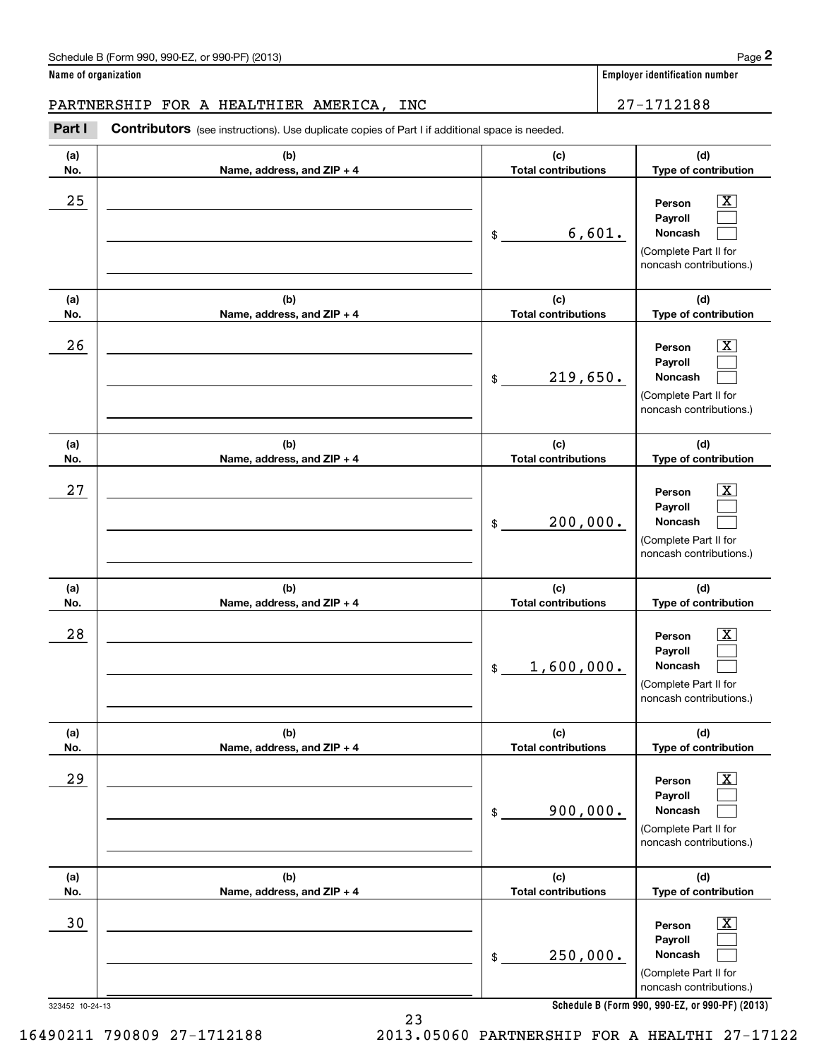### PARTNERSHIP FOR A HEALTHIER AMERICA, INC 27-1712188

Chedule B (Form 990, 990-EZ, or 990-PF) (2013)<br> **2Part I Contributors** (see instructions). Use duplicate copies of Part I if additional space is needed.<br> **2Part I Contributors** (see instructions). Use duplicate copies of P

| (a)  | (b)                        | (c)                           | (d)                                                                                                                                            |
|------|----------------------------|-------------------------------|------------------------------------------------------------------------------------------------------------------------------------------------|
| No.  | Name, address, and ZIP + 4 | <b>Total contributions</b>    | Type of contribution                                                                                                                           |
| 25   |                            | 6,601.<br>\$                  | х<br>Person<br>Payroll<br>Noncash<br>(Complete Part II for<br>noncash contributions.)                                                          |
| (a)  | (b)                        | (c)                           | (d)                                                                                                                                            |
| No.  | Name, address, and ZIP + 4 | <b>Total contributions</b>    | Type of contribution                                                                                                                           |
| 26   |                            | 219,650.<br>\$                | х<br>Person<br>Payroll<br>Noncash<br>(Complete Part II for<br>noncash contributions.)                                                          |
| (a)  | (b)                        | (c)                           | (d)                                                                                                                                            |
| No.  | Name, address, and ZIP + 4 | <b>Total contributions</b>    | Type of contribution                                                                                                                           |
| 27   |                            | 200,000.<br>\$                | X<br>Person<br>Payroll<br>Noncash<br>(Complete Part II for<br>noncash contributions.)                                                          |
| (a)  | (b)                        | (c)                           | (d)                                                                                                                                            |
| No.  | Name, address, and ZIP + 4 | <b>Total contributions</b>    | Type of contribution                                                                                                                           |
| 28   |                            | 1,600,000.<br>\$              | x<br>Person<br>Payroll<br>Noncash<br>(Complete Part II for<br>noncash contributions.)                                                          |
| (a)  | (b)                        | (c)                           | (d)                                                                                                                                            |
| No.  | Name, address, and ZIP + 4 | <b>Total contributions</b>    | Type of contribution                                                                                                                           |
| 29   |                            | 900,000.<br>\$                | $\overline{\mathbf{X}}$<br>Person<br>Payroll<br>Noncash<br>(Complete Part II for<br>noncash contributions.)                                    |
| (a)  | (b)                        | (c)                           | (d)                                                                                                                                            |
| No.  | Name, address, and ZIP + 4 | <b>Total contributions</b>    | Type of contribution                                                                                                                           |
| $30$ |                            | 250,000.<br>\$<br>0.444112000 | $\mathbf{X}$<br>Person<br>Payroll<br>Noncash<br>(Complete Part II for<br>noncash contributions.)<br>$000, 000$ F7 $\rightarrow 000$ BF) (0040) |

23

**Schedule B (Form 990, 990-EZ, or 990-PF) (2013)**

16490211 790809 27-1712188 2013.05060 PARTNERSHIP FOR A HEALTHI 27-17122

323452 10-24-13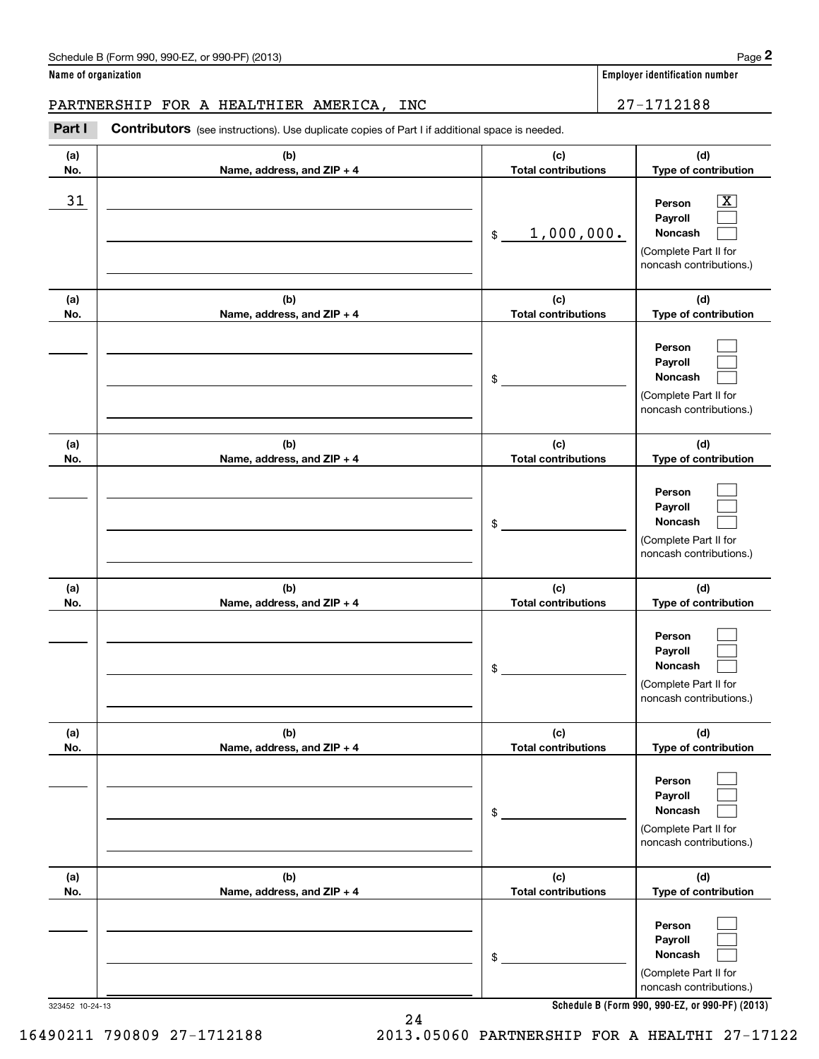PARTNERSHIP FOR A HEALTHIER AMERICA, INC  $\vert$  27-1712188

**(a)No.(b)Name, address, and ZIP + 4 (c)Total contributions (d)Type of contribution PersonPayrollNoncash (a)No.(b)Name, address, and ZIP + 4 (c)Total contributions (d)Type of contribution PersonPayrollNoncash (a)No.(b)Name, address, and ZIP + 4 (c)Total contributions (d)Type of contribution PersonPayrollNoncash (a) No.(b) Name, address, and ZIP + 4 (c) Total contributions (d) Type of contribution PersonPayrollNoncash (a) No.(b) Name, address, and ZIP + 4 (c) Total contributions (d) Type of contribution PersonPayrollNoncash(a) No.(b)Name, address, and ZIP + 4 (c) Total contributions (d)Type of contribution PersonPayrollNoncash** \$(Complete Part II for noncash contributions.) \$(Complete Part II for noncash contributions.) \$(Complete Part II for noncash contributions.) \$(Complete Part II for noncash contributions.) \$(Complete Part II for noncash contributions.) \$(Complete Part II for  $|X|$  $\mathcal{L}^{\text{max}}$  $\mathcal{L}^{\text{max}}$  $\mathcal{L}^{\text{max}}$  $\mathcal{L}^{\text{max}}$  $\mathcal{L}^{\text{max}}$  $\mathcal{L}^{\text{max}}$  $\mathcal{L}^{\text{max}}$  $\mathcal{L}^{\text{max}}$  $\mathcal{L}^{\text{max}}$  $\mathcal{L}^{\text{max}}$  $\mathcal{L}^{\text{max}}$  $\mathcal{L}^{\text{max}}$  $\mathcal{L}^{\text{max}}$  $\mathcal{L}^{\text{max}}$  $\mathcal{L}^{\text{max}}$  $\mathcal{L}^{\text{max}}$  $\mathcal{L}^{\text{max}}$ 31 Person X 1,000,000.

**Schedule B (Form 990, 990-EZ, or 990-PF) (2013)**

noncash contributions.)

Chedule B (Form 990, 990-EZ, or 990-PF) (2013)<br>**2Part I 27–1712188**<br>**PARTNERSHIP FOR A HEALTHIER AMERICA, INC** 27–1712188

Contributors (see instructions). Use duplicate copies of Part I if additional space is needed.

323452 10-24-13

16490211 790809 27-1712188 2013.05060 PARTNERSHIP FOR A HEALTHI 27-17122

24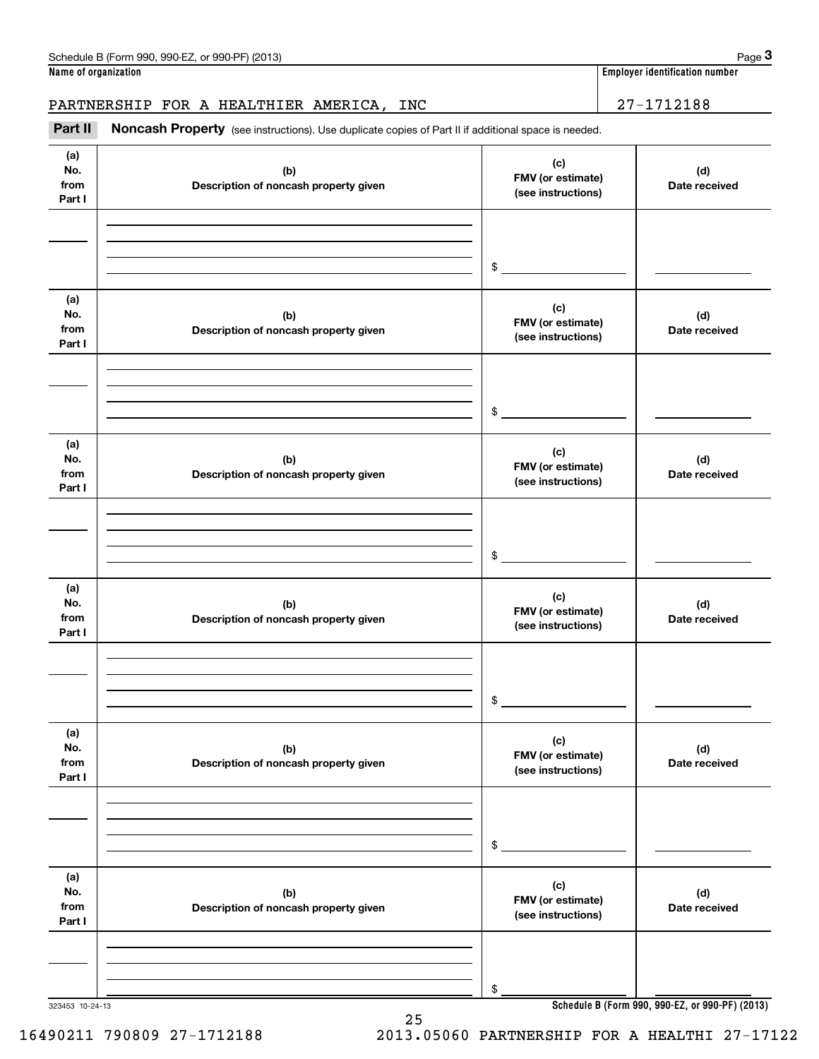**Name of organization Employer identification number**

### PARTNERSHIP FOR A HEALTHIER AMERICA, INC | 27-1712188

Employer identification number<br> **3Part II Noncash Property** (see instructions). Use duplicate copies of Part II if additional space is needed.<br> **Part II Noncash Property** (see instructions). Use duplicate copies of Par

| (a)<br>No.<br>from<br>Part I | (b)<br>Description of noncash property given | (c)<br>FMV (or estimate)<br>(see instructions) | (d)<br>Date received                            |
|------------------------------|----------------------------------------------|------------------------------------------------|-------------------------------------------------|
|                              |                                              |                                                |                                                 |
|                              |                                              | $\frac{1}{2}$                                  |                                                 |
| (a)<br>No.<br>from<br>Part I | (b)<br>Description of noncash property given | (c)<br>FMV (or estimate)<br>(see instructions) | (d)<br>Date received                            |
|                              |                                              | $\frac{1}{2}$                                  |                                                 |
| (a)<br>No.<br>from<br>Part I | (b)<br>Description of noncash property given | (c)<br>FMV (or estimate)<br>(see instructions) | (d)<br>Date received                            |
|                              |                                              | $\frac{1}{2}$                                  |                                                 |
| (a)<br>No.<br>from<br>Part I | (b)<br>Description of noncash property given | (c)<br>FMV (or estimate)<br>(see instructions) | (d)<br>Date received                            |
|                              |                                              | $\frac{1}{2}$                                  |                                                 |
| (a)<br>No.<br>from<br>Part I | (b)<br>Description of noncash property given | (c)<br>FMV (or estimate)<br>(see instructions) | (d)<br>Date received                            |
|                              |                                              | \$                                             |                                                 |
| (a)<br>No.<br>from<br>Part I | (b)<br>Description of noncash property given | (c)<br>FMV (or estimate)<br>(see instructions) | (d)<br>Date received                            |
|                              |                                              |                                                |                                                 |
| 323453 10-24-13              |                                              | \$                                             | Schedule B (Form 990, 990-EZ, or 990-PF) (2013) |

25

323453 10-24-13

16490211 790809 27-1712188 2013.05060 PARTNERSHIP FOR A HEALTHI 27-17122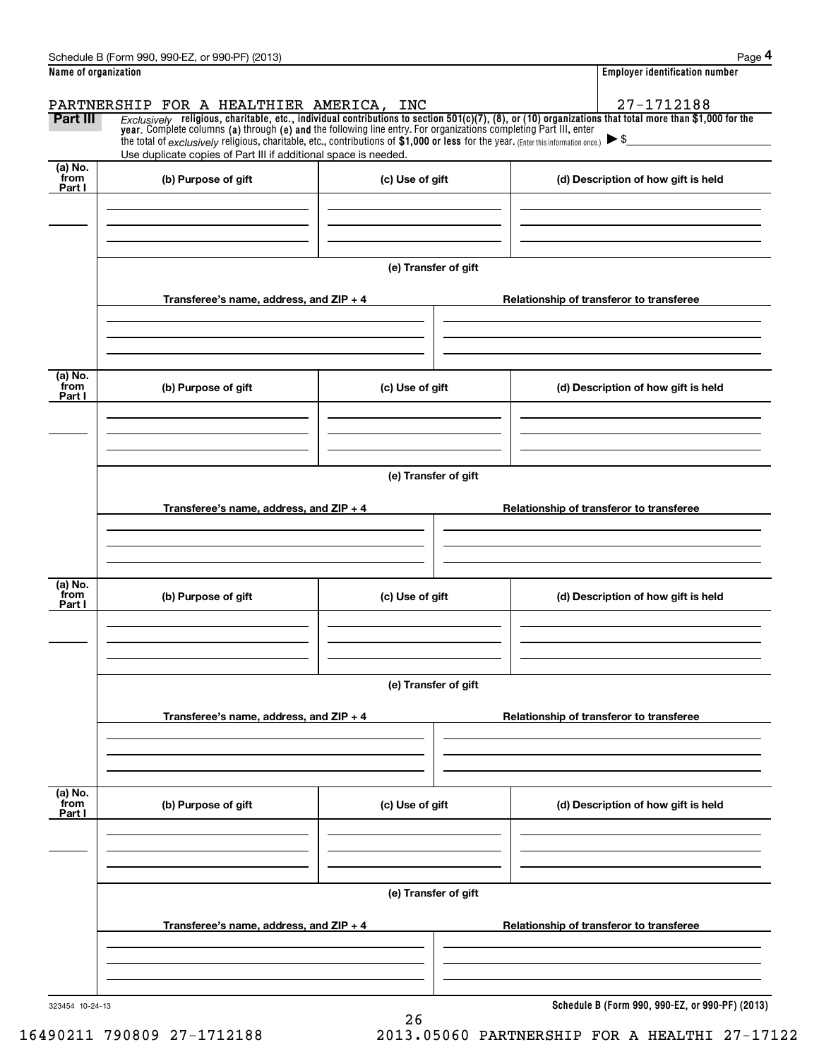| Nama of arganization.                                 | Employer identification number |
|-------------------------------------------------------|--------------------------------|
| Schedule B (Form 990, 990-EZ,<br>(2013)<br>or 990-PF) | Page                           |

|                             | Schedule B (Form 990, 990-EZ, or 990-PF) (2013)                                                                                                                                                                                                                                                                             |                      |  | Page 4                                          |  |
|-----------------------------|-----------------------------------------------------------------------------------------------------------------------------------------------------------------------------------------------------------------------------------------------------------------------------------------------------------------------------|----------------------|--|-------------------------------------------------|--|
| Name of organization        |                                                                                                                                                                                                                                                                                                                             |                      |  | <b>Employer identification number</b>           |  |
| Part III                    | PARTNERSHIP FOR A HEALTHIER AMERICA, INC<br>Exclusively religious, charitable, etc., individual contributions to section $501(c)(7)$ , (8), or (10) organizations that total more than \$1,000 for the<br>year. Complete columns (a) through (e) and the following line entry. For organizations completing Part III, enter |                      |  | 27-1712188                                      |  |
|                             | the total of exclusively religious, charitable, etc., contributions of $$1,000$ or less for the year. (Enter this information once.) $\triangleright$ \$<br>Use duplicate copies of Part III if additional space is needed.                                                                                                 |                      |  |                                                 |  |
| $(a)$ No.<br>from<br>Part I | (b) Purpose of gift<br>(c) Use of gift                                                                                                                                                                                                                                                                                      |                      |  | (d) Description of how gift is held             |  |
|                             |                                                                                                                                                                                                                                                                                                                             |                      |  |                                                 |  |
|                             |                                                                                                                                                                                                                                                                                                                             | (e) Transfer of gift |  |                                                 |  |
|                             | Transferee's name, address, and $ZIP + 4$                                                                                                                                                                                                                                                                                   |                      |  | Relationship of transferor to transferee        |  |
| (a) No.<br>from             | (b) Purpose of gift                                                                                                                                                                                                                                                                                                         | (c) Use of gift      |  | (d) Description of how gift is held             |  |
| Part I                      |                                                                                                                                                                                                                                                                                                                             |                      |  |                                                 |  |
|                             |                                                                                                                                                                                                                                                                                                                             | (e) Transfer of gift |  |                                                 |  |
|                             | Transferee's name, address, and $ZIP + 4$                                                                                                                                                                                                                                                                                   |                      |  | Relationship of transferor to transferee        |  |
| (a) No.                     |                                                                                                                                                                                                                                                                                                                             |                      |  |                                                 |  |
| from<br>Part I              | (b) Purpose of gift                                                                                                                                                                                                                                                                                                         | (c) Use of gift      |  | (d) Description of how gift is held             |  |
|                             |                                                                                                                                                                                                                                                                                                                             | (e) Transfer of gift |  |                                                 |  |
|                             | Transferee's name, address, and $ZIP + 4$                                                                                                                                                                                                                                                                                   |                      |  | Relationship of transferor to transferee        |  |
|                             |                                                                                                                                                                                                                                                                                                                             |                      |  |                                                 |  |
| (a) No.<br>from<br>Part I   | (b) Purpose of gift                                                                                                                                                                                                                                                                                                         | (c) Use of gift      |  | (d) Description of how gift is held             |  |
|                             |                                                                                                                                                                                                                                                                                                                             |                      |  |                                                 |  |
|                             | (e) Transfer of gift                                                                                                                                                                                                                                                                                                        |                      |  |                                                 |  |
|                             | Transferee's name, address, and $ZIP + 4$                                                                                                                                                                                                                                                                                   |                      |  | Relationship of transferor to transferee        |  |
|                             |                                                                                                                                                                                                                                                                                                                             |                      |  | Schedule B (Form 990, 990-EZ, or 990-PF) (2013) |  |
| 323454 10-24-13             |                                                                                                                                                                                                                                                                                                                             |                      |  |                                                 |  |

26

16490211 790809 27-1712188 2013.05060 PARTNERSHIP FOR A HEALTHI 27-17122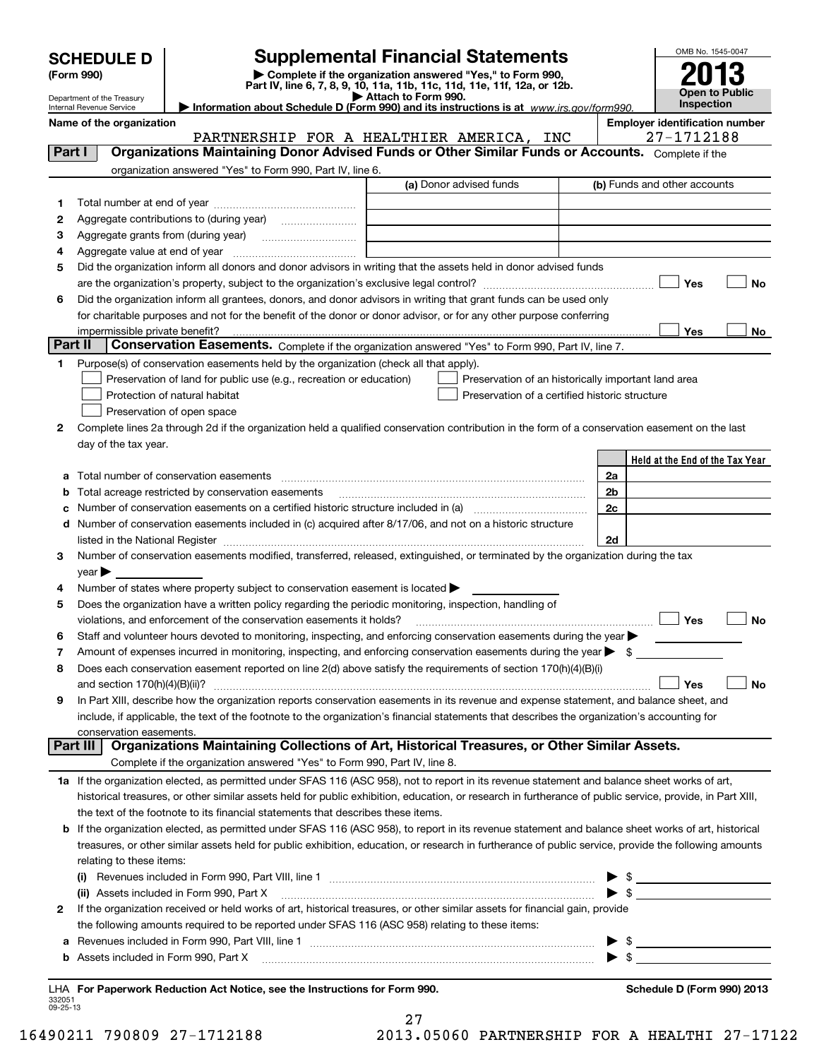Department of the Treasury Internal Revenue Service

## **SCHEDULE D Supplemental Financial Statements**

(Form 990)<br>
Pepartment of the Treasury<br>
Department of the Treasury<br>
Department of the Treasury<br>
Information about Schedule D (Form 990) and its instructions is at www.irs.gov/form990.



| Name of the organization |  |
|--------------------------|--|
|--------------------------|--|

|         | Name of the organization                                                                                                                                                                                                       | PARTNERSHIP FOR A HEALTHIER AMERICA, INC | <b>Employer identification number</b><br>27-1712188 |
|---------|--------------------------------------------------------------------------------------------------------------------------------------------------------------------------------------------------------------------------------|------------------------------------------|-----------------------------------------------------|
| Part I  | Organizations Maintaining Donor Advised Funds or Other Similar Funds or Accounts. Complete if the                                                                                                                              |                                          |                                                     |
|         | organization answered "Yes" to Form 990, Part IV, line 6.                                                                                                                                                                      |                                          |                                                     |
|         |                                                                                                                                                                                                                                | (a) Donor advised funds                  | (b) Funds and other accounts                        |
| 1.      |                                                                                                                                                                                                                                |                                          |                                                     |
| 2       |                                                                                                                                                                                                                                |                                          |                                                     |
| з       |                                                                                                                                                                                                                                |                                          |                                                     |
| 4       |                                                                                                                                                                                                                                |                                          |                                                     |
| 5       | Did the organization inform all donors and donor advisors in writing that the assets held in donor advised funds                                                                                                               |                                          |                                                     |
|         |                                                                                                                                                                                                                                |                                          | Yes<br>No                                           |
| 6       | Did the organization inform all grantees, donors, and donor advisors in writing that grant funds can be used only                                                                                                              |                                          |                                                     |
|         | for charitable purposes and not for the benefit of the donor or donor advisor, or for any other purpose conferring                                                                                                             |                                          |                                                     |
|         |                                                                                                                                                                                                                                |                                          | Yes<br>No                                           |
| Part II | Conservation Easements. Complete if the organization answered "Yes" to Form 990, Part IV, line 7.                                                                                                                              |                                          |                                                     |
| 1.      | Purpose(s) of conservation easements held by the organization (check all that apply).                                                                                                                                          |                                          |                                                     |
|         | Preservation of land for public use (e.g., recreation or education)                                                                                                                                                            |                                          | Preservation of an historically important land area |
|         | Protection of natural habitat                                                                                                                                                                                                  |                                          | Preservation of a certified historic structure      |
|         | Preservation of open space                                                                                                                                                                                                     |                                          |                                                     |
| 2       | Complete lines 2a through 2d if the organization held a qualified conservation contribution in the form of a conservation easement on the last                                                                                 |                                          |                                                     |
|         | day of the tax year.                                                                                                                                                                                                           |                                          |                                                     |
|         |                                                                                                                                                                                                                                |                                          | Held at the End of the Tax Year                     |
|         | a Total number of conservation easements [[11] non-minimum materials in the state of conservation easements [[11] non-minimum materials in the state of conservation easements [[11] non-minimum materials in the state of con |                                          | 2a                                                  |
|         | <b>b</b> Total acreage restricted by conservation easements                                                                                                                                                                    |                                          | 2 <sub>b</sub>                                      |
|         |                                                                                                                                                                                                                                |                                          | 2c                                                  |
|         | d Number of conservation easements included in (c) acquired after 8/17/06, and not on a historic structure                                                                                                                     |                                          |                                                     |
|         |                                                                                                                                                                                                                                |                                          | 2d                                                  |
| 3       | Number of conservation easements modified, transferred, released, extinguished, or terminated by the organization during the tax                                                                                               |                                          |                                                     |
|         | $year \blacktriangleright$                                                                                                                                                                                                     |                                          |                                                     |
| 4       | Number of states where property subject to conservation easement is located >                                                                                                                                                  |                                          |                                                     |
| 5       | Does the organization have a written policy regarding the periodic monitoring, inspection, handling of                                                                                                                         |                                          |                                                     |
|         | violations, and enforcement of the conservation easements it holds?                                                                                                                                                            |                                          | No                                                  |
| 6       | Staff and volunteer hours devoted to monitoring, inspecting, and enforcing conservation easements during the year                                                                                                              |                                          |                                                     |
| 7       | Amount of expenses incurred in monitoring, inspecting, and enforcing conservation easements during the year $\blacktriangleright$ \$                                                                                           |                                          |                                                     |
| 8       | Does each conservation easement reported on line 2(d) above satisfy the requirements of section 170(h)(4)(B)(i)                                                                                                                |                                          |                                                     |
|         | and section $170(h)(4)(B)(ii)?$                                                                                                                                                                                                |                                          | Yes<br>No                                           |
| 9       | In Part XIII, describe how the organization reports conservation easements in its revenue and expense statement, and balance sheet, and                                                                                        |                                          |                                                     |
|         | include, if applicable, the text of the footnote to the organization's financial statements that describes the organization's accounting for                                                                                   |                                          |                                                     |
|         | conservation easements.                                                                                                                                                                                                        |                                          |                                                     |
|         | Organizations Maintaining Collections of Art, Historical Treasures, or Other Similar Assets.<br>Part III                                                                                                                       |                                          |                                                     |
|         | Complete if the organization answered "Yes" to Form 990, Part IV, line 8.                                                                                                                                                      |                                          |                                                     |
|         | 1a If the organization elected, as permitted under SFAS 116 (ASC 958), not to report in its revenue statement and balance sheet works of art,                                                                                  |                                          |                                                     |
|         | historical treasures, or other similar assets held for public exhibition, education, or research in furtherance of public service, provide, in Part XIII,                                                                      |                                          |                                                     |
|         | the text of the footnote to its financial statements that describes these items.                                                                                                                                               |                                          |                                                     |
|         | <b>b</b> If the organization elected, as permitted under SFAS 116 (ASC 958), to report in its revenue statement and balance sheet works of art, historical                                                                     |                                          |                                                     |
|         | treasures, or other similar assets held for public exhibition, education, or research in furtherance of public service, provide the following amounts                                                                          |                                          |                                                     |
|         | relating to these items:                                                                                                                                                                                                       |                                          |                                                     |
|         | (i) Revenues included in Form 990, Part VIII, line 1 [1] [1] [1] [1] [1] [1] Revenues included in Form 990, Part VIII, line 1                                                                                                  |                                          | $\frac{1}{2}$<br>▶                                  |
|         | (ii) Assets included in Form 990, Part X                                                                                                                                                                                       |                                          |                                                     |
| 2       | If the organization received or held works of art, historical treasures, or other similar assets for financial gain, provide                                                                                                   |                                          |                                                     |
|         | the following amounts required to be reported under SFAS 116 (ASC 958) relating to these items:                                                                                                                                |                                          |                                                     |
| а       |                                                                                                                                                                                                                                |                                          |                                                     |
|         | <b>b</b> Assets included in Form 990, Part X                                                                                                                                                                                   |                                          | $\blacktriangleright$ \$                            |

332051 09-25-13**For Paperwork Reduction Act Notice, see the Instructions for Form 990. Schedule D (Form 990) 2013** LHA

27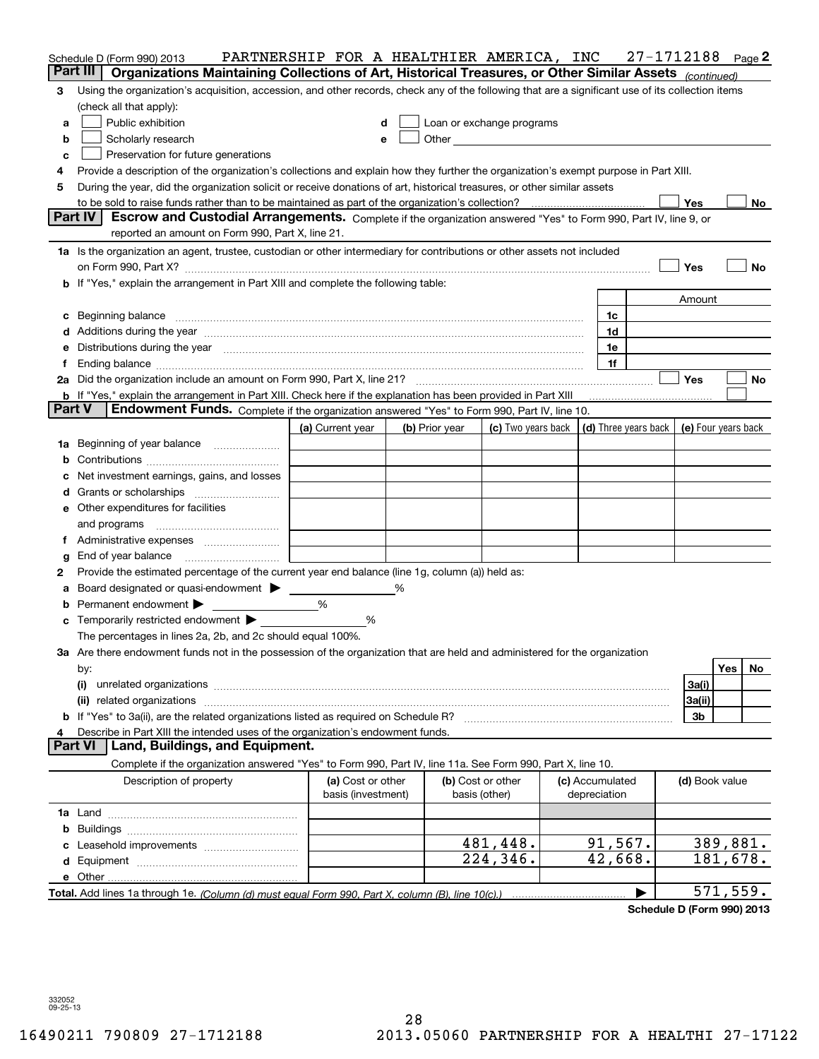|               | Schedule D (Form 990) 2013                                                                                                                                                                                                            | PARTNERSHIP FOR A HEALTHIER AMERICA, INC |                |                                                                                                                                                                                                                                |                                 | 27-1712188 |                | Page 2    |
|---------------|---------------------------------------------------------------------------------------------------------------------------------------------------------------------------------------------------------------------------------------|------------------------------------------|----------------|--------------------------------------------------------------------------------------------------------------------------------------------------------------------------------------------------------------------------------|---------------------------------|------------|----------------|-----------|
|               | Part III<br>Organizations Maintaining Collections of Art, Historical Treasures, or Other Similar Assets (continued)                                                                                                                   |                                          |                |                                                                                                                                                                                                                                |                                 |            |                |           |
| 3             | Using the organization's acquisition, accession, and other records, check any of the following that are a significant use of its collection items                                                                                     |                                          |                |                                                                                                                                                                                                                                |                                 |            |                |           |
|               | (check all that apply):                                                                                                                                                                                                               |                                          |                |                                                                                                                                                                                                                                |                                 |            |                |           |
| а             | Public exhibition                                                                                                                                                                                                                     | d                                        |                | Loan or exchange programs                                                                                                                                                                                                      |                                 |            |                |           |
| b             | Scholarly research                                                                                                                                                                                                                    | e                                        |                | Other the contract of the contract of the contract of the contract of the contract of the contract of the contract of the contract of the contract of the contract of the contract of the contract of the contract of the cont |                                 |            |                |           |
| c             | Preservation for future generations                                                                                                                                                                                                   |                                          |                |                                                                                                                                                                                                                                |                                 |            |                |           |
| 4             | Provide a description of the organization's collections and explain how they further the organization's exempt purpose in Part XIII.                                                                                                  |                                          |                |                                                                                                                                                                                                                                |                                 |            |                |           |
| 5             | During the year, did the organization solicit or receive donations of art, historical treasures, or other similar assets                                                                                                              |                                          |                |                                                                                                                                                                                                                                |                                 |            |                |           |
|               |                                                                                                                                                                                                                                       |                                          |                |                                                                                                                                                                                                                                |                                 |            | Yes            | No        |
|               | Part IV<br>Escrow and Custodial Arrangements. Complete if the organization answered "Yes" to Form 990, Part IV, line 9, or                                                                                                            |                                          |                |                                                                                                                                                                                                                                |                                 |            |                |           |
|               | reported an amount on Form 990, Part X, line 21.                                                                                                                                                                                      |                                          |                |                                                                                                                                                                                                                                |                                 |            |                |           |
|               | 1a Is the organization an agent, trustee, custodian or other intermediary for contributions or other assets not included                                                                                                              |                                          |                |                                                                                                                                                                                                                                |                                 |            |                |           |
|               |                                                                                                                                                                                                                                       |                                          |                |                                                                                                                                                                                                                                |                                 |            | Yes            | No        |
|               | b If "Yes," explain the arrangement in Part XIII and complete the following table:                                                                                                                                                    |                                          |                |                                                                                                                                                                                                                                |                                 |            |                |           |
|               |                                                                                                                                                                                                                                       |                                          |                |                                                                                                                                                                                                                                |                                 |            | Amount         |           |
| c             | Beginning balance <b>contract to the contract of the contract of the contract of the contract of the contract of t</b>                                                                                                                |                                          |                |                                                                                                                                                                                                                                | 1c                              |            |                |           |
|               |                                                                                                                                                                                                                                       |                                          |                |                                                                                                                                                                                                                                | 1d                              |            |                |           |
|               | Distributions during the year manufactured and an account of the state of the state of the state of the state o                                                                                                                       |                                          |                |                                                                                                                                                                                                                                | 1e<br>1f                        |            |                |           |
| Ť.            |                                                                                                                                                                                                                                       |                                          |                |                                                                                                                                                                                                                                |                                 |            | Yes            | No        |
|               | <b>b</b> If "Yes," explain the arrangement in Part XIII. Check here if the explanation has been provided in Part XIII                                                                                                                 |                                          |                |                                                                                                                                                                                                                                |                                 |            |                |           |
| <b>Part V</b> | Endowment Funds. Complete if the organization answered "Yes" to Form 990, Part IV, line 10.                                                                                                                                           |                                          |                |                                                                                                                                                                                                                                |                                 |            |                |           |
|               |                                                                                                                                                                                                                                       | (a) Current year                         | (b) Prior year | (c) Two years back $\vert$ (d) Three years back $\vert$ (e) Four years back                                                                                                                                                    |                                 |            |                |           |
|               | 1a Beginning of year balance                                                                                                                                                                                                          |                                          |                |                                                                                                                                                                                                                                |                                 |            |                |           |
| b             |                                                                                                                                                                                                                                       |                                          |                |                                                                                                                                                                                                                                |                                 |            |                |           |
|               | Net investment earnings, gains, and losses                                                                                                                                                                                            |                                          |                |                                                                                                                                                                                                                                |                                 |            |                |           |
| d             |                                                                                                                                                                                                                                       |                                          |                |                                                                                                                                                                                                                                |                                 |            |                |           |
|               | <b>e</b> Other expenditures for facilities                                                                                                                                                                                            |                                          |                |                                                                                                                                                                                                                                |                                 |            |                |           |
|               | and programs                                                                                                                                                                                                                          |                                          |                |                                                                                                                                                                                                                                |                                 |            |                |           |
| Ť.            |                                                                                                                                                                                                                                       |                                          |                |                                                                                                                                                                                                                                |                                 |            |                |           |
| g             | End of year balance                                                                                                                                                                                                                   |                                          |                |                                                                                                                                                                                                                                |                                 |            |                |           |
| 2             | Provide the estimated percentage of the current year end balance (line 1g, column (a)) held as:                                                                                                                                       |                                          |                |                                                                                                                                                                                                                                |                                 |            |                |           |
| а             | Board designated or quasi-endowment > _____                                                                                                                                                                                           |                                          |                |                                                                                                                                                                                                                                |                                 |            |                |           |
| b             | Permanent endowment                                                                                                                                                                                                                   | %                                        |                |                                                                                                                                                                                                                                |                                 |            |                |           |
| с             | Temporarily restricted endowment                                                                                                                                                                                                      | %                                        |                |                                                                                                                                                                                                                                |                                 |            |                |           |
|               | The percentages in lines 2a, 2b, and 2c should equal 100%.                                                                                                                                                                            |                                          |                |                                                                                                                                                                                                                                |                                 |            |                |           |
|               | 3a Are there endowment funds not in the possession of the organization that are held and administered for the organization                                                                                                            |                                          |                |                                                                                                                                                                                                                                |                                 |            |                |           |
|               | by:                                                                                                                                                                                                                                   |                                          |                |                                                                                                                                                                                                                                |                                 |            |                | Yes<br>No |
|               | (i)<br>unrelated organizations [11] material contracts and contracts are the contract of the contracts and contracts are the contracts of the contracts of the contracts are contracted and contracts are contracted and contracts ar |                                          |                |                                                                                                                                                                                                                                |                                 |            | 3a(i)          |           |
|               |                                                                                                                                                                                                                                       |                                          |                |                                                                                                                                                                                                                                |                                 |            | 3a(ii)         |           |
|               | <b>b</b> If "Yes" to 3a(ii), are the related organizations listed as required on Schedule R?                                                                                                                                          |                                          |                |                                                                                                                                                                                                                                |                                 |            | 3b             |           |
| 4             | Describe in Part XIII the intended uses of the organization's endowment funds.                                                                                                                                                        |                                          |                |                                                                                                                                                                                                                                |                                 |            |                |           |
|               | Land, Buildings, and Equipment.<br><b>Part VI</b>                                                                                                                                                                                     |                                          |                |                                                                                                                                                                                                                                |                                 |            |                |           |
|               | Complete if the organization answered "Yes" to Form 990, Part IV, line 11a. See Form 990, Part X, line 10.                                                                                                                            |                                          |                |                                                                                                                                                                                                                                |                                 |            |                |           |
|               | Description of property                                                                                                                                                                                                               | (a) Cost or other<br>basis (investment)  |                | (b) Cost or other<br>basis (other)                                                                                                                                                                                             | (c) Accumulated<br>depreciation |            | (d) Book value |           |
|               |                                                                                                                                                                                                                                       |                                          |                |                                                                                                                                                                                                                                |                                 |            |                |           |
|               |                                                                                                                                                                                                                                       |                                          |                |                                                                                                                                                                                                                                |                                 |            |                |           |
| c             |                                                                                                                                                                                                                                       |                                          |                | 481,448.                                                                                                                                                                                                                       | 91,567.                         |            |                | 389,881.  |
|               |                                                                                                                                                                                                                                       |                                          |                | 224, 346.                                                                                                                                                                                                                      | 42,668.                         |            |                | 181,678.  |
|               |                                                                                                                                                                                                                                       |                                          |                |                                                                                                                                                                                                                                |                                 |            |                |           |
|               |                                                                                                                                                                                                                                       |                                          |                |                                                                                                                                                                                                                                |                                 | ▶          |                | 571, 559. |

**Schedule D (Form 990) 2013**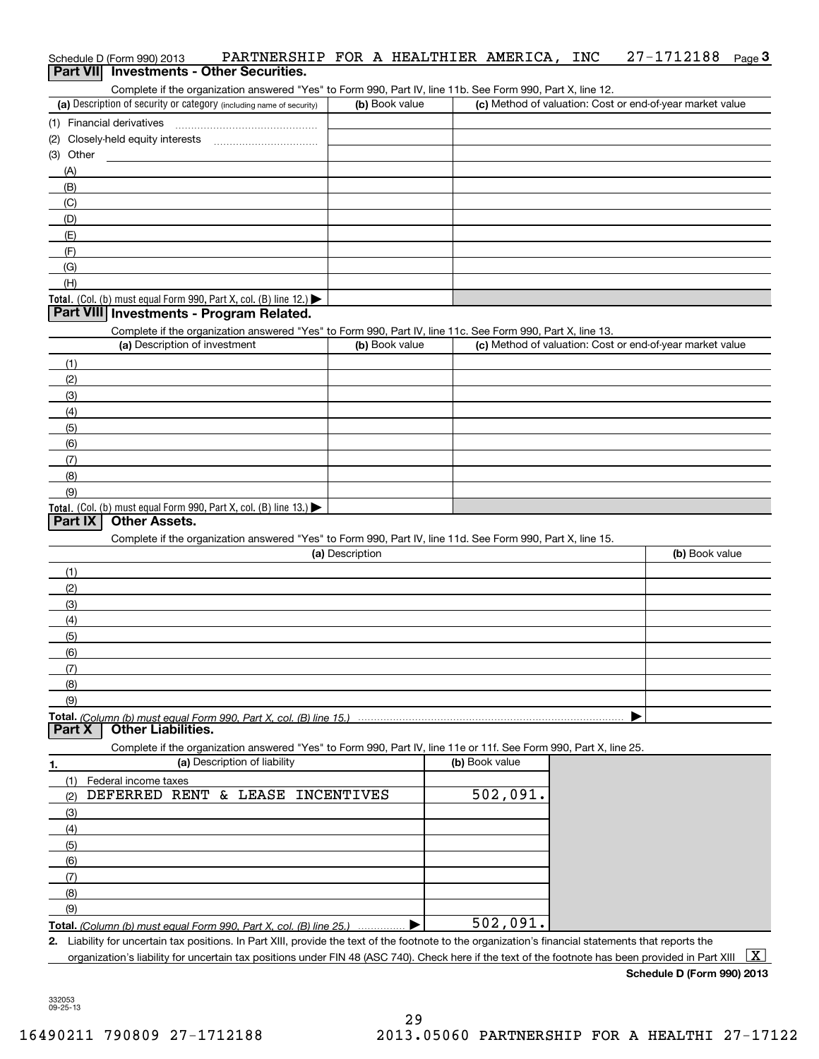### Schedule D (Form 990) 2013 PARTNERSHIP FOR A HEALTHIER AMERICA,INC 27-1712188 <sub>Page</sub> 3<br>| **Part VII** | Investments - Other Securities. 27-1712188 Page 3

Complete if the organization answered "Yes" to Form 990, Part IV, line 11b. See Form 990, Part X, line 12.

| (a) Description of security or category (including name of security)                   | (b) Book value | (c) Method of valuation: Cost or end-of-year market value |
|----------------------------------------------------------------------------------------|----------------|-----------------------------------------------------------|
| (1) Financial derivatives                                                              |                |                                                           |
| (2) Closely-held equity interests<br>                                                  |                |                                                           |
| (3) Other                                                                              |                |                                                           |
| (A)                                                                                    |                |                                                           |
| (B)                                                                                    |                |                                                           |
| (C)                                                                                    |                |                                                           |
| (D)                                                                                    |                |                                                           |
| (E)                                                                                    |                |                                                           |
| (F)                                                                                    |                |                                                           |
| (G)                                                                                    |                |                                                           |
| (H)                                                                                    |                |                                                           |
| Total. (Col. (b) must equal Form 990, Part X, col. (B) line 12.) $\blacktriangleright$ |                |                                                           |

### **Part VIII Investments - Program Related.**

Complete if the organization answered "Yes" to Form 990, Part IV, line 11c. See Form 990, Part X, line 13.

| (a) Description of investment                                       | (b) Book value | (c) Method of valuation: Cost or end-of-year market value |
|---------------------------------------------------------------------|----------------|-----------------------------------------------------------|
| (1)                                                                 |                |                                                           |
| (2)                                                                 |                |                                                           |
| (3)                                                                 |                |                                                           |
| (4)                                                                 |                |                                                           |
| (5)                                                                 |                |                                                           |
| (6)                                                                 |                |                                                           |
| (7)                                                                 |                |                                                           |
| (8)                                                                 |                |                                                           |
| (9)                                                                 |                |                                                           |
| Total. (Col. (b) must equal Form 990, Part X, col. (B) line $13.$ ) |                |                                                           |

### **Part IX Other Assets.**

Complete if the organization answered "Yes" to Form 990, Part IV, line 11d. See Form 990, Part X, line 15.

| (a) Description | (b) Book value |
|-----------------|----------------|
| (1)             |                |
| (2)             |                |
| (3)             |                |
| (4)             |                |
| (5)             |                |
| (6)             |                |
| (7)             |                |
| (8)             |                |
| (9)             |                |
|                 |                |

<u>Total. *(Co*<br>Dart X</u> *(Column (b) must equal Form 990, Part X, col. (B) line 15.)* **Part Cher Liabilities.** 

Complete if the organization answered "Yes" to Form 990, Part IV, line 11e or 11f. See Form 990, Part X, line 25.

| 1.  | (a) Description of liability                                       | (b) Book value |
|-----|--------------------------------------------------------------------|----------------|
|     | Federal income taxes                                               |                |
| (2) | DEFERRED RENT & LEASE INCENTIVES                                   | 502,091.       |
| (3) |                                                                    |                |
| (4) |                                                                    |                |
| (5) |                                                                    |                |
| (6) |                                                                    |                |
| (7) |                                                                    |                |
| (8) |                                                                    |                |
| (9) |                                                                    |                |
|     | Total. (Column (b) must equal Form 990, Part X, col. (B) line 25.) | 502,091.       |

**2.** Liability for uncertain tax positions. In Part XIII, provide the text of the footnote to the organization's financial statements that reports the

organization's liability for uncertain tax positions under FIN 48 (ASC 740). Check here if the text of the footnote has been provided in Part XIII  $~\boxed{\rm X}$ 

**Schedule D (Form 990) 2013**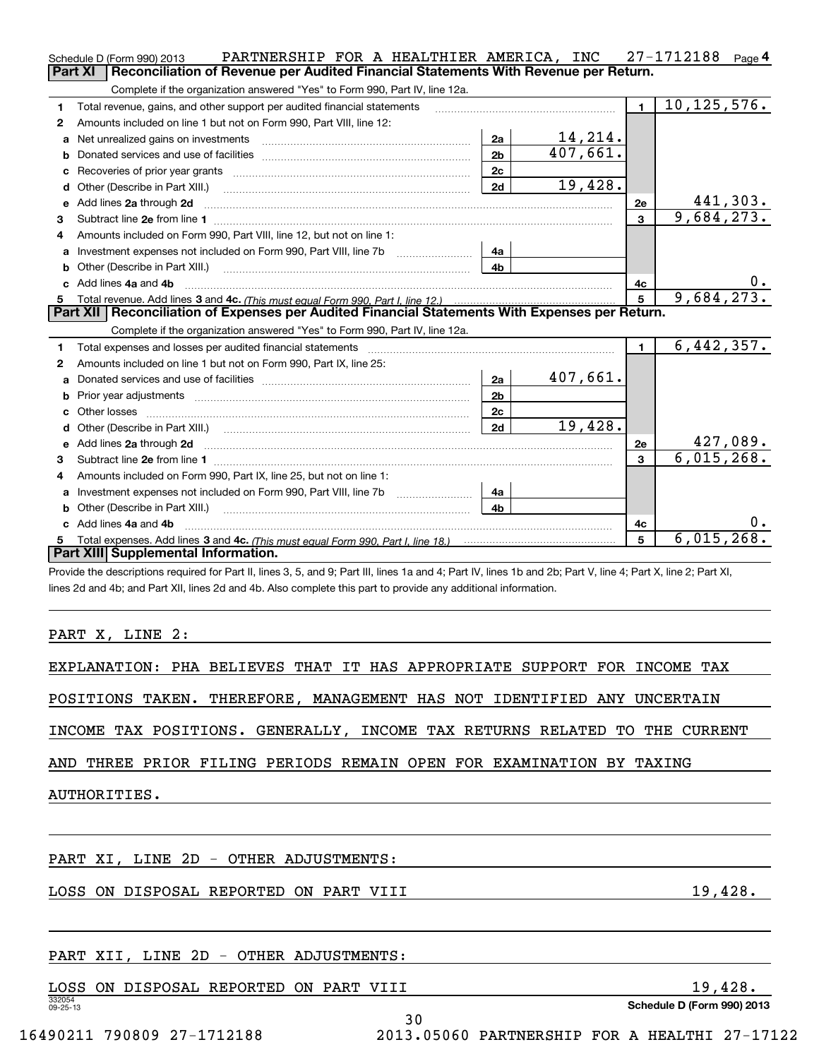|    | PARTNERSHIP FOR A HEALTHIER AMERICA, INC<br>Schedule D (Form 990) 2013                                                                                         |                |                            |                | 27-1712188<br>Page 4 |  |
|----|----------------------------------------------------------------------------------------------------------------------------------------------------------------|----------------|----------------------------|----------------|----------------------|--|
|    | Part XI<br>Reconciliation of Revenue per Audited Financial Statements With Revenue per Return.                                                                 |                |                            |                |                      |  |
|    | Complete if the organization answered "Yes" to Form 990, Part IV, line 12a.                                                                                    |                |                            |                |                      |  |
| 1  | Total revenue, gains, and other support per audited financial statements                                                                                       |                |                            | $\blacksquare$ | 10, 125, 576.        |  |
| 2  | Amounts included on line 1 but not on Form 990, Part VIII, line 12:                                                                                            |                |                            |                |                      |  |
| a  | Net unrealized gains on investments                                                                                                                            | 2a             | $\frac{14,214}{407,661}$ . |                |                      |  |
| b  |                                                                                                                                                                | 2 <sub>b</sub> |                            |                |                      |  |
| с  |                                                                                                                                                                | 2c             |                            |                |                      |  |
| d  | Other (Describe in Part XIII.)                                                                                                                                 | 2d             | 19,428.                    |                |                      |  |
| e  | Add lines 2a through 2d                                                                                                                                        |                |                            | 2e             | 441,303.             |  |
| 3  |                                                                                                                                                                |                |                            | 3              | 9,684,273.           |  |
| 4  | Amounts included on Form 990, Part VIII, line 12, but not on line 1:                                                                                           |                |                            |                |                      |  |
| а  | Investment expenses not included on Form 990, Part VIII, line 7b                                                                                               | 4a             |                            |                |                      |  |
| b  |                                                                                                                                                                | 4b             |                            |                |                      |  |
| c  | Add lines 4a and 4b                                                                                                                                            |                |                            | 4с             |                      |  |
| 5  |                                                                                                                                                                |                |                            | 5              | 9,684,273            |  |
|    | Part XII   Reconciliation of Expenses per Audited Financial Statements With Expenses per Return.                                                               |                |                            |                |                      |  |
|    | Complete if the organization answered "Yes" to Form 990, Part IV, line 12a.                                                                                    |                |                            |                |                      |  |
| 1  | Total expenses and losses per audited financial statements                                                                                                     |                |                            | $\blacksquare$ | 6,442,357.           |  |
| 2  | Amounts included on line 1 but not on Form 990, Part IX, line 25:                                                                                              |                |                            |                |                      |  |
| a  |                                                                                                                                                                | 2a             | 407,661.                   |                |                      |  |
| b  |                                                                                                                                                                | 2 <sub>b</sub> |                            |                |                      |  |
| c  |                                                                                                                                                                | 2c             |                            |                |                      |  |
| d  |                                                                                                                                                                | 2d             | 19,428.                    |                |                      |  |
| е  | Add lines 2a through 2d                                                                                                                                        |                |                            | <b>2e</b>      | 427,089.             |  |
| 3  |                                                                                                                                                                |                |                            | 3              | 6,015,268.           |  |
| 4  | Amounts included on Form 990, Part IX, line 25, but not on line 1:                                                                                             |                |                            |                |                      |  |
| a  | Investment expenses not included on Form 990, Part VIII, line 7b                                                                                               | 4a             |                            |                |                      |  |
| b  | Other (Describe in Part XIII.) [100] [100] [100] [100] [100] [100] [100] [100] [100] [100] [100] [100] [100] [                                                 | 4b             |                            |                |                      |  |
| c  | Add lines 4a and 4b                                                                                                                                            |                |                            | 4c             | υ.                   |  |
| 5. |                                                                                                                                                                |                |                            | 5              | 6,015,268.           |  |
|    | Part XIII Supplemental Information.                                                                                                                            |                |                            |                |                      |  |
|    | Provide the descriptions required for Part II, lines 3, 5, and 9; Part III, lines 1a and 4; Part IV, lines 1b and 2b; Part V, line 4; Part X, line 2; Part XI, |                |                            |                |                      |  |
|    | lines 2d and 4b; and Part XII, lines 2d and 4b. Also complete this part to provide any additional information.                                                 |                |                            |                |                      |  |
|    |                                                                                                                                                                |                |                            |                |                      |  |
|    |                                                                                                                                                                |                |                            |                |                      |  |
|    | PART X, LINE 2:                                                                                                                                                |                |                            |                |                      |  |
|    |                                                                                                                                                                |                |                            |                |                      |  |
|    | EXPLANATION: PHA BELIEVES THAT IT HAS APPROPRIATE SUPPORT FOR INCOME TAX                                                                                       |                |                            |                |                      |  |
|    | POSITIONS TAKEN.<br>THEREFORE,<br>MANAGEMENT HAS NOT IDENTIFIED ANY UNCERTAIN                                                                                  |                |                            |                |                      |  |

INCOME TAX POSITIONS. GENERALLY, INCOME TAX RETURNS RELATED TO THE CURRENT

AND THREE PRIOR FILING PERIODS REMAIN OPEN FOR EXAMINATION BY TAXING

AUTHORITIES.

PART XI, LINE 2D - OTHER ADJUSTMENTS:

LOSS ON DISPOSAL REPORTED ON PART VIII 19,428.

### PART XII, LINE 2D - OTHER ADJUSTMENTS:

| LOSS                     | ON. | DISPOSAL | REPORTED | ON | PART | VIII | 428.<br>Q                  |
|--------------------------|-----|----------|----------|----|------|------|----------------------------|
| 332054<br>$09 - 25 - 13$ |     |          |          |    |      |      | Schedule D (Form 990) 2013 |
|                          |     |          |          |    |      | J U  |                            |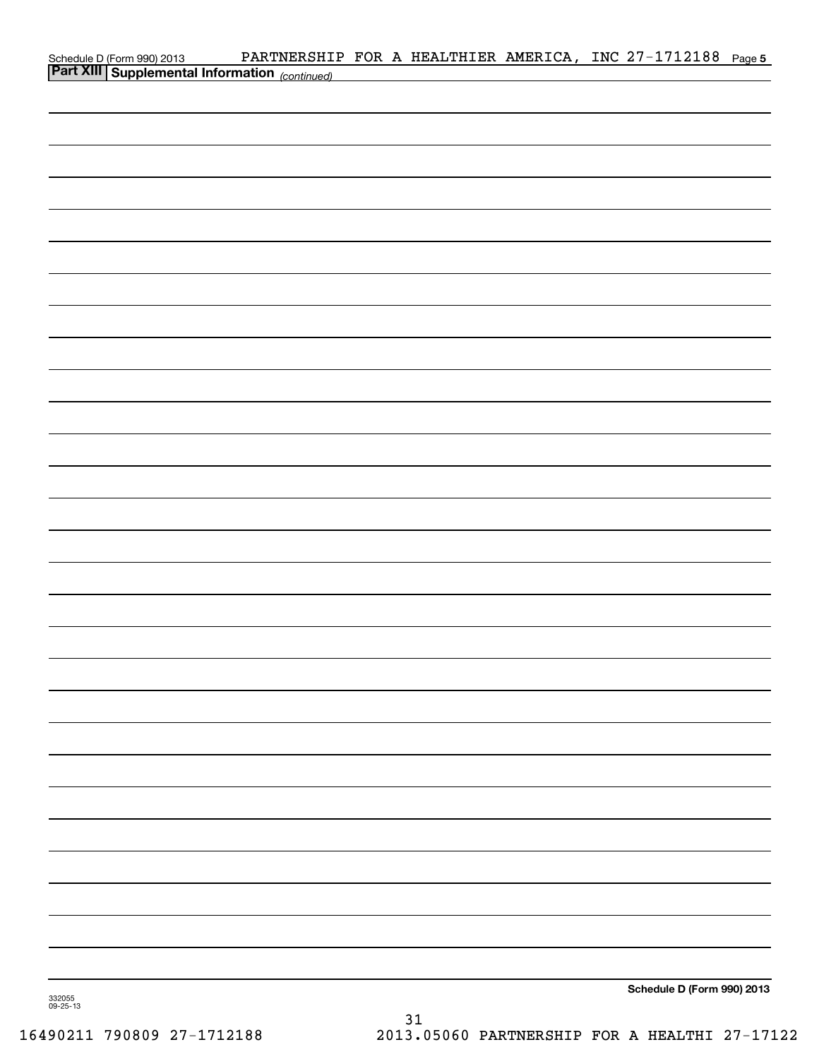|                                                                                          |  |  | PARTNERSHIP FOR A HEALTHIER AMERICA, INC 27-1712188 Page 5 |  |
|------------------------------------------------------------------------------------------|--|--|------------------------------------------------------------|--|
| Schedule D (Form 990) 2013 PARTNERSHII<br>Part XIII Supplemental Information (continued) |  |  |                                                            |  |
|                                                                                          |  |  |                                                            |  |
|                                                                                          |  |  |                                                            |  |
|                                                                                          |  |  |                                                            |  |
|                                                                                          |  |  |                                                            |  |
|                                                                                          |  |  |                                                            |  |
|                                                                                          |  |  |                                                            |  |
|                                                                                          |  |  |                                                            |  |
|                                                                                          |  |  |                                                            |  |
|                                                                                          |  |  |                                                            |  |
|                                                                                          |  |  |                                                            |  |
|                                                                                          |  |  |                                                            |  |
|                                                                                          |  |  |                                                            |  |
|                                                                                          |  |  |                                                            |  |
|                                                                                          |  |  |                                                            |  |
|                                                                                          |  |  |                                                            |  |
|                                                                                          |  |  |                                                            |  |
|                                                                                          |  |  |                                                            |  |
|                                                                                          |  |  |                                                            |  |
|                                                                                          |  |  |                                                            |  |
|                                                                                          |  |  |                                                            |  |
|                                                                                          |  |  |                                                            |  |
|                                                                                          |  |  |                                                            |  |
|                                                                                          |  |  |                                                            |  |
|                                                                                          |  |  |                                                            |  |
|                                                                                          |  |  |                                                            |  |
|                                                                                          |  |  |                                                            |  |
|                                                                                          |  |  |                                                            |  |
|                                                                                          |  |  |                                                            |  |
|                                                                                          |  |  |                                                            |  |
|                                                                                          |  |  |                                                            |  |
|                                                                                          |  |  |                                                            |  |
|                                                                                          |  |  |                                                            |  |
|                                                                                          |  |  |                                                            |  |
|                                                                                          |  |  |                                                            |  |
|                                                                                          |  |  |                                                            |  |
|                                                                                          |  |  |                                                            |  |
|                                                                                          |  |  |                                                            |  |
|                                                                                          |  |  |                                                            |  |
|                                                                                          |  |  |                                                            |  |
|                                                                                          |  |  |                                                            |  |
|                                                                                          |  |  |                                                            |  |
|                                                                                          |  |  |                                                            |  |
|                                                                                          |  |  |                                                            |  |
|                                                                                          |  |  | Schedule D (Form 990) 2013                                 |  |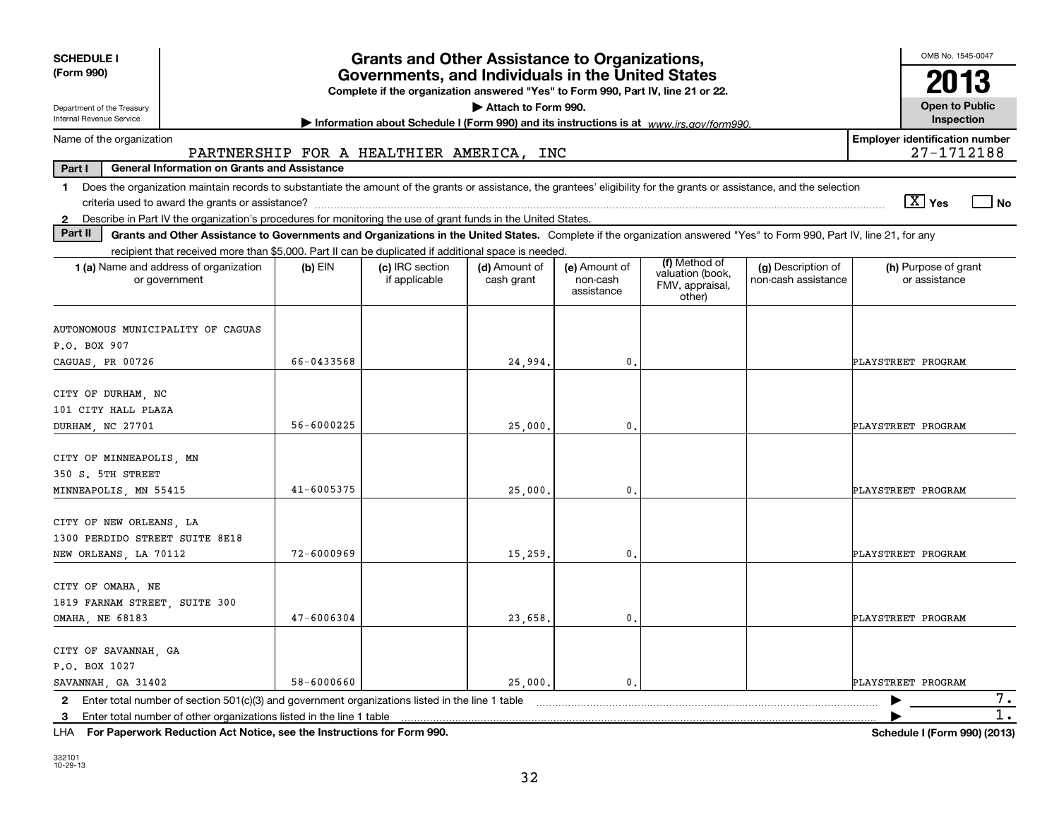| OMB No. 1545-0047<br><b>SCHEDULE I</b><br><b>Grants and Other Assistance to Organizations,</b> |                                                                                                                                                                                                                                                                                        |                                                                                                                                       |                             |                                         |                                                                |                                           |                                                     |  |  |  |  |
|------------------------------------------------------------------------------------------------|----------------------------------------------------------------------------------------------------------------------------------------------------------------------------------------------------------------------------------------------------------------------------------------|---------------------------------------------------------------------------------------------------------------------------------------|-----------------------------|-----------------------------------------|----------------------------------------------------------------|-------------------------------------------|-----------------------------------------------------|--|--|--|--|
| (Form 990)                                                                                     |                                                                                                                                                                                                                                                                                        | Governments, and Individuals in the United States<br>Complete if the organization answered "Yes" to Form 990, Part IV, line 21 or 22. |                             |                                         |                                                                |                                           | 2013                                                |  |  |  |  |
| Department of the Treasury<br>Internal Revenue Service                                         |                                                                                                                                                                                                                                                                                        | Information about Schedule I (Form 990) and its instructions is at www.irs.gov/form990.                                               | Attach to Form 990.         |                                         |                                                                |                                           | <b>Open to Public</b><br>Inspection                 |  |  |  |  |
| Name of the organization                                                                       | PARTNERSHIP FOR A HEALTHIER AMERICA, INC                                                                                                                                                                                                                                               |                                                                                                                                       |                             |                                         |                                                                |                                           | <b>Employer identification number</b><br>27-1712188 |  |  |  |  |
| Part I<br><b>General Information on Grants and Assistance</b>                                  |                                                                                                                                                                                                                                                                                        |                                                                                                                                       |                             |                                         |                                                                |                                           |                                                     |  |  |  |  |
| $\mathbf 1$                                                                                    | Does the organization maintain records to substantiate the amount of the grants or assistance, the grantees' eligibility for the grants or assistance, and the selection                                                                                                               |                                                                                                                                       |                             |                                         |                                                                |                                           | $\boxed{\text{X}}$ Yes<br>l No                      |  |  |  |  |
| $\mathbf{2}$<br>Part II                                                                        | Describe in Part IV the organization's procedures for monitoring the use of grant funds in the United States.<br>Grants and Other Assistance to Governments and Organizations in the United States. Complete if the organization answered "Yes" to Form 990, Part IV, line 21, for any |                                                                                                                                       |                             |                                         |                                                                |                                           |                                                     |  |  |  |  |
|                                                                                                | recipient that received more than \$5,000. Part II can be duplicated if additional space is needed.                                                                                                                                                                                    |                                                                                                                                       |                             |                                         |                                                                |                                           |                                                     |  |  |  |  |
| 1 (a) Name and address of organization<br>or government                                        | $(b)$ EIN                                                                                                                                                                                                                                                                              | (c) IRC section<br>if applicable                                                                                                      | (d) Amount of<br>cash grant | (e) Amount of<br>non-cash<br>assistance | (f) Method of<br>valuation (book,<br>FMV, appraisal,<br>other) | (g) Description of<br>non-cash assistance | (h) Purpose of grant<br>or assistance               |  |  |  |  |
| AUTONOMOUS MUNICIPALITY OF CAGUAS<br>P.O. BOX 907<br>CAGUAS, PR 00726                          | 66-0433568                                                                                                                                                                                                                                                                             |                                                                                                                                       | 24,994.                     | $\mathbf{0}$ .                          |                                                                |                                           | PLAYSTREET PROGRAM                                  |  |  |  |  |
| CITY OF DURHAM, NC<br>101 CITY HALL PLAZA<br>DURHAM, NC 27701                                  | 56-6000225                                                                                                                                                                                                                                                                             |                                                                                                                                       | 25,000.                     | 0.                                      |                                                                |                                           | PLAYSTREET PROGRAM                                  |  |  |  |  |
| CITY OF MINNEAPOLIS, MN<br>350 S. 5TH STREET<br>MINNEAPOLIS, MN 55415                          | $41 - 6005375$                                                                                                                                                                                                                                                                         |                                                                                                                                       | 25,000,                     | 0.                                      |                                                                |                                           | PLAYSTREET PROGRAM                                  |  |  |  |  |
| CITY OF NEW ORLEANS, LA<br>1300 PERDIDO STREET SUITE 8E18<br>NEW ORLEANS, LA 70112             | 72-6000969                                                                                                                                                                                                                                                                             |                                                                                                                                       | 15,259.                     | 0.                                      |                                                                |                                           | PLAYSTREET PROGRAM                                  |  |  |  |  |
| CITY OF OMAHA, NE<br>1819 FARNAM STREET, SUITE 300<br><b>OMAHA, NE 68183</b>                   | $47 - 6006304$                                                                                                                                                                                                                                                                         |                                                                                                                                       | 23,658.                     | 0.                                      |                                                                |                                           | PLAYSTREET PROGRAM                                  |  |  |  |  |
| CITY OF SAVANNAH, GA<br>P.O. BOX 1027<br>SAVANNAH, GA 31402                                    | 58-6000660                                                                                                                                                                                                                                                                             |                                                                                                                                       | 25,000.                     | 0.                                      |                                                                |                                           | PLAYSTREET PROGRAM                                  |  |  |  |  |
| 2<br>3                                                                                         | Enter total number of section $501(c)(3)$ and government organizations listed in the line 1 table<br>Enter total number of other organizations listed in the line 1 table                                                                                                              |                                                                                                                                       |                             |                                         |                                                                |                                           | 7.<br>$\overline{1}$ .                              |  |  |  |  |

**For Paperwork Reduction Act Notice, see the Instructions for Form 990. Schedule I (Form 990) (2013)** LHA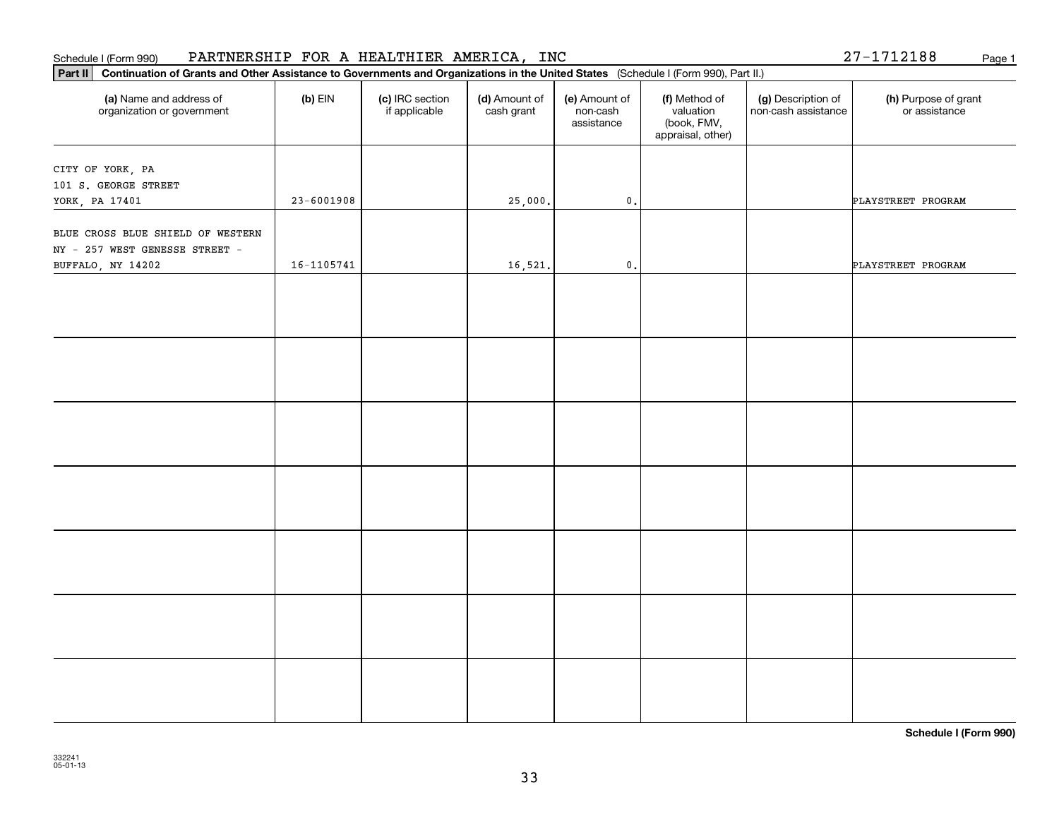# **Part II Continuation of Grants and Other Assistance to Governments and Organizations in the United States**  (Schedule I (Form 990), Part II.) **(a) (b) (c) (d) (e) (f) (g) (h)** Name and address of organization or government  $(b)$  EIN  $(c)$  IRC section if applicable (d) Amount of cash grant (e) Amount of non-cash assistance(f) Method of valuation (book, FMV, appraisal, other) (g) Description of non-cash assistance (h) Purpose of grant or assistance CITY OF YORK, PA 101 S. GEORGE STREET YORK, PA 17401 23 25-6001908 23-6001908 25,000. 25,000. 25,000. BLUE CROSS BLUE SHIELD OF WESTERN NY - 257 WEST GENESSE STREET - BUFFALO, NY 14202 16-1105741 16-1105741 16,521. 0.

Schedule I (Form 990) PARTNERSHIP FOR A HEALTHIER AMERICA, INC Page 1

**Schedule I (Form 990)**

27-1712188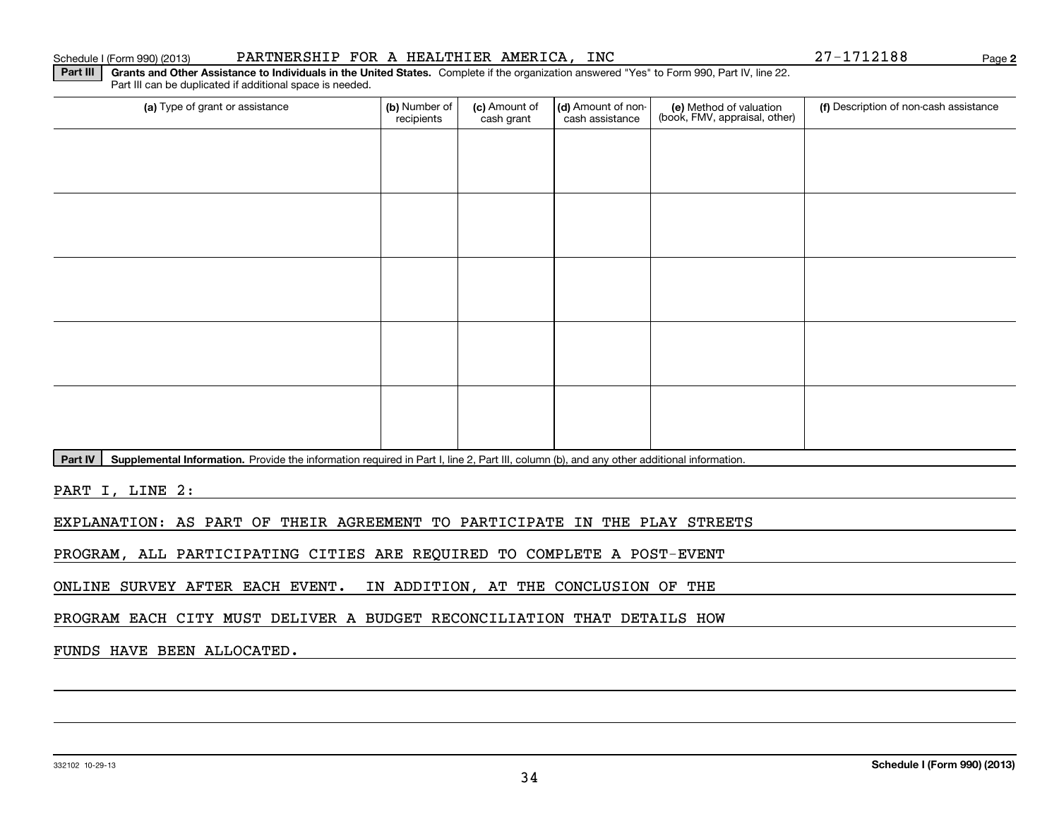### Schedule I (Form 990) (2013) PARTNERSHIP FOR A HEALTHIER AMERICA, INC 27-1712188 Page

**2**

**Part III** | Grants and Other Assistance to Individuals in the United States. Complete if the organization answered "Yes" to Form 990, Part IV, line 22. Part III can be duplicated if additional space is needed.

| (a) Type of grant or assistance | (b) Number of<br>recipients | (c) Amount of<br>cash grant | (d) Amount of non-<br>cash assistance | (e) Method of valuation<br>(book, FMV, appraisal, other) | (f) Description of non-cash assistance |
|---------------------------------|-----------------------------|-----------------------------|---------------------------------------|----------------------------------------------------------|----------------------------------------|
|                                 |                             |                             |                                       |                                                          |                                        |
|                                 |                             |                             |                                       |                                                          |                                        |
|                                 |                             |                             |                                       |                                                          |                                        |
|                                 |                             |                             |                                       |                                                          |                                        |
|                                 |                             |                             |                                       |                                                          |                                        |
|                                 |                             |                             |                                       |                                                          |                                        |
|                                 |                             |                             |                                       |                                                          |                                        |
|                                 |                             |                             |                                       |                                                          |                                        |
|                                 |                             |                             |                                       |                                                          |                                        |
|                                 |                             |                             |                                       |                                                          |                                        |

Part IV | Supplemental Information. Provide the information required in Part I, line 2, Part III, column (b), and any other additional information.

PART I, LINE 2:

EXPLANATION: AS PART OF THEIR AGREEMENT TO PARTICIPATE IN THE PLAY STREETS

PROGRAM, ALL PARTICIPATING CITIES ARE REQUIRED TO COMPLETE A POST-EVENT

ONLINE SURVEY AFTER EACH EVENT. IN ADDITION, AT THE CONCLUSION OF THE

PROGRAM EACH CITY MUST DELIVER A BUDGET RECONCILIATION THAT DETAILS HOW

### FUNDS HAVE BEEN ALLOCATED.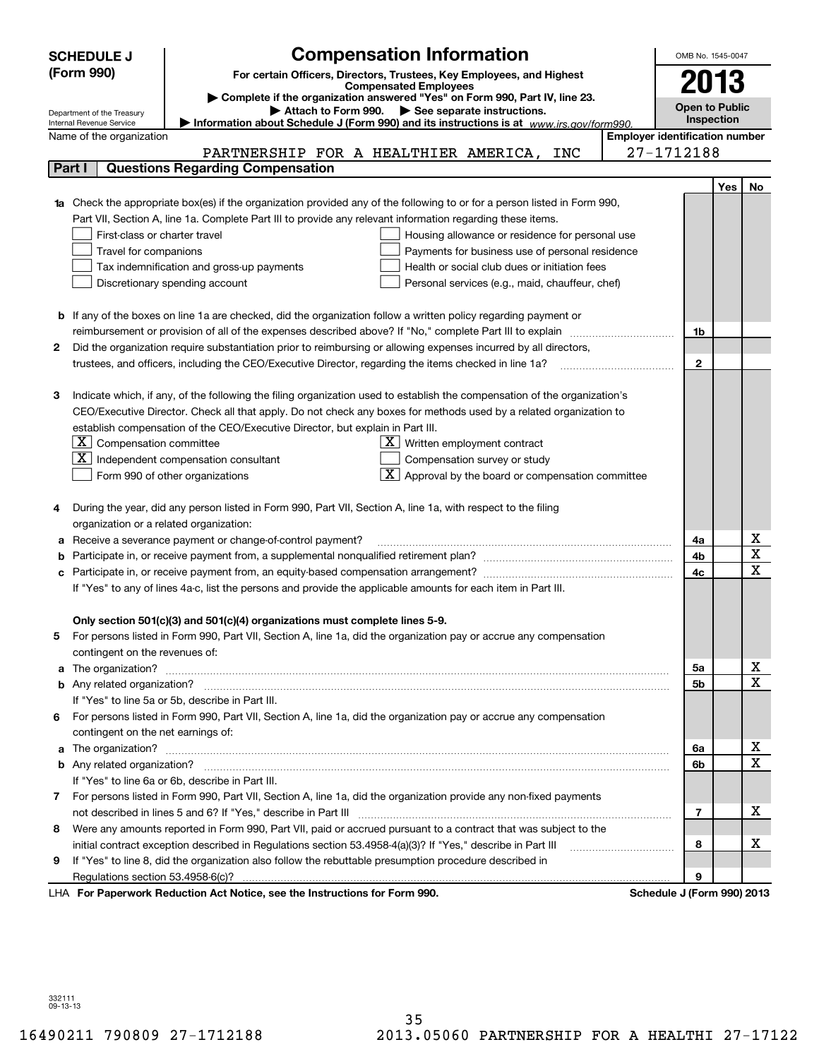| (Form 990)<br>For certain Officers, Directors, Trustees, Key Employees, and Highest<br>2013<br><b>Compensated Employees</b><br>Complete if the organization answered "Yes" on Form 990, Part IV, line 23.<br><b>Open to Public</b><br>Attach to Form 990. See separate instructions.<br>Department of the Treasury<br><b>Inspection</b><br>Information about Schedule J (Form 990) and its instructions is at www.irs.gov/form990.<br>Internal Revenue Service<br><b>Employer identification number</b><br>Name of the organization<br>27-1712188<br>PARTNERSHIP FOR A HEALTHIER AMERICA,<br>INC<br><b>Questions Regarding Compensation</b><br>Part I<br>Yes<br>No<br>Check the appropriate box(es) if the organization provided any of the following to or for a person listed in Form 990,<br>Part VII, Section A, line 1a. Complete Part III to provide any relevant information regarding these items.<br>First-class or charter travel<br>Housing allowance or residence for personal use<br>Travel for companions<br>Payments for business use of personal residence<br>Tax indemnification and gross-up payments<br>Health or social club dues or initiation fees<br>Discretionary spending account<br>Personal services (e.g., maid, chauffeur, chef)<br><b>b</b> If any of the boxes on line 1a are checked, did the organization follow a written policy regarding payment or<br>1b<br>Did the organization require substantiation prior to reimbursing or allowing expenses incurred by all directors,<br>2<br>$\mathbf{2}$<br>Indicate which, if any, of the following the filing organization used to establish the compensation of the organization's<br>з<br>CEO/Executive Director. Check all that apply. Do not check any boxes for methods used by a related organization to<br>establish compensation of the CEO/Executive Director, but explain in Part III.<br>$ \mathbf{X} $ Compensation committee<br>$X$ Written employment contract<br>  X<br>Independent compensation consultant<br>Compensation survey or study<br>$\boxed{\textbf{X}}$ Approval by the board or compensation committee<br>Form 990 of other organizations<br>During the year, did any person listed in Form 990, Part VII, Section A, line 1a, with respect to the filing<br>4<br>organization or a related organization:<br>х<br>Receive a severance payment or change-of-control payment?<br>4a<br>а<br>Χ<br>4b<br>$\mathbf x$<br>4c<br>If "Yes" to any of lines 4a-c, list the persons and provide the applicable amounts for each item in Part III.<br>Only section 501(c)(3) and 501(c)(4) organizations must complete lines 5-9.<br>For persons listed in Form 990, Part VII, Section A, line 1a, did the organization pay or accrue any compensation<br>5<br>contingent on the revenues of:<br>х<br>5a<br>a<br>$\mathbf x$<br>5b<br>If "Yes" to line 5a or 5b, describe in Part III.<br>For persons listed in Form 990, Part VII, Section A, line 1a, did the organization pay or accrue any compensation<br>6.<br>contingent on the net earnings of:<br>х<br>6a<br>a<br>$\mathbf X$<br>6b<br>If "Yes" to line 6a or 6b, describe in Part III.<br>7 For persons listed in Form 990, Part VII, Section A, line 1a, did the organization provide any non-fixed payments<br>х<br>7<br>Were any amounts reported in Form 990, Part VII, paid or accrued pursuant to a contract that was subject to the<br>8<br>х<br>initial contract exception described in Regulations section 53.4958-4(a)(3)? If "Yes," describe in Part III<br>8 |   | <b>SCHEDULE J</b> | <b>Compensation Information</b> | OMB No. 1545-0047 |  |  |  |
|-------------------------------------------------------------------------------------------------------------------------------------------------------------------------------------------------------------------------------------------------------------------------------------------------------------------------------------------------------------------------------------------------------------------------------------------------------------------------------------------------------------------------------------------------------------------------------------------------------------------------------------------------------------------------------------------------------------------------------------------------------------------------------------------------------------------------------------------------------------------------------------------------------------------------------------------------------------------------------------------------------------------------------------------------------------------------------------------------------------------------------------------------------------------------------------------------------------------------------------------------------------------------------------------------------------------------------------------------------------------------------------------------------------------------------------------------------------------------------------------------------------------------------------------------------------------------------------------------------------------------------------------------------------------------------------------------------------------------------------------------------------------------------------------------------------------------------------------------------------------------------------------------------------------------------------------------------------------------------------------------------------------------------------------------------------------------------------------------------------------------------------------------------------------------------------------------------------------------------------------------------------------------------------------------------------------------------------------------------------------------------------------------------------------------------------------------------------------------------------------------------------------------------------------------------------------------------------------------------------------------------------------------------------------------------------------------------------------------------------------------------------------------------------------------------------------------------------------------------------------------------------------------------------------------------------------------------------------------------------------------------------------------------------------------------------------------------------------------------------------------------------------------------------------------------------------------------------------------------------------------------------------------------------------------------------------------------------------------------------------------------------------------------------------------------------------------------------------------------------------------------------------------------------|---|-------------------|---------------------------------|-------------------|--|--|--|
|                                                                                                                                                                                                                                                                                                                                                                                                                                                                                                                                                                                                                                                                                                                                                                                                                                                                                                                                                                                                                                                                                                                                                                                                                                                                                                                                                                                                                                                                                                                                                                                                                                                                                                                                                                                                                                                                                                                                                                                                                                                                                                                                                                                                                                                                                                                                                                                                                                                                                                                                                                                                                                                                                                                                                                                                                                                                                                                                                                                                                                                                                                                                                                                                                                                                                                                                                                                                                                                                                                                                     |   |                   |                                 |                   |  |  |  |
|                                                                                                                                                                                                                                                                                                                                                                                                                                                                                                                                                                                                                                                                                                                                                                                                                                                                                                                                                                                                                                                                                                                                                                                                                                                                                                                                                                                                                                                                                                                                                                                                                                                                                                                                                                                                                                                                                                                                                                                                                                                                                                                                                                                                                                                                                                                                                                                                                                                                                                                                                                                                                                                                                                                                                                                                                                                                                                                                                                                                                                                                                                                                                                                                                                                                                                                                                                                                                                                                                                                                     |   |                   |                                 |                   |  |  |  |
|                                                                                                                                                                                                                                                                                                                                                                                                                                                                                                                                                                                                                                                                                                                                                                                                                                                                                                                                                                                                                                                                                                                                                                                                                                                                                                                                                                                                                                                                                                                                                                                                                                                                                                                                                                                                                                                                                                                                                                                                                                                                                                                                                                                                                                                                                                                                                                                                                                                                                                                                                                                                                                                                                                                                                                                                                                                                                                                                                                                                                                                                                                                                                                                                                                                                                                                                                                                                                                                                                                                                     |   |                   |                                 |                   |  |  |  |
|                                                                                                                                                                                                                                                                                                                                                                                                                                                                                                                                                                                                                                                                                                                                                                                                                                                                                                                                                                                                                                                                                                                                                                                                                                                                                                                                                                                                                                                                                                                                                                                                                                                                                                                                                                                                                                                                                                                                                                                                                                                                                                                                                                                                                                                                                                                                                                                                                                                                                                                                                                                                                                                                                                                                                                                                                                                                                                                                                                                                                                                                                                                                                                                                                                                                                                                                                                                                                                                                                                                                     |   |                   |                                 |                   |  |  |  |
|                                                                                                                                                                                                                                                                                                                                                                                                                                                                                                                                                                                                                                                                                                                                                                                                                                                                                                                                                                                                                                                                                                                                                                                                                                                                                                                                                                                                                                                                                                                                                                                                                                                                                                                                                                                                                                                                                                                                                                                                                                                                                                                                                                                                                                                                                                                                                                                                                                                                                                                                                                                                                                                                                                                                                                                                                                                                                                                                                                                                                                                                                                                                                                                                                                                                                                                                                                                                                                                                                                                                     |   |                   |                                 |                   |  |  |  |
|                                                                                                                                                                                                                                                                                                                                                                                                                                                                                                                                                                                                                                                                                                                                                                                                                                                                                                                                                                                                                                                                                                                                                                                                                                                                                                                                                                                                                                                                                                                                                                                                                                                                                                                                                                                                                                                                                                                                                                                                                                                                                                                                                                                                                                                                                                                                                                                                                                                                                                                                                                                                                                                                                                                                                                                                                                                                                                                                                                                                                                                                                                                                                                                                                                                                                                                                                                                                                                                                                                                                     |   |                   |                                 |                   |  |  |  |
|                                                                                                                                                                                                                                                                                                                                                                                                                                                                                                                                                                                                                                                                                                                                                                                                                                                                                                                                                                                                                                                                                                                                                                                                                                                                                                                                                                                                                                                                                                                                                                                                                                                                                                                                                                                                                                                                                                                                                                                                                                                                                                                                                                                                                                                                                                                                                                                                                                                                                                                                                                                                                                                                                                                                                                                                                                                                                                                                                                                                                                                                                                                                                                                                                                                                                                                                                                                                                                                                                                                                     |   |                   |                                 |                   |  |  |  |
|                                                                                                                                                                                                                                                                                                                                                                                                                                                                                                                                                                                                                                                                                                                                                                                                                                                                                                                                                                                                                                                                                                                                                                                                                                                                                                                                                                                                                                                                                                                                                                                                                                                                                                                                                                                                                                                                                                                                                                                                                                                                                                                                                                                                                                                                                                                                                                                                                                                                                                                                                                                                                                                                                                                                                                                                                                                                                                                                                                                                                                                                                                                                                                                                                                                                                                                                                                                                                                                                                                                                     |   |                   |                                 |                   |  |  |  |
|                                                                                                                                                                                                                                                                                                                                                                                                                                                                                                                                                                                                                                                                                                                                                                                                                                                                                                                                                                                                                                                                                                                                                                                                                                                                                                                                                                                                                                                                                                                                                                                                                                                                                                                                                                                                                                                                                                                                                                                                                                                                                                                                                                                                                                                                                                                                                                                                                                                                                                                                                                                                                                                                                                                                                                                                                                                                                                                                                                                                                                                                                                                                                                                                                                                                                                                                                                                                                                                                                                                                     |   |                   |                                 |                   |  |  |  |
|                                                                                                                                                                                                                                                                                                                                                                                                                                                                                                                                                                                                                                                                                                                                                                                                                                                                                                                                                                                                                                                                                                                                                                                                                                                                                                                                                                                                                                                                                                                                                                                                                                                                                                                                                                                                                                                                                                                                                                                                                                                                                                                                                                                                                                                                                                                                                                                                                                                                                                                                                                                                                                                                                                                                                                                                                                                                                                                                                                                                                                                                                                                                                                                                                                                                                                                                                                                                                                                                                                                                     |   |                   |                                 |                   |  |  |  |
|                                                                                                                                                                                                                                                                                                                                                                                                                                                                                                                                                                                                                                                                                                                                                                                                                                                                                                                                                                                                                                                                                                                                                                                                                                                                                                                                                                                                                                                                                                                                                                                                                                                                                                                                                                                                                                                                                                                                                                                                                                                                                                                                                                                                                                                                                                                                                                                                                                                                                                                                                                                                                                                                                                                                                                                                                                                                                                                                                                                                                                                                                                                                                                                                                                                                                                                                                                                                                                                                                                                                     |   |                   |                                 |                   |  |  |  |
|                                                                                                                                                                                                                                                                                                                                                                                                                                                                                                                                                                                                                                                                                                                                                                                                                                                                                                                                                                                                                                                                                                                                                                                                                                                                                                                                                                                                                                                                                                                                                                                                                                                                                                                                                                                                                                                                                                                                                                                                                                                                                                                                                                                                                                                                                                                                                                                                                                                                                                                                                                                                                                                                                                                                                                                                                                                                                                                                                                                                                                                                                                                                                                                                                                                                                                                                                                                                                                                                                                                                     |   |                   |                                 |                   |  |  |  |
|                                                                                                                                                                                                                                                                                                                                                                                                                                                                                                                                                                                                                                                                                                                                                                                                                                                                                                                                                                                                                                                                                                                                                                                                                                                                                                                                                                                                                                                                                                                                                                                                                                                                                                                                                                                                                                                                                                                                                                                                                                                                                                                                                                                                                                                                                                                                                                                                                                                                                                                                                                                                                                                                                                                                                                                                                                                                                                                                                                                                                                                                                                                                                                                                                                                                                                                                                                                                                                                                                                                                     |   |                   |                                 |                   |  |  |  |
|                                                                                                                                                                                                                                                                                                                                                                                                                                                                                                                                                                                                                                                                                                                                                                                                                                                                                                                                                                                                                                                                                                                                                                                                                                                                                                                                                                                                                                                                                                                                                                                                                                                                                                                                                                                                                                                                                                                                                                                                                                                                                                                                                                                                                                                                                                                                                                                                                                                                                                                                                                                                                                                                                                                                                                                                                                                                                                                                                                                                                                                                                                                                                                                                                                                                                                                                                                                                                                                                                                                                     |   |                   |                                 |                   |  |  |  |
|                                                                                                                                                                                                                                                                                                                                                                                                                                                                                                                                                                                                                                                                                                                                                                                                                                                                                                                                                                                                                                                                                                                                                                                                                                                                                                                                                                                                                                                                                                                                                                                                                                                                                                                                                                                                                                                                                                                                                                                                                                                                                                                                                                                                                                                                                                                                                                                                                                                                                                                                                                                                                                                                                                                                                                                                                                                                                                                                                                                                                                                                                                                                                                                                                                                                                                                                                                                                                                                                                                                                     |   |                   |                                 |                   |  |  |  |
|                                                                                                                                                                                                                                                                                                                                                                                                                                                                                                                                                                                                                                                                                                                                                                                                                                                                                                                                                                                                                                                                                                                                                                                                                                                                                                                                                                                                                                                                                                                                                                                                                                                                                                                                                                                                                                                                                                                                                                                                                                                                                                                                                                                                                                                                                                                                                                                                                                                                                                                                                                                                                                                                                                                                                                                                                                                                                                                                                                                                                                                                                                                                                                                                                                                                                                                                                                                                                                                                                                                                     |   |                   |                                 |                   |  |  |  |
|                                                                                                                                                                                                                                                                                                                                                                                                                                                                                                                                                                                                                                                                                                                                                                                                                                                                                                                                                                                                                                                                                                                                                                                                                                                                                                                                                                                                                                                                                                                                                                                                                                                                                                                                                                                                                                                                                                                                                                                                                                                                                                                                                                                                                                                                                                                                                                                                                                                                                                                                                                                                                                                                                                                                                                                                                                                                                                                                                                                                                                                                                                                                                                                                                                                                                                                                                                                                                                                                                                                                     |   |                   |                                 |                   |  |  |  |
|                                                                                                                                                                                                                                                                                                                                                                                                                                                                                                                                                                                                                                                                                                                                                                                                                                                                                                                                                                                                                                                                                                                                                                                                                                                                                                                                                                                                                                                                                                                                                                                                                                                                                                                                                                                                                                                                                                                                                                                                                                                                                                                                                                                                                                                                                                                                                                                                                                                                                                                                                                                                                                                                                                                                                                                                                                                                                                                                                                                                                                                                                                                                                                                                                                                                                                                                                                                                                                                                                                                                     |   |                   |                                 |                   |  |  |  |
|                                                                                                                                                                                                                                                                                                                                                                                                                                                                                                                                                                                                                                                                                                                                                                                                                                                                                                                                                                                                                                                                                                                                                                                                                                                                                                                                                                                                                                                                                                                                                                                                                                                                                                                                                                                                                                                                                                                                                                                                                                                                                                                                                                                                                                                                                                                                                                                                                                                                                                                                                                                                                                                                                                                                                                                                                                                                                                                                                                                                                                                                                                                                                                                                                                                                                                                                                                                                                                                                                                                                     |   |                   |                                 |                   |  |  |  |
|                                                                                                                                                                                                                                                                                                                                                                                                                                                                                                                                                                                                                                                                                                                                                                                                                                                                                                                                                                                                                                                                                                                                                                                                                                                                                                                                                                                                                                                                                                                                                                                                                                                                                                                                                                                                                                                                                                                                                                                                                                                                                                                                                                                                                                                                                                                                                                                                                                                                                                                                                                                                                                                                                                                                                                                                                                                                                                                                                                                                                                                                                                                                                                                                                                                                                                                                                                                                                                                                                                                                     |   |                   |                                 |                   |  |  |  |
|                                                                                                                                                                                                                                                                                                                                                                                                                                                                                                                                                                                                                                                                                                                                                                                                                                                                                                                                                                                                                                                                                                                                                                                                                                                                                                                                                                                                                                                                                                                                                                                                                                                                                                                                                                                                                                                                                                                                                                                                                                                                                                                                                                                                                                                                                                                                                                                                                                                                                                                                                                                                                                                                                                                                                                                                                                                                                                                                                                                                                                                                                                                                                                                                                                                                                                                                                                                                                                                                                                                                     |   |                   |                                 |                   |  |  |  |
|                                                                                                                                                                                                                                                                                                                                                                                                                                                                                                                                                                                                                                                                                                                                                                                                                                                                                                                                                                                                                                                                                                                                                                                                                                                                                                                                                                                                                                                                                                                                                                                                                                                                                                                                                                                                                                                                                                                                                                                                                                                                                                                                                                                                                                                                                                                                                                                                                                                                                                                                                                                                                                                                                                                                                                                                                                                                                                                                                                                                                                                                                                                                                                                                                                                                                                                                                                                                                                                                                                                                     |   |                   |                                 |                   |  |  |  |
|                                                                                                                                                                                                                                                                                                                                                                                                                                                                                                                                                                                                                                                                                                                                                                                                                                                                                                                                                                                                                                                                                                                                                                                                                                                                                                                                                                                                                                                                                                                                                                                                                                                                                                                                                                                                                                                                                                                                                                                                                                                                                                                                                                                                                                                                                                                                                                                                                                                                                                                                                                                                                                                                                                                                                                                                                                                                                                                                                                                                                                                                                                                                                                                                                                                                                                                                                                                                                                                                                                                                     |   |                   |                                 |                   |  |  |  |
|                                                                                                                                                                                                                                                                                                                                                                                                                                                                                                                                                                                                                                                                                                                                                                                                                                                                                                                                                                                                                                                                                                                                                                                                                                                                                                                                                                                                                                                                                                                                                                                                                                                                                                                                                                                                                                                                                                                                                                                                                                                                                                                                                                                                                                                                                                                                                                                                                                                                                                                                                                                                                                                                                                                                                                                                                                                                                                                                                                                                                                                                                                                                                                                                                                                                                                                                                                                                                                                                                                                                     |   |                   |                                 |                   |  |  |  |
|                                                                                                                                                                                                                                                                                                                                                                                                                                                                                                                                                                                                                                                                                                                                                                                                                                                                                                                                                                                                                                                                                                                                                                                                                                                                                                                                                                                                                                                                                                                                                                                                                                                                                                                                                                                                                                                                                                                                                                                                                                                                                                                                                                                                                                                                                                                                                                                                                                                                                                                                                                                                                                                                                                                                                                                                                                                                                                                                                                                                                                                                                                                                                                                                                                                                                                                                                                                                                                                                                                                                     |   |                   |                                 |                   |  |  |  |
|                                                                                                                                                                                                                                                                                                                                                                                                                                                                                                                                                                                                                                                                                                                                                                                                                                                                                                                                                                                                                                                                                                                                                                                                                                                                                                                                                                                                                                                                                                                                                                                                                                                                                                                                                                                                                                                                                                                                                                                                                                                                                                                                                                                                                                                                                                                                                                                                                                                                                                                                                                                                                                                                                                                                                                                                                                                                                                                                                                                                                                                                                                                                                                                                                                                                                                                                                                                                                                                                                                                                     |   |                   |                                 |                   |  |  |  |
|                                                                                                                                                                                                                                                                                                                                                                                                                                                                                                                                                                                                                                                                                                                                                                                                                                                                                                                                                                                                                                                                                                                                                                                                                                                                                                                                                                                                                                                                                                                                                                                                                                                                                                                                                                                                                                                                                                                                                                                                                                                                                                                                                                                                                                                                                                                                                                                                                                                                                                                                                                                                                                                                                                                                                                                                                                                                                                                                                                                                                                                                                                                                                                                                                                                                                                                                                                                                                                                                                                                                     |   |                   |                                 |                   |  |  |  |
|                                                                                                                                                                                                                                                                                                                                                                                                                                                                                                                                                                                                                                                                                                                                                                                                                                                                                                                                                                                                                                                                                                                                                                                                                                                                                                                                                                                                                                                                                                                                                                                                                                                                                                                                                                                                                                                                                                                                                                                                                                                                                                                                                                                                                                                                                                                                                                                                                                                                                                                                                                                                                                                                                                                                                                                                                                                                                                                                                                                                                                                                                                                                                                                                                                                                                                                                                                                                                                                                                                                                     |   |                   |                                 |                   |  |  |  |
|                                                                                                                                                                                                                                                                                                                                                                                                                                                                                                                                                                                                                                                                                                                                                                                                                                                                                                                                                                                                                                                                                                                                                                                                                                                                                                                                                                                                                                                                                                                                                                                                                                                                                                                                                                                                                                                                                                                                                                                                                                                                                                                                                                                                                                                                                                                                                                                                                                                                                                                                                                                                                                                                                                                                                                                                                                                                                                                                                                                                                                                                                                                                                                                                                                                                                                                                                                                                                                                                                                                                     |   |                   |                                 |                   |  |  |  |
|                                                                                                                                                                                                                                                                                                                                                                                                                                                                                                                                                                                                                                                                                                                                                                                                                                                                                                                                                                                                                                                                                                                                                                                                                                                                                                                                                                                                                                                                                                                                                                                                                                                                                                                                                                                                                                                                                                                                                                                                                                                                                                                                                                                                                                                                                                                                                                                                                                                                                                                                                                                                                                                                                                                                                                                                                                                                                                                                                                                                                                                                                                                                                                                                                                                                                                                                                                                                                                                                                                                                     |   |                   |                                 |                   |  |  |  |
|                                                                                                                                                                                                                                                                                                                                                                                                                                                                                                                                                                                                                                                                                                                                                                                                                                                                                                                                                                                                                                                                                                                                                                                                                                                                                                                                                                                                                                                                                                                                                                                                                                                                                                                                                                                                                                                                                                                                                                                                                                                                                                                                                                                                                                                                                                                                                                                                                                                                                                                                                                                                                                                                                                                                                                                                                                                                                                                                                                                                                                                                                                                                                                                                                                                                                                                                                                                                                                                                                                                                     |   |                   |                                 |                   |  |  |  |
|                                                                                                                                                                                                                                                                                                                                                                                                                                                                                                                                                                                                                                                                                                                                                                                                                                                                                                                                                                                                                                                                                                                                                                                                                                                                                                                                                                                                                                                                                                                                                                                                                                                                                                                                                                                                                                                                                                                                                                                                                                                                                                                                                                                                                                                                                                                                                                                                                                                                                                                                                                                                                                                                                                                                                                                                                                                                                                                                                                                                                                                                                                                                                                                                                                                                                                                                                                                                                                                                                                                                     |   |                   |                                 |                   |  |  |  |
|                                                                                                                                                                                                                                                                                                                                                                                                                                                                                                                                                                                                                                                                                                                                                                                                                                                                                                                                                                                                                                                                                                                                                                                                                                                                                                                                                                                                                                                                                                                                                                                                                                                                                                                                                                                                                                                                                                                                                                                                                                                                                                                                                                                                                                                                                                                                                                                                                                                                                                                                                                                                                                                                                                                                                                                                                                                                                                                                                                                                                                                                                                                                                                                                                                                                                                                                                                                                                                                                                                                                     |   |                   |                                 |                   |  |  |  |
|                                                                                                                                                                                                                                                                                                                                                                                                                                                                                                                                                                                                                                                                                                                                                                                                                                                                                                                                                                                                                                                                                                                                                                                                                                                                                                                                                                                                                                                                                                                                                                                                                                                                                                                                                                                                                                                                                                                                                                                                                                                                                                                                                                                                                                                                                                                                                                                                                                                                                                                                                                                                                                                                                                                                                                                                                                                                                                                                                                                                                                                                                                                                                                                                                                                                                                                                                                                                                                                                                                                                     |   |                   |                                 |                   |  |  |  |
|                                                                                                                                                                                                                                                                                                                                                                                                                                                                                                                                                                                                                                                                                                                                                                                                                                                                                                                                                                                                                                                                                                                                                                                                                                                                                                                                                                                                                                                                                                                                                                                                                                                                                                                                                                                                                                                                                                                                                                                                                                                                                                                                                                                                                                                                                                                                                                                                                                                                                                                                                                                                                                                                                                                                                                                                                                                                                                                                                                                                                                                                                                                                                                                                                                                                                                                                                                                                                                                                                                                                     |   |                   |                                 |                   |  |  |  |
|                                                                                                                                                                                                                                                                                                                                                                                                                                                                                                                                                                                                                                                                                                                                                                                                                                                                                                                                                                                                                                                                                                                                                                                                                                                                                                                                                                                                                                                                                                                                                                                                                                                                                                                                                                                                                                                                                                                                                                                                                                                                                                                                                                                                                                                                                                                                                                                                                                                                                                                                                                                                                                                                                                                                                                                                                                                                                                                                                                                                                                                                                                                                                                                                                                                                                                                                                                                                                                                                                                                                     |   |                   |                                 |                   |  |  |  |
|                                                                                                                                                                                                                                                                                                                                                                                                                                                                                                                                                                                                                                                                                                                                                                                                                                                                                                                                                                                                                                                                                                                                                                                                                                                                                                                                                                                                                                                                                                                                                                                                                                                                                                                                                                                                                                                                                                                                                                                                                                                                                                                                                                                                                                                                                                                                                                                                                                                                                                                                                                                                                                                                                                                                                                                                                                                                                                                                                                                                                                                                                                                                                                                                                                                                                                                                                                                                                                                                                                                                     |   |                   |                                 |                   |  |  |  |
|                                                                                                                                                                                                                                                                                                                                                                                                                                                                                                                                                                                                                                                                                                                                                                                                                                                                                                                                                                                                                                                                                                                                                                                                                                                                                                                                                                                                                                                                                                                                                                                                                                                                                                                                                                                                                                                                                                                                                                                                                                                                                                                                                                                                                                                                                                                                                                                                                                                                                                                                                                                                                                                                                                                                                                                                                                                                                                                                                                                                                                                                                                                                                                                                                                                                                                                                                                                                                                                                                                                                     |   |                   |                                 |                   |  |  |  |
|                                                                                                                                                                                                                                                                                                                                                                                                                                                                                                                                                                                                                                                                                                                                                                                                                                                                                                                                                                                                                                                                                                                                                                                                                                                                                                                                                                                                                                                                                                                                                                                                                                                                                                                                                                                                                                                                                                                                                                                                                                                                                                                                                                                                                                                                                                                                                                                                                                                                                                                                                                                                                                                                                                                                                                                                                                                                                                                                                                                                                                                                                                                                                                                                                                                                                                                                                                                                                                                                                                                                     |   |                   |                                 |                   |  |  |  |
|                                                                                                                                                                                                                                                                                                                                                                                                                                                                                                                                                                                                                                                                                                                                                                                                                                                                                                                                                                                                                                                                                                                                                                                                                                                                                                                                                                                                                                                                                                                                                                                                                                                                                                                                                                                                                                                                                                                                                                                                                                                                                                                                                                                                                                                                                                                                                                                                                                                                                                                                                                                                                                                                                                                                                                                                                                                                                                                                                                                                                                                                                                                                                                                                                                                                                                                                                                                                                                                                                                                                     |   |                   |                                 |                   |  |  |  |
|                                                                                                                                                                                                                                                                                                                                                                                                                                                                                                                                                                                                                                                                                                                                                                                                                                                                                                                                                                                                                                                                                                                                                                                                                                                                                                                                                                                                                                                                                                                                                                                                                                                                                                                                                                                                                                                                                                                                                                                                                                                                                                                                                                                                                                                                                                                                                                                                                                                                                                                                                                                                                                                                                                                                                                                                                                                                                                                                                                                                                                                                                                                                                                                                                                                                                                                                                                                                                                                                                                                                     |   |                   |                                 |                   |  |  |  |
|                                                                                                                                                                                                                                                                                                                                                                                                                                                                                                                                                                                                                                                                                                                                                                                                                                                                                                                                                                                                                                                                                                                                                                                                                                                                                                                                                                                                                                                                                                                                                                                                                                                                                                                                                                                                                                                                                                                                                                                                                                                                                                                                                                                                                                                                                                                                                                                                                                                                                                                                                                                                                                                                                                                                                                                                                                                                                                                                                                                                                                                                                                                                                                                                                                                                                                                                                                                                                                                                                                                                     |   |                   |                                 |                   |  |  |  |
|                                                                                                                                                                                                                                                                                                                                                                                                                                                                                                                                                                                                                                                                                                                                                                                                                                                                                                                                                                                                                                                                                                                                                                                                                                                                                                                                                                                                                                                                                                                                                                                                                                                                                                                                                                                                                                                                                                                                                                                                                                                                                                                                                                                                                                                                                                                                                                                                                                                                                                                                                                                                                                                                                                                                                                                                                                                                                                                                                                                                                                                                                                                                                                                                                                                                                                                                                                                                                                                                                                                                     |   |                   |                                 |                   |  |  |  |
|                                                                                                                                                                                                                                                                                                                                                                                                                                                                                                                                                                                                                                                                                                                                                                                                                                                                                                                                                                                                                                                                                                                                                                                                                                                                                                                                                                                                                                                                                                                                                                                                                                                                                                                                                                                                                                                                                                                                                                                                                                                                                                                                                                                                                                                                                                                                                                                                                                                                                                                                                                                                                                                                                                                                                                                                                                                                                                                                                                                                                                                                                                                                                                                                                                                                                                                                                                                                                                                                                                                                     |   |                   |                                 |                   |  |  |  |
|                                                                                                                                                                                                                                                                                                                                                                                                                                                                                                                                                                                                                                                                                                                                                                                                                                                                                                                                                                                                                                                                                                                                                                                                                                                                                                                                                                                                                                                                                                                                                                                                                                                                                                                                                                                                                                                                                                                                                                                                                                                                                                                                                                                                                                                                                                                                                                                                                                                                                                                                                                                                                                                                                                                                                                                                                                                                                                                                                                                                                                                                                                                                                                                                                                                                                                                                                                                                                                                                                                                                     |   |                   |                                 |                   |  |  |  |
|                                                                                                                                                                                                                                                                                                                                                                                                                                                                                                                                                                                                                                                                                                                                                                                                                                                                                                                                                                                                                                                                                                                                                                                                                                                                                                                                                                                                                                                                                                                                                                                                                                                                                                                                                                                                                                                                                                                                                                                                                                                                                                                                                                                                                                                                                                                                                                                                                                                                                                                                                                                                                                                                                                                                                                                                                                                                                                                                                                                                                                                                                                                                                                                                                                                                                                                                                                                                                                                                                                                                     |   |                   |                                 |                   |  |  |  |
|                                                                                                                                                                                                                                                                                                                                                                                                                                                                                                                                                                                                                                                                                                                                                                                                                                                                                                                                                                                                                                                                                                                                                                                                                                                                                                                                                                                                                                                                                                                                                                                                                                                                                                                                                                                                                                                                                                                                                                                                                                                                                                                                                                                                                                                                                                                                                                                                                                                                                                                                                                                                                                                                                                                                                                                                                                                                                                                                                                                                                                                                                                                                                                                                                                                                                                                                                                                                                                                                                                                                     |   |                   |                                 |                   |  |  |  |
|                                                                                                                                                                                                                                                                                                                                                                                                                                                                                                                                                                                                                                                                                                                                                                                                                                                                                                                                                                                                                                                                                                                                                                                                                                                                                                                                                                                                                                                                                                                                                                                                                                                                                                                                                                                                                                                                                                                                                                                                                                                                                                                                                                                                                                                                                                                                                                                                                                                                                                                                                                                                                                                                                                                                                                                                                                                                                                                                                                                                                                                                                                                                                                                                                                                                                                                                                                                                                                                                                                                                     |   |                   |                                 |                   |  |  |  |
|                                                                                                                                                                                                                                                                                                                                                                                                                                                                                                                                                                                                                                                                                                                                                                                                                                                                                                                                                                                                                                                                                                                                                                                                                                                                                                                                                                                                                                                                                                                                                                                                                                                                                                                                                                                                                                                                                                                                                                                                                                                                                                                                                                                                                                                                                                                                                                                                                                                                                                                                                                                                                                                                                                                                                                                                                                                                                                                                                                                                                                                                                                                                                                                                                                                                                                                                                                                                                                                                                                                                     | 9 |                   |                                 |                   |  |  |  |
| If "Yes" to line 8, did the organization also follow the rebuttable presumption procedure described in<br>9                                                                                                                                                                                                                                                                                                                                                                                                                                                                                                                                                                                                                                                                                                                                                                                                                                                                                                                                                                                                                                                                                                                                                                                                                                                                                                                                                                                                                                                                                                                                                                                                                                                                                                                                                                                                                                                                                                                                                                                                                                                                                                                                                                                                                                                                                                                                                                                                                                                                                                                                                                                                                                                                                                                                                                                                                                                                                                                                                                                                                                                                                                                                                                                                                                                                                                                                                                                                                         |   |                   |                                 |                   |  |  |  |
| LHA For Paperwork Reduction Act Notice, see the Instructions for Form 990.<br>Schedule J (Form 990) 2013                                                                                                                                                                                                                                                                                                                                                                                                                                                                                                                                                                                                                                                                                                                                                                                                                                                                                                                                                                                                                                                                                                                                                                                                                                                                                                                                                                                                                                                                                                                                                                                                                                                                                                                                                                                                                                                                                                                                                                                                                                                                                                                                                                                                                                                                                                                                                                                                                                                                                                                                                                                                                                                                                                                                                                                                                                                                                                                                                                                                                                                                                                                                                                                                                                                                                                                                                                                                                            |   |                   |                                 |                   |  |  |  |

332111 09-13-13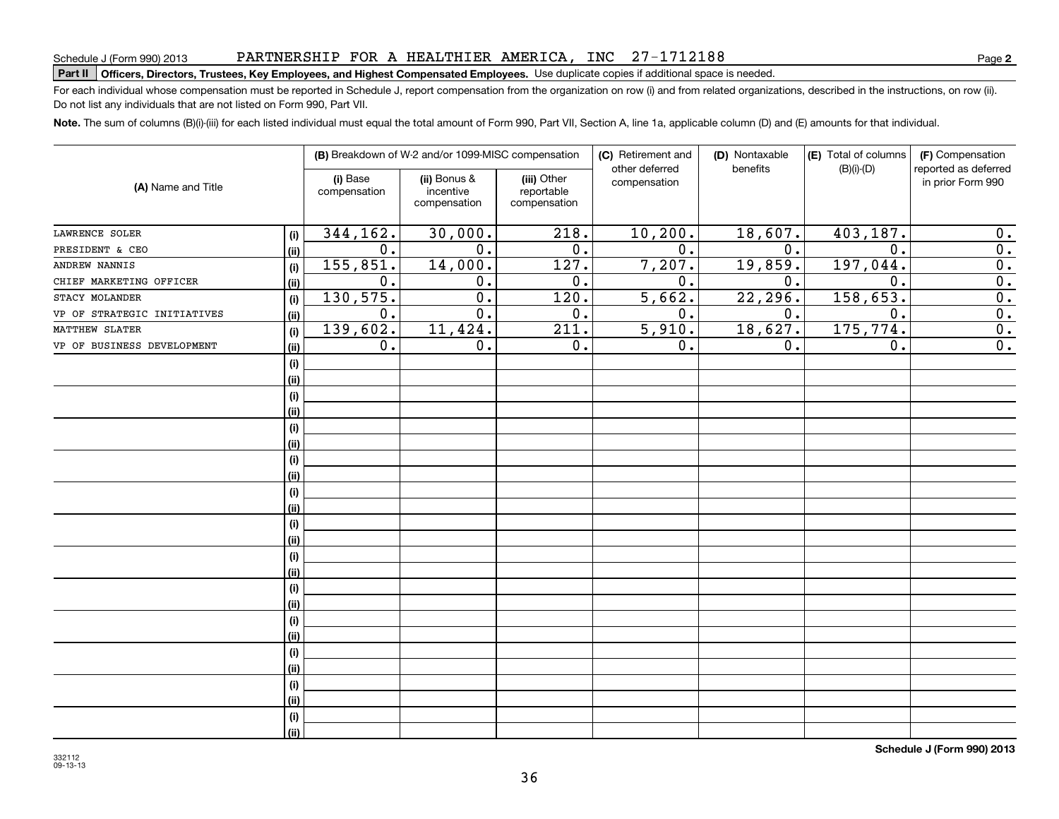### PARTNERSHIP FOR A HEALTHIER AMERICA, INC 27-1712188

# Schedule J (Form 990) 2013 PAR'I'NERSHIP F'OR A HEAL'I'HILER AMERICA , INC 27 = 17 I 2 I 8 8<br>| **Part II | Officers, Directors, Trustees, Key Employees, and Highest Compensated Employ**

For each individual whose compensation must be reported in Schedule J, report compensation from the organization on row (i) and from related organizations, described in the instructions, on row (ii). Do not list any individuals that are not listed on Form 990, Part VII.

**Note.**  The sum of columns (B)(i)-(iii) for each listed individual must equal the total amount of Form 990, Part VII, Section A, line 1a, applicable column (D) and (E) amounts for that individual.

|                             |      |                          | (B) Breakdown of W-2 and/or 1099-MISC compensation |                                           | (C) Retirement and             | (D) Nontaxable | (E) Total of columns | (F) Compensation<br>reported as deferred |  |
|-----------------------------|------|--------------------------|----------------------------------------------------|-------------------------------------------|--------------------------------|----------------|----------------------|------------------------------------------|--|
| (A) Name and Title          |      | (i) Base<br>compensation | (ii) Bonus &<br>incentive<br>compensation          | (iii) Other<br>reportable<br>compensation | other deferred<br>compensation | benefits       | $(B)(i)-(D)$         | in prior Form 990                        |  |
| LAWRENCE SOLER              | (i)  | 344,162.                 | 30,000.                                            | 218.                                      | 10, 200.                       | 18,607.        | 403,187.             | $\mathbf 0$ .                            |  |
| PRESIDENT & CEO             | (ii) | 0.                       | $\mathbf 0$ .                                      | 0.                                        | 0.                             | 0.             | $\mathbf 0$ .        | $\overline{0}$ .                         |  |
| ANDREW NANNIS               | (i)  | 155,851.                 | 14,000.                                            | 127.                                      | 7,207.                         | 19,859.        | 197,044.             | $\overline{0}$ .                         |  |
| CHIEF MARKETING OFFICER     | (ii) | 0.                       | $\mathbf 0$ .                                      | 0.                                        | 0.                             | 0.             | $\mathbf 0$ .        | $\overline{0}$ .                         |  |
| STACY MOLANDER              | (i)  | 130,575.                 | $\overline{0}$ .                                   | 120.                                      | 5,662.                         | 22, 296.       | 158, 653.            | $\overline{0}$ .                         |  |
| VP OF STRATEGIC INITIATIVES | (ii) | $\overline{0}$ .         | $\overline{0}$ .                                   | $\overline{0}$ .                          | $\overline{0}$ .               | 0.             | $\overline{0}$ .     | $\overline{0}$ .                         |  |
| MATTHEW SLATER              | (i)  | 139,602.                 | 11,424.                                            | $\overline{211}$ .                        | 5,910.                         | 18,627.        | 175, 774.            | $\overline{0}$ .                         |  |
| VP OF BUSINESS DEVELOPMENT  | (ii) | $\overline{0}$ .         | 0.                                                 | $\overline{0}$ .                          | 0.                             | 0.             | 0.                   | $\overline{0}$ .                         |  |
|                             | (i)  |                          |                                                    |                                           |                                |                |                      |                                          |  |
|                             | (i)  |                          |                                                    |                                           |                                |                |                      |                                          |  |
|                             | (i)  |                          |                                                    |                                           |                                |                |                      |                                          |  |
|                             | (ii) |                          |                                                    |                                           |                                |                |                      |                                          |  |
|                             | (i)  |                          |                                                    |                                           |                                |                |                      |                                          |  |
|                             | (ii) |                          |                                                    |                                           |                                |                |                      |                                          |  |
|                             | (i)  |                          |                                                    |                                           |                                |                |                      |                                          |  |
|                             | (ii) |                          |                                                    |                                           |                                |                |                      |                                          |  |
|                             | (i)  |                          |                                                    |                                           |                                |                |                      |                                          |  |
|                             | (ii) |                          |                                                    |                                           |                                |                |                      |                                          |  |
|                             | (i)  |                          |                                                    |                                           |                                |                |                      |                                          |  |
|                             | (ii) |                          |                                                    |                                           |                                |                |                      |                                          |  |
|                             | (i)  |                          |                                                    |                                           |                                |                |                      |                                          |  |
|                             | (ii) |                          |                                                    |                                           |                                |                |                      |                                          |  |
|                             | (i)  |                          |                                                    |                                           |                                |                |                      |                                          |  |
|                             | (ii) |                          |                                                    |                                           |                                |                |                      |                                          |  |
|                             | (i)  |                          |                                                    |                                           |                                |                |                      |                                          |  |
|                             | (ii) |                          |                                                    |                                           |                                |                |                      |                                          |  |
|                             | (i)  |                          |                                                    |                                           |                                |                |                      |                                          |  |
|                             | (ii) |                          |                                                    |                                           |                                |                |                      |                                          |  |
|                             | (i)  |                          |                                                    |                                           |                                |                |                      |                                          |  |
|                             | (ii) |                          |                                                    |                                           |                                |                |                      |                                          |  |
|                             | (i)  |                          |                                                    |                                           |                                |                |                      |                                          |  |
|                             | (i)  |                          |                                                    |                                           |                                |                |                      |                                          |  |

**Schedule J (Form 990) 2013**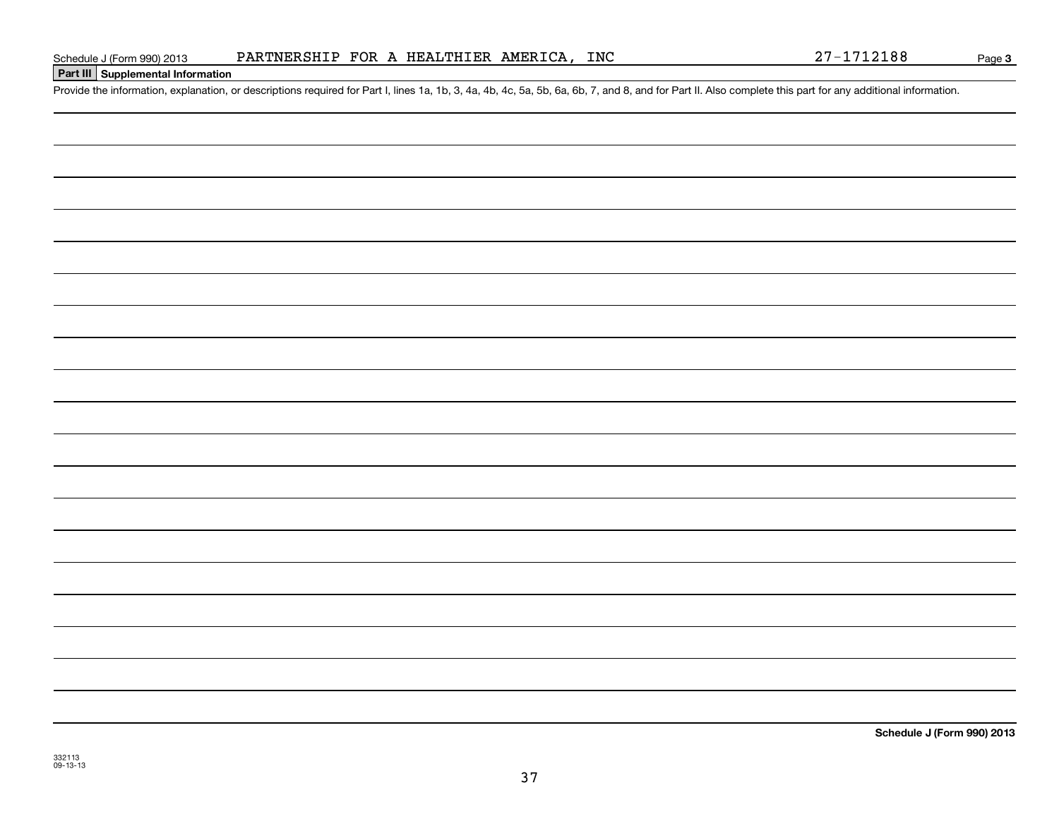### PARTNERSHIP FOR A HEALTHIER AMERICA, INC

**Part III Supplemental Information**

Schedule J (Form 990) 2013 PARTNERSHIP FOR A HEALTHIER AMERICA, INC 27-1712188<br>Part III Supplemental Information<br>Provide the information, explanation, or descriptions required for Part I, lines 1a, 1b, 3, 4a, 4b, 4c, 5a, 5

**Schedule J (Form 990) 2013**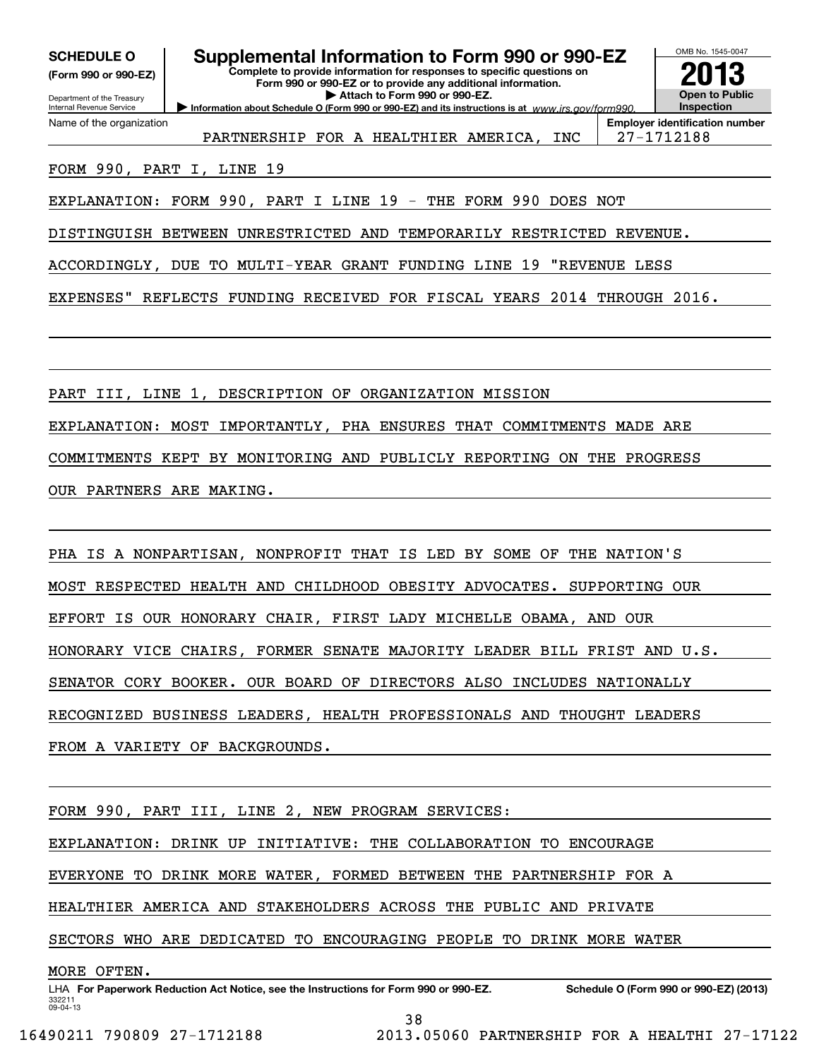| <b>SCHEDULE O</b>                                      |
|--------------------------------------------------------|
| (Form 990 or 990-EZ)                                   |
| Department of the Treasury<br>Internal Revenue Service |

Name of the organization

### **Supplemental Information to Form 990 or 990-EZ**

**Information about Schedule O (Form 990 or 990-EZ) and its instructions is at www.irs.gov/form990. Complete to provide information for responses to specific questions on Form 990 or 990-EZ or to provide any additional information. | Attach to Form 990 or 990-EZ.**



PARTNERSHIP FOR A HEALTHIER AMERICA, INC | 27-1712188

**Employer identification number**

### FORM 990, PART I, LINE 19

EXPLANATION: FORM 990, PART I LINE 19 - THE FORM 990 DOES NOT

DISTINGUISH BETWEEN UNRESTRICTED AND TEMPORARILY RESTRICTED REVENUE.

ACCORDINGLY, DUE TO MULTI-YEAR GRANT FUNDING LINE 19 "REVENUE LESS

EXPENSES" REFLECTS FUNDING RECEIVED FOR FISCAL YEARS 2014 THROUGH 2016.

PART III, LINE 1, DESCRIPTION OF ORGANIZATION MISSION

EXPLANATION: MOST IMPORTANTLY, PHA ENSURES THAT COMMITMENTS MADE ARE

COMMITMENTS KEPT BY MONITORING AND PUBLICLY REPORTING ON THE PROGRESS

OUR PARTNERS ARE MAKING.

PHA IS A NONPARTISAN, NONPROFIT THAT IS LED BY SOME OF THE NATION'S

MOST RESPECTED HEALTH AND CHILDHOOD OBESITY ADVOCATES. SUPPORTING OUR

EFFORT IS OUR HONORARY CHAIR, FIRST LADY MICHELLE OBAMA, AND OUR

HONORARY VICE CHAIRS, FORMER SENATE MAJORITY LEADER BILL FRIST AND U.S.

SENATOR CORY BOOKER. OUR BOARD OF DIRECTORS ALSO INCLUDES NATIONALLY

RECOGNIZED BUSINESS LEADERS, HEALTH PROFESSIONALS AND THOUGHT LEADERS

FROM A VARIETY OF BACKGROUNDS.

FORM 990, PART III, LINE 2, NEW PROGRAM SERVICES:

EXPLANATION: DRINK UP INITIATIVE: THE COLLABORATION TO ENCOURAGE

EVERYONE TO DRINK MORE WATER, FORMED BETWEEN THE PARTNERSHIP FOR A

HEALTHIER AMERICA AND STAKEHOLDERS ACROSS THE PUBLIC AND PRIVATE

SECTORS WHO ARE DEDICATED TO ENCOURAGING PEOPLE TO DRINK MORE WATER

MORE OFTEN.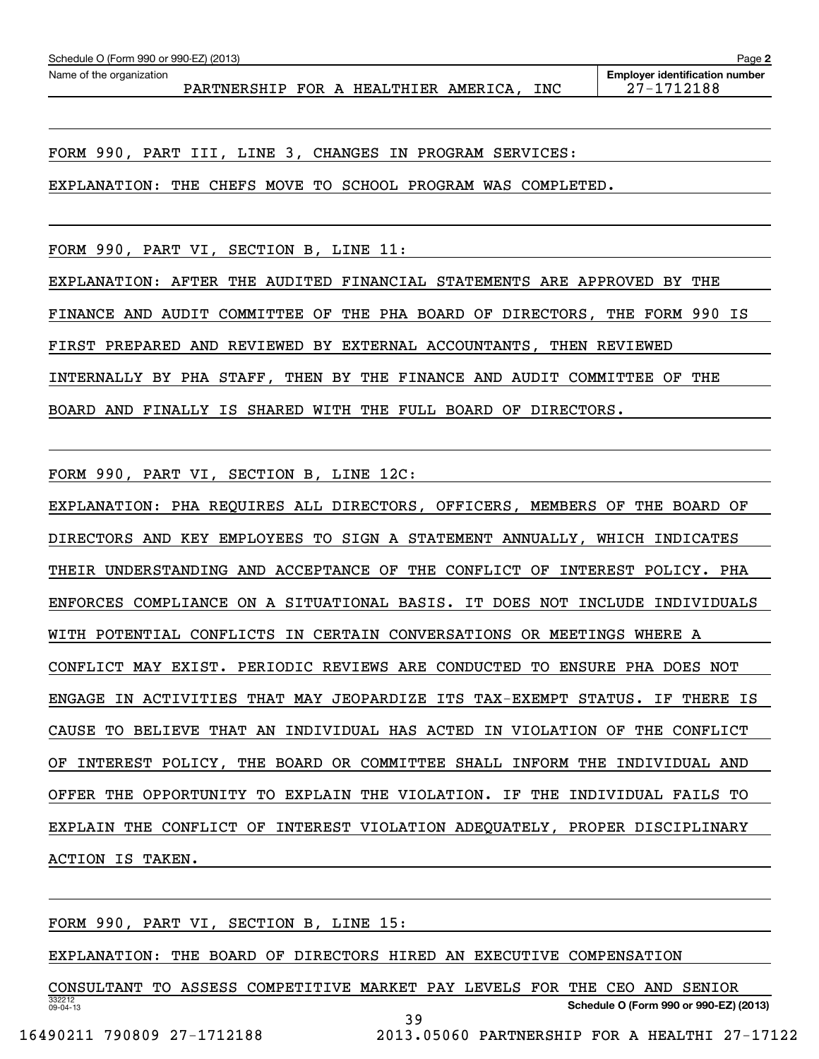PARTNERSHIP FOR A HEALTHIER AMERICA, INC | 27-1712188

FORM 990, PART III, LINE 3, CHANGES IN PROGRAM SERVICES:

EXPLANATION: THE CHEFS MOVE TO SCHOOL PROGRAM WAS COMPLETED.

FORM 990, PART VI, SECTION B, LINE 11:

EXPLANATION: AFTER THE AUDITED FINANCIAL STATEMENTS ARE APPROVED BY THE FINANCE AND AUDIT COMMITTEE OF THE PHA BOARD OF DIRECTORS, THE FORM 990 IS FIRST PREPARED AND REVIEWED BY EXTERNAL ACCOUNTANTS, THEN REVIEWED INTERNALLY BY PHA STAFF, THEN BY THE FINANCE AND AUDIT COMMITTEE OF THE BOARD AND FINALLY IS SHARED WITH THE FULL BOARD OF DIRECTORS.

FORM 990, PART VI, SECTION B, LINE 12C:

EXPLANATION: PHA REQUIRES ALL DIRECTORS, OFFICERS, MEMBERS OF THE BOARD OF DIRECTORS AND KEY EMPLOYEES TO SIGN A STATEMENT ANNUALLY, WHICH INDICATES THEIR UNDERSTANDING AND ACCEPTANCE OF THE CONFLICT OF INTEREST POLICY. PHA ENFORCES COMPLIANCE ON A SITUATIONAL BASIS. IT DOES NOT INCLUDE INDIVIDUALS WITH POTENTIAL CONFLICTS IN CERTAIN CONVERSATIONS OR MEETINGS WHERE A CONFLICT MAY EXIST. PERIODIC REVIEWS ARE CONDUCTED TO ENSURE PHA DOES NOT ENGAGE IN ACTIVITIES THAT MAY JEOPARDIZE ITS TAX-EXEMPT STATUS. IF THERE IS CAUSE TO BELIEVE THAT AN INDIVIDUAL HAS ACTED IN VIOLATION OF THE CONFLICT OF INTEREST POLICY, THE BOARD OR COMMITTEE SHALL INFORM THE INDIVIDUAL AND OFFER THE OPPORTUNITY TO EXPLAIN THE VIOLATION. IF THE INDIVIDUAL FAILS TO EXPLAIN THE CONFLICT OF INTEREST VIOLATION ADEQUATELY, PROPER DISCIPLINARY ACTION IS TAKEN.

FORM 990, PART VI, SECTION B, LINE 15:

EXPLANATION: THE BOARD OF DIRECTORS HIRED AN EXECUTIVE COMPENSATION

332212 09-04-13**Schedule O (Form 990 or 990-EZ) (2013)** CONSULTANT TO ASSESS COMPETITIVE MARKET PAY LEVELS FOR THE CEO AND SENIOR 39